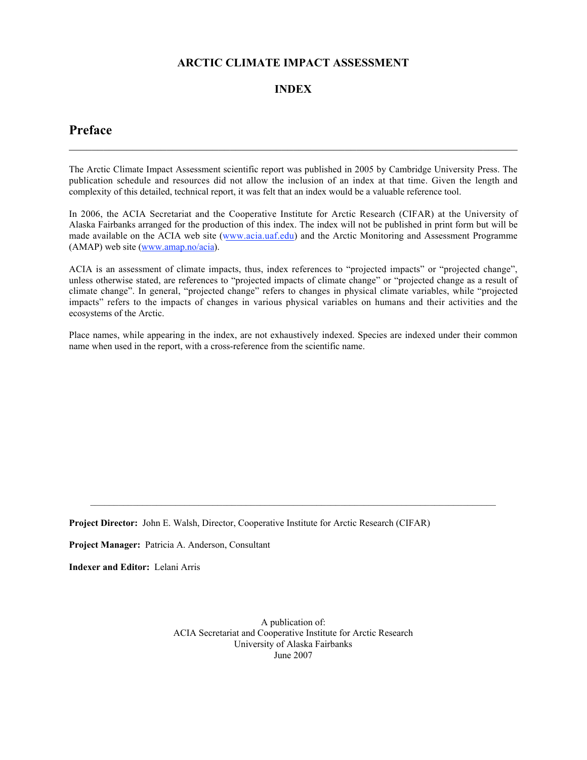# **ARCTIC CLIMATE IMPACT ASSESSMENT**

# **INDEX**

# **Preface**

The Arctic Climate Impact Assessment scientific report was published in 2005 by Cambridge University Press. The publication schedule and resources did not allow the inclusion of an index at that time. Given the length and complexity of this detailed, technical report, it was felt that an index would be a valuable reference tool.

 $\mathcal{L}_\mathcal{L} = \{ \mathcal{L}_\mathcal{L} = \{ \mathcal{L}_\mathcal{L} = \{ \mathcal{L}_\mathcal{L} = \{ \mathcal{L}_\mathcal{L} = \{ \mathcal{L}_\mathcal{L} = \{ \mathcal{L}_\mathcal{L} = \{ \mathcal{L}_\mathcal{L} = \{ \mathcal{L}_\mathcal{L} = \{ \mathcal{L}_\mathcal{L} = \{ \mathcal{L}_\mathcal{L} = \{ \mathcal{L}_\mathcal{L} = \{ \mathcal{L}_\mathcal{L} = \{ \mathcal{L}_\mathcal{L} = \{ \mathcal{L}_\mathcal{$ 

In 2006, the ACIA Secretariat and the Cooperative Institute for Arctic Research (CIFAR) at the University of Alaska Fairbanks arranged for the production of this index. The index will not be published in print form but will be made available on the ACIA web site (www.acia.uaf.edu) and the Arctic Monitoring and Assessment Programme (AMAP) web site (www.amap.no/acia).

ACIA is an assessment of climate impacts, thus, index references to "projected impacts" or "projected change", unless otherwise stated, are references to "projected impacts of climate change" or "projected change as a result of climate change". In general, "projected change" refers to changes in physical climate variables, while "projected impacts" refers to the impacts of changes in various physical variables on humans and their activities and the ecosystems of the Arctic.

Place names, while appearing in the index, are not exhaustively indexed. Species are indexed under their common name when used in the report, with a cross-reference from the scientific name.

**Project Director:** John E. Walsh, Director, Cooperative Institute for Arctic Research (CIFAR)

**Project Manager:** Patricia A. Anderson, Consultant

**Indexer and Editor:** Lelani Arris

A publication of: ACIA Secretariat and Cooperative Institute for Arctic Research University of Alaska Fairbanks June 2007

 $\_$  , and the set of the set of the set of the set of the set of the set of the set of the set of the set of the set of the set of the set of the set of the set of the set of the set of the set of the set of the set of th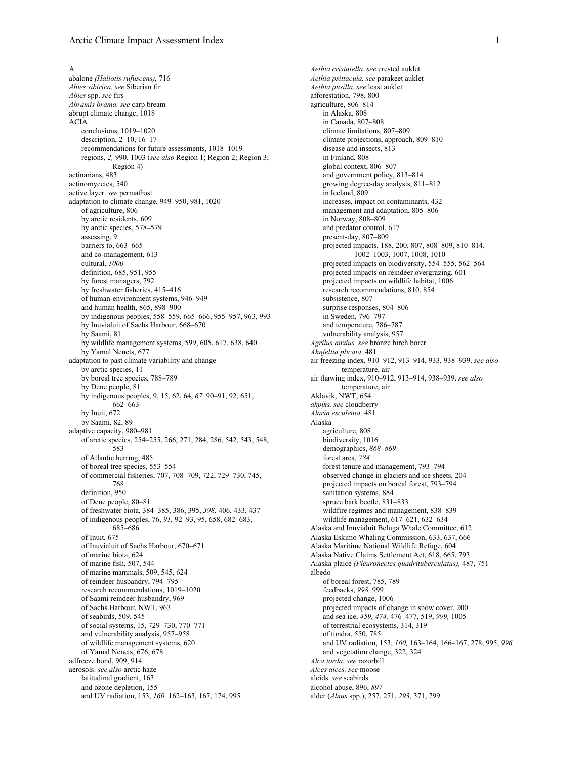A abalone *(Haliotis rufuscens),* 716 *Abies sibirica. see* Siberian fir *Abies* spp. *see* firs *Abramis brama. see* carp bream abrupt climate change, 1018 ACIA conclusions, 1019–1020 description, 2–10, 16–17 recommendations for future assessments, 1018–1019 regions, *2,* 990, 1003 (*see also* Region 1; Region 2; Region 3; Region 4) actinarians, 483 actinomycetes, 540 active layer. *see* permafrost adaptation to climate change, 949–950, 981, 1020 of agriculture, 806 by arctic residents, 609 by arctic species, 578–579 assessing, 9 barriers to, 663–665 and co-management, 613 cultural, *1000* definition, 685, 951, 955 by forest managers, 792 by freshwater fisheries, 415–416 of human-environment systems, 946–949 and human health, 865, 898–900 by indigenous peoples, 558–559, 665–666, 955–957, 963, 993 by Inuvialuit of Sachs Harbour, 668–670 by Saami, 81 by wildlife management systems, 599, 605, 617, 638, 640 by Yamal Nenets, 677 adaptation to past climate variability and change by arctic species, 11 by boreal tree species, 788–789 by Dene people, 81 by indigenous peoples, 9, 15, 62, 64, *67,* 90–91, 92, 651, 662–663 by Inuit, 672 by Saami, 82, 89 adaptive capacity, 980–981 of arctic species, 254–255, 266, 271, 284, 286, 542, 543, 548, 583 of Atlantic herring, 485 of boreal tree species, 553–554 of commercial fisheries, 707, 708–709, 722, 729–730, 745, 768 definition, 950 of Dene people, 80–81 of freshwater biota, 384–385, 386, 395, *398,* 406, 433, 437 of indigenous peoples, 76, *91,* 92–93, 95, 658, 682–683, 685–686 of Inuit, 675 of Inuvialuit of Sachs Harbour, 670–671 of marine biota, 624 of marine fish, 507, 544 of marine mammals, 509, 545, 624 of reindeer husbandry, 794–795 research recommendations, 1019–1020 of Saami reindeer husbandry, 969 of Sachs Harbour, NWT, 963 of seabirds, 509, 545 of social systems, 15, 729–730, 770–771 and vulnerability analysis, 957–958 of wildlife management systems, 620 of Yamal Nenets, 676, 678 adfreeze bond, 909, 914 aerosols. *see also* arctic haze latitudinal gradient, 163 and ozone depletion, 155 and UV radiation, 153, *160,* 162–163, 167, 174, 995

*Aethia cristatella. see* crested auklet *Aethia psittacula. see* parakeet auklet *Aethia pusilla. see* least auklet afforestation, 798, 800 agriculture, 806–814 in Alaska, 808 in Canada, 807–808 climate limitations, 807–809 climate projections, approach, 809–810 disease and insects, 813 in Finland, 808 global context, 806–807 and government policy, 813–814 growing degree-day analysis, 811–812 in Iceland, 809 increases, impact on contaminants, 432 management and adaptation, 805–806 in Norway, 808–809 and predator control, 617 present-day, 807–809 projected impacts, 188, 200, 807, 808–809, 810–814, 1002–1003, 1007, 1008, 1010 projected impacts on biodiversity, 554–555, 562–564 projected impacts on reindeer overgrazing, 601 projected impacts on wildlife habitat, 1006 research recommendations, 810, 854 subsistence, 807 surprise responses, 804–806 in Sweden, 796–797 and temperature, 786–787 vulnerability analysis, 957 *Agrilus anxius. see* bronze birch borer *Ahnfeltia plicata,* 481 air freezing index, 910–912, 913–914, 933, 938–939. *see also* temperature, air air thawing index, 910–912, 913–914, 938–939. *see also* temperature, air Aklavik, NWT, 654 *akpiks. see* cloudberry *Alaria esculenta,* 481 Alaska agriculture, 808 biodiversity, 1016 demographics, *868–869* forest area, *784* forest tenure and management, 793–794 observed change in glaciers and ice sheets, 204 projected impacts on boreal forest, 793–794 sanitation systems, 884 spruce bark beetle, 831–833 wildfire regimes and management, 838–839 wildlife management, 617–621, 632–634 Alaska and Inuvialuit Beluga Whale Committee, 612 Alaska Eskimo Whaling Commission, 633, 637, 666 Alaska Maritime National Wildlife Refuge, 604 Alaska Native Claims Settlement Act, 618, 665, 793 Alaska plaice *(Pleuronectes quadrituberculatus),* 487, 751 albedo of boreal forest, 785, 789 feedbacks, *998,* 999 projected change, 1006 projected impacts of change in snow cover, 200 and sea ice, *459, 474,* 476–477, 519, *999,* 1005 of terrestrial ecosystems, 314, 319 of tundra, 550, 785 and UV radiation, 153, *160,* 163–164, 166–167, 278, 995, *996* and vegetation change, 322, 324 *Alca torda. see* razorbill *Alces alces. see* moose alcids. *see* seabirds alcohol abuse, 896, *897* alder (*Alnus* spp.), 257, 271, *293,* 371, 799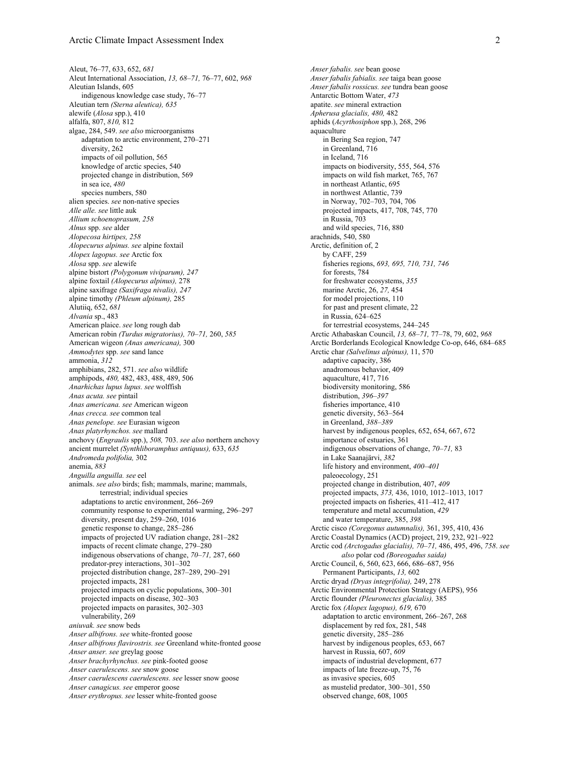Aleut, 76–77, 633, 652, *681* Aleut International Association, *13, 68–71,* 76–77, 602, *968* Aleutian Islands, 605 indigenous knowledge case study, 76–77 Aleutian tern *(Sterna aleutica), 635* alewife (*Alosa* spp.), 410 alfalfa, 807, *810,* 812 algae, 284, 549. *see also* microorganisms adaptation to arctic environment, 270–271 diversity, 262 impacts of oil pollution, 565 knowledge of arctic species, 540 projected change in distribution, 569 in sea ice, *480* species numbers, 580 alien species. *see* non-native species *Alle alle. see* little auk *Allium schoenoprasum, 258 Alnus* spp. *see* alder *Alopecosa hirtipes, 258 Alopecurus alpinus. see* alpine foxtail *Alopex lagopus. see* Arctic fox *Alosa* spp. *see* alewife alpine bistort *(Polygonum viviparum), 247* alpine foxtail *(Alopecurus alpinus),* 278 alpine saxifrage *(Saxifraga nivalis), 247* alpine timothy *(Phleum alpinum),* 285 Alutiiq, 652, *681 Alvania* sp., 483 American plaice. *see* long rough dab American robin *(Turdus migratorius), 70–71,* 260, *585* American wigeon *(Anas americana),* 300 *Ammodytes* spp. *see* sand lance ammonia, *312* amphibians, 282, 571. *see also* wildlife amphipods, *480,* 482, 483, 488, 489, 506 *Anarhichas lupus lupus. see* wolffish *Anas acuta. see* pintail *Anas americana. see* American wigeon *Anas crecca. see* common teal *Anas penelope. see* Eurasian wigeon *Anas platyrhynchos. see* mallard anchovy (*Engraulis* spp.), *508,* 703. *see also* northern anchovy ancient murrelet *(Synthliboramphus antiquus),* 633, *635 Andromeda polifolia,* 302 anemia, *883 Anguilla anguilla. see* eel animals. *see also* birds; fish; mammals, marine; mammals, terrestrial; individual species adaptations to arctic environment, 266–269 community response to experimental warming, 296–297 diversity, present day, 259–260, 1016 genetic response to change, 285–286 impacts of projected UV radiation change, 281–282 impacts of recent climate change, 279–280 indigenous observations of change, *70–71,* 287, 660 predator-prey interactions, 301–302 projected distribution change, 287–289, 290–291 projected impacts, 281 projected impacts on cyclic populations, 300–301 projected impacts on disease, 302–303 projected impacts on parasites, 302–303 vulnerability, 269 *aniuvak. see* snow beds *Anser albifrons. see* white-fronted goose *Anser albifrons flavirostris. see* Greenland white-fronted goose *Anser anser. see* greylag goose *Anser brachyrhynchus. see* pink-footed goose *Anser caerulescens. see* snow goose *Anser caerulescens caerulescens. see* lesser snow goose *Anser canagicus. see* emperor goose *Anser erythropus. see* lesser white-fronted goose

*Anser fabalis. see* bean goose *Anser fabalis fabialis. see* taiga bean goose *Anser fabalis rossicus. see* tundra bean goose Antarctic Bottom Water, *473* apatite. *see* mineral extraction *Apherusa glacialis, 480,* 482 aphids (*Acyrthosiphon* spp.), 268, 296 aquaculture in Bering Sea region, 747 in Greenland, 716 in Iceland, 716 impacts on biodiversity, 555, 564, 576 impacts on wild fish market, 765, 767 in northeast Atlantic, 695 in northwest Atlantic, 739 in Norway, 702–703, 704, 706 projected impacts, 417, 708, 745, 770 in Russia, 703 and wild species, 716, 880 arachnids, 540, 580 Arctic, definition of, 2 by CAFF, 259 fisheries regions, *693, 695, 710, 731, 746* for forests, 784 for freshwater ecosystems, *355* marine Arctic, 26, *27,* 454 for model projections, 110 for past and present climate, 22 in Russia, 624–625 for terrestrial ecosystems, 244–245 Arctic Athabaskan Council, *13, 68–71,* 77–78, 79, 602, *968* Arctic Borderlands Ecological Knowledge Co-op, 646, 684–685 Arctic char *(Salvelinus alpinus),* 11, 570 adaptive capacity, 386 anadromous behavior, 409 aquaculture, 417, 716 biodiversity monitoring, 586 distribution, *396–397* fisheries importance, 410 genetic diversity, 563–564 in Greenland, *388–389* harvest by indigenous peoples, 652, 654, 667, 672 importance of estuaries, 361 indigenous observations of change, *70–71,* 83 in Lake Saanajärvi, *382* life history and environment, *400–401* paleoecology, 251 projected change in distribution, 407, *409* projected impacts, *373,* 436, 1010, 1012–1013, 1017 projected impacts on fisheries, 411–412, 417 temperature and metal accumulation, *429* and water temperature, 385, *398* Arctic cisco *(Coregonus autumnalis),* 361, 395, 410, 436 Arctic Coastal Dynamics (ACD) project, 219, 232, 921–922 Arctic cod *(Arctogadus glacialis), 70–71,* 486, 495, 496, *758*. *see also* polar cod *(Boreogadus saida)* Arctic Council, 6, 560, 623, 666, 686–687, 956 Permanent Participants, *13,* 602 Arctic dryad *(Dryas integrifolia),* 249, 278 Arctic Environmental Protection Strategy (AEPS), 956 Arctic flounder *(Pleuronectes glacialis),* 385 Arctic fox *(Alopex lagopus), 619,* 670 adaptation to arctic environment, 266–267, 268 displacement by red fox, 281, 548 genetic diversity, 285–286 harvest by indigenous peoples, 653, 667 harvest in Russia, 607, *609* impacts of industrial development, 677 impacts of late freeze-up, 75, 76 as invasive species, 605 as mustelid predator, 300–301, 550 observed change, 608, 1005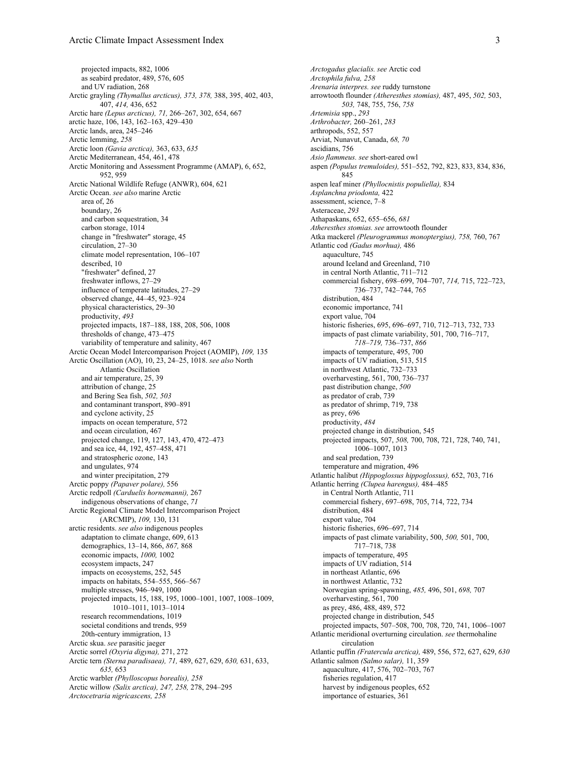projected impacts, 882, 1006 as seabird predator, 489, 576, 605 and UV radiation, 268 Arctic grayling *(Thymallus arcticus), 373, 378,* 388, 395, 402, 403, 407, *414,* 436, 652 Arctic hare *(Lepus arcticus), 71,* 266–267, 302, 654, 667 arctic haze, 106, 143, 162–163, 429–430 Arctic lands, area, 245–246 Arctic lemming, *258* Arctic loon *(Gavia arctica),* 363, 633, *635* Arctic Mediterranean, 454, 461, 478 Arctic Monitoring and Assessment Programme (AMAP), 6, 652, 952, 959 Arctic National Wildlife Refuge (ANWR), 604, 621 Arctic Ocean. *see also* marine Arctic area of, 26 boundary, 26 and carbon sequestration, 34 carbon storage, 1014 change in "freshwater" storage, 45 circulation, 27–30 climate model representation, 106–107 described, 10 "freshwater" defined, 27 freshwater inflows, 27–29 influence of temperate latitudes, 27–29 observed change, 44–45, 923–924 physical characteristics, 29–30 productivity, *493* projected impacts, 187–188, 188, 208, 506, 1008 thresholds of change, 473–475 variability of temperature and salinity, 467 Arctic Ocean Model Intercomparison Project (AOMIP), *109,* 135 Arctic Oscillation (AO), 10, 23, 24–25, 1018. *see also* North Atlantic Oscillation and air temperature, 25, 39 attribution of change, 25 and Bering Sea fish, *502, 503* and contaminant transport, 890–891 and cyclone activity, 25 impacts on ocean temperature, 572 and ocean circulation, 467 projected change, 119, 127, 143, 470, 472–473 and sea ice, 44, 192, 457–458, 471 and stratospheric ozone, 143 and ungulates, 974 and winter precipitation, 279 Arctic poppy *(Papaver polare),* 556 Arctic redpoll *(Carduelis hornemanni),* 267 indigenous observations of change, *71* Arctic Regional Climate Model Intercomparison Project (ARCMIP), *109,* 130, 131 arctic residents. *see also* indigenous peoples adaptation to climate change, 609, 613 demographics, 13–14, 866, *867,* 868 economic impacts, *1000,* 1002 ecosystem impacts, 247 impacts on ecosystems, 252, 545 impacts on habitats, 554–555, 566–567 multiple stresses, 946–949, 1000 projected impacts, 15, 188, 195, 1000–1001, 1007, 1008–1009, 1010–1011, 1013–1014 research recommendations, 1019 societal conditions and trends, 959 20th-century immigration, 13 Arctic skua. *see* parasitic jaeger Arctic sorrel *(Oxyria digyna),* 271, 272 Arctic tern *(Sterna paradisaea), 71,* 489, 627, 629, *630,* 631, 633, *635,* 653 Arctic warbler *(Phylloscopus borealis), 258* Arctic willow *(Salix arctica), 247, 258,* 278, 294–295 *Arctocetraria nigricascens, 258*

*Arctogadus glacialis. see* Arctic cod *Arctophila fulva, 258 Arenaria interpres. see* ruddy turnstone arrowtooth flounder *(Atheresthes stomias),* 487, 495, *502,* 503, *503,* 748, 755, 756, *758 Artemisia* spp., *293 Arthrobacter,* 260–261, *283* arthropods, 552, 557 Arviat, Nunavut, Canada, *68, 70* ascidians, 756 *Asio flammeus. see* short-eared owl aspen *(Populus tremuloides),* 551–552, 792, 823, 833, 834, 836, 845 aspen leaf miner *(Phyllocnistis populiella),* 834 *Asplanchna priodonta,* 422 assessment, science, 7–8 Asteraceae, *293* Athapaskans, 652, 655–656, *681 Atheresthes stomias. see* arrowtooth flounder Atka mackerel *(Pleurogrammus monoptergius), 758,* 760, 767 Atlantic cod *(Gadus morhua),* 486 aquaculture, 745 around Iceland and Greenland, 710 in central North Atlantic, 711–712 commercial fishery, 698–699, 704–707, *714,* 715, 722–723, 736–737, 742–744, 765 distribution, 484 economic importance, 741 export value, 704 historic fisheries, 695, 696–697, 710, 712–713, 732, 733 impacts of past climate variability, 501, 700, 716–717, *718–719,* 736–737, *866* impacts of temperature, 495, 700 impacts of UV radiation, 513, 515 in northwest Atlantic, 732–733 overharvesting, 561, 700, 736–737 past distribution change, *500* as predator of crab, 739 as predator of shrimp, 719, 738 as prey, 696 productivity, *484* projected change in distribution, 545 projected impacts, 507, *508,* 700, 708, 721, 728, 740, 741, 1006–1007, 1013 and seal predation, 739 temperature and migration, 496 Atlantic halibut *(Hippoglossus hippoglossus),* 652, 703, 716 Atlantic herring *(Clupea harengus),* 484–485 in Central North Atlantic, 711 commercial fishery, 697–698, 705, 714, 722, 734 distribution, 484 export value, 704 historic fisheries, 696–697, 714 impacts of past climate variability, 500, *500,* 501, 700, 717–718, 738 impacts of temperature, 495 impacts of UV radiation, 514 in northeast Atlantic, 696 in northwest Atlantic, 732 Norwegian spring-spawning, *485,* 496, 501, *698,* 707 overharvesting, 561, 700 as prey, 486, 488, 489, 572 projected change in distribution, 545 projected impacts, 507–508, 700, 708, 720, 741, 1006–1007 Atlantic meridional overturning circulation. *see* thermohaline circulation Atlantic puffin *(Fratercula arctica),* 489, 556, 572, 627, 629, *630* Atlantic salmon *(Salmo salar),* 11, 359 aquaculture, 417, 576, 702–703, 767 fisheries regulation, 417 harvest by indigenous peoples, 652 importance of estuaries, 361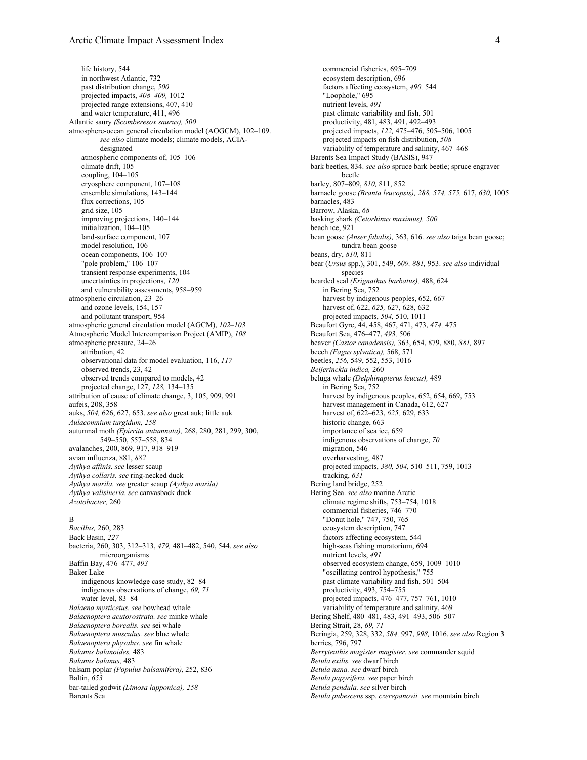life history, 544 in northwest Atlantic, 732 past distribution change, *500* projected impacts, *408–409,* 1012 projected range extensions, 407, 410 and water temperature, 411, 496 Atlantic saury *(Scomberesox saurus), 500* atmosphere-ocean general circulation model (AOGCM), 102–109. *see also* climate models; climate models, ACIAdesignated atmospheric components of, 105–106 climate drift, 105 coupling, 104–105 cryosphere component, 107–108 ensemble simulations, 143–144 flux corrections, 105 grid size, 105 improving projections, 140–144 initialization, 104–105 land-surface component, 107 model resolution, 106 ocean components, 106–107 "pole problem," 106–107 transient response experiments, 104 uncertainties in projections, *120* and vulnerability assessments, 958–959 atmospheric circulation, 23–26 and ozone levels, 154, 157 and pollutant transport, 954 atmospheric general circulation model (AGCM), *102–103* Atmospheric Model Intercomparison Project (AMIP), *108* atmospheric pressure, 24–26 attribution, 42 observational data for model evaluation, 116, *117* observed trends, 23, 42 observed trends compared to models, 42 projected change, 127, *128,* 134–135 attribution of cause of climate change, 3, 105, 909, 991 aufeis, 208, 358 auks, *504,* 626, 627, 653. *see also* great auk; little auk *Aulacomnium turgidum, 258* autumnal moth *(Epirrita autumnata),* 268, 280, 281, 299, 300, 549–550, 557–558, 834 avalanches, 200, 869, 917, 918–919 avian influenza, 881, *882 Aythya affinis. see* lesser scaup *Aythya collaris. see* ring-necked duck *Aythya marila. see* greater scaup *(Aythya marila) Aythya valisineria. see* canvasback duck *Azotobacter,* 260

### B

*Bacillus,* 260, 283 Back Basin, *227* bacteria, 260, 303, 312–313, *479,* 481–482, 540, 544. *see also* microorganisms Baffin Bay, 476–477, *493* Baker Lake indigenous knowledge case study, 82–84 indigenous observations of change, *69, 71* water level, 83–84 *Balaena mysticetus. see* bowhead whale *Balaenoptera acutorostrata. see* minke whale *Balaenoptera borealis. see* sei whale *Balaenoptera musculus. see* blue whale *Balaenoptera physalus. see* fin whale *Balanus balanoides,* 483 *Balanus balanus,* 483 balsam poplar *(Populus balsamifera),* 252, 836 Baltin, *653* bar-tailed godwit *(Limosa lapponica), 258* Barents Sea

commercial fisheries, 695–709 ecosystem description, 696 factors affecting ecosystem, *490,* 544 "Loophole," 695 nutrient levels, *491* past climate variability and fish, 501 productivity, 481, 483, 491, 492–493 projected impacts, *122,* 475–476, 505–506, 1005 projected impacts on fish distribution, *508* variability of temperature and salinity, 467–468 Barents Sea Impact Study (BASIS), 947 bark beetles, 834. *see also* spruce bark beetle; spruce engraver beetle barley, 807–809, *810,* 811, 852 barnacle goose *(Branta leucopsis), 288, 574, 575,* 617, *630,* 1005 barnacles, 483 Barrow, Alaska, *68* basking shark *(Cetorhinus maximus), 500* beach ice, 921 bean goose *(Anser fabalis),* 363, 616. *see also* taiga bean goose; tundra bean goose beans, dry, *810,* 811 bear (*Ursus* spp.), 301, 549, *609, 881,* 953. *see also* individual species bearded seal *(Erignathus barbatus),* 488, 624 in Bering Sea, 752 harvest by indigenous peoples, 652, 667 harvest of, 622, *625,* 627, 628, 632 projected impacts, *504,* 510, 1011 Beaufort Gyre, 44, 458, 467, 471, 473, *474,* 475 Beaufort Sea, 476–477, *493,* 506 beaver *(Castor canadensis),* 363, 654, 879, 880, *881,* 897 beech *(Fagus sylvatica),* 568, 571 beetles, *256,* 549, 552, 553, 1016 *Beijerinckia indica,* 260 beluga whale *(Delphinapterus leucas),* 489 in Bering Sea, 752 harvest by indigenous peoples, 652, 654, 669, 753 harvest management in Canada, 612, 627 harvest of, 622–623, *625,* 629, 633 historic change, 663 importance of sea ice, 659 indigenous observations of change, *70* migration, 546 overharvesting, 487 projected impacts, *380, 504,* 510–511, 759, 1013 tracking, *631* Bering land bridge, 252 Bering Sea. *see also* marine Arctic climate regime shifts, 753–754, 1018 commercial fisheries, 746–770 "Donut hole," 747, 750, 765 ecosystem description, 747 factors affecting ecosystem, 544 high-seas fishing moratorium, 694 nutrient levels, *491* observed ecosystem change, 659, 1009–1010 "oscillating control hypothesis," 755 past climate variability and fish, 501–504 productivity, 493, 754–755 projected impacts, 476–477, 757–761, 1010 variability of temperature and salinity, 469 Bering Shelf, 480–481, 483, 491–493, 506–507 Bering Strait, 28, *69, 71* Beringia, 259, 328, 332, *584,* 997, *998,* 1016. *see also* Region 3 berries, 796, 797 *Berryteuthis magister magister. see* commander squid *Betula exilis. see* dwarf birch *Betula nana. see* dwarf birch *Betula papyrifera. see* paper birch *Betula pendula. see* silver birch *Betula pubescens* ssp. *czerepanovii. see* mountain birch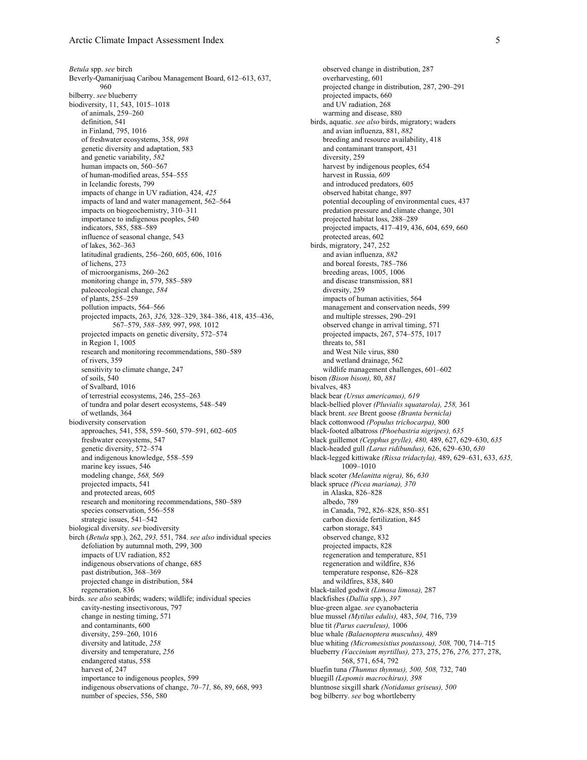*Betula* spp. *see* birch Beverly-Qamanirjuaq Caribou Management Board, 612–613, 637, 960 bilberry. *see* blueberry biodiversity, 11, 543, 1015–1018 of animals, 259–260 definition, 541 in Finland, 795, 1016 of freshwater ecosystems, 358, *998* genetic diversity and adaptation, 583 and genetic variability, *582* human impacts on, 560–567 of human-modified areas, 554–555 in Icelandic forests, 799 impacts of change in UV radiation, 424, *425* impacts of land and water management, 562–564 impacts on biogeochemistry, 310–311 importance to indigenous peoples, 540 indicators, 585, 588–589 influence of seasonal change, 543 of lakes, 362–363 latitudinal gradients, 256–260, 605, 606, 1016 of lichens, 273 of microorganisms, 260–262 monitoring change in, 579, 585–589 paleoecological change, *584* of plants, 255–259 pollution impacts, 564–566 projected impacts, 263, *326,* 328–329, 384–386, 418, 435–436, 567–579, *588–589,* 997, *998,* 1012 projected impacts on genetic diversity, 572–574 in Region 1, 1005 research and monitoring recommendations, 580–589 of rivers, 359 sensitivity to climate change, 247 of soils, 540 of Svalbard, 1016 of terrestrial ecosystems, 246, 255–263 of tundra and polar desert ecosystems, 548–549 of wetlands, 364 biodiversity conservation approaches, 541, 558, 559–560, 579–591, 602–605 freshwater ecosystems, 547 genetic diversity, 572–574 and indigenous knowledge, 558–559 marine key issues, 546 modeling change, *568,* 569 projected impacts, 541 and protected areas, 605 research and monitoring recommendations, 580–589 species conservation, 556–558 strategic issues, 541–542 biological diversity. *see* biodiversity birch (*Betula* spp.), 262, *293,* 551, 784. *see also* individual species defoliation by autumnal moth, 299, 300 impacts of UV radiation, 852 indigenous observations of change, 685 past distribution, 368–369 projected change in distribution, 584 regeneration, 836 birds. *see also* seabirds; waders; wildlife; individual species cavity-nesting insectivorous, 797 change in nesting timing, 571 and contaminants, 600 diversity, 259–260, 1016 diversity and latitude, *258* diversity and temperature, *256* endangered status, 558 harvest of, 247 importance to indigenous peoples, 599 indigenous observations of change, *70–71,* 86, 89, 668, 993 number of species, 556, 580

observed change in distribution, 287 overharvesting, 601 projected change in distribution, 287, 290–291 projected impacts, 660 and UV radiation, 268 warming and disease, 880 birds, aquatic. *see also* birds, migratory; waders and avian influenza, 881, *882* breeding and resource availability, 418 and contaminant transport, 431 diversity, 259 harvest by indigenous peoples, 654 harvest in Russia, *609* and introduced predators, 605 observed habitat change, 897 potential decoupling of environmental cues, 437 predation pressure and climate change, 301 projected habitat loss, 288–289 projected impacts, 417–419, 436, 604, 659, 660 protected areas, 602 birds, migratory, 247, 252 and avian influenza, *882* and boreal forests, 785–786 breeding areas, 1005, 1006 and disease transmission, 881 diversity, 259 impacts of human activities, 564 management and conservation needs, 599 and multiple stresses, 290–291 observed change in arrival timing, 571 projected impacts, 267, 574–575, 1017 threats to, 581 and West Nile virus, 880 and wetland drainage, 562 wildlife management challenges, 601–602 bison *(Bison bison),* 80, *881* bivalves, 483 black bear *(Ursus americanus), 619* black-bellied plover *(Pluvialis squatarola), 258,* 361 black brent. *see* Brent goose *(Branta bernicla)* black cottonwood *(Populus trichocarpa),* 800 black-footed albatross *(Phoebastria nigripes), 635* black guillemot *(Cepphus grylle), 480,* 489, 627, 629–630, *635* black-headed gull *(Larus ridibundus),* 626, 629–630, *630* black-legged kittiwake *(Rissa tridactyla),* 489, 629–631, 633, *635,* 1009–1010 black scoter *(Melanitta nigra),* 86, *630* black spruce *(Picea mariana), 370* in Alaska, 826–828 albedo, 789 in Canada, 792, 826–828, 850–851 carbon dioxide fertilization, 845 carbon storage, 843 observed change, 832 projected impacts, 828 regeneration and temperature, 851 regeneration and wildfire, 836 temperature response, 826–828 and wildfires, 838, 840 black-tailed godwit *(Limosa limosa),* 287 blackfishes (*Dallia* spp.), *397* blue-green algae. *see* cyanobacteria blue mussel *(Mytilus edulis),* 483, *504,* 716, 739 blue tit *(Parus caeruleus),* 1006 blue whale *(Balaenoptera musculus),* 489 blue whiting *(Micromesistius poutassou), 508,* 700, 714–715 blueberry *(Vaccinium myrtillus),* 273, 275, 276, *276,* 277, 278, 568, 571, 654, 792 bluefin tuna *(Thunnus thynnus), 500, 508,* 732, 740 bluegill *(Lepomis macrochirus), 398* bluntnose sixgill shark *(Notidanus griseus), 500* bog bilberry. *see* bog whortleberry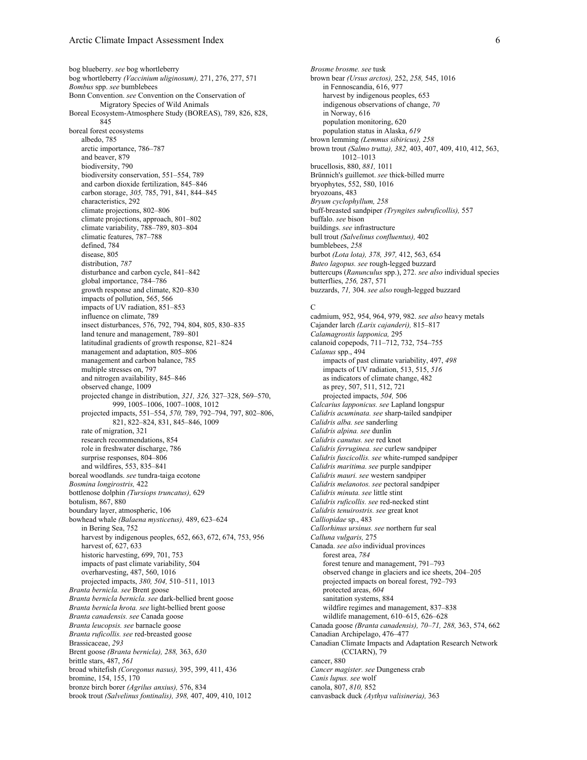bog blueberry. *see* bog whortleberry bog whortleberry *(Vaccinium uliginosum),* 271, 276, 277, 571 *Bombus* spp. *see* bumblebees Bonn Convention. *see* Convention on the Conservation of Migratory Species of Wild Animals Boreal Ecosystem-Atmosphere Study (BOREAS), 789, 826, 828, 845 boreal forest ecosystems albedo, 785 arctic importance, 786–787 and beaver, 879 biodiversity, 790 biodiversity conservation, 551–554, 789 and carbon dioxide fertilization, 845–846 carbon storage, *305,* 785, 791, 841, 844–845 characteristics, 292 climate projections, 802–806 climate projections, approach, 801–802 climate variability, 788–789, 803–804 climatic features, 787–788 defined, 784 disease, 805 distribution, *787* disturbance and carbon cycle, 841–842 global importance, 784–786 growth response and climate, 820–830 impacts of pollution, 565, 566 impacts of UV radiation, 851–853 influence on climate, 789 insect disturbances, 576, 792, 794, 804, 805, 830–835 land tenure and management, 789–801 latitudinal gradients of growth response, 821–824 management and adaptation, 805–806 management and carbon balance, 785 multiple stresses on, 797 and nitrogen availability, 845–846 observed change, 1009 projected change in distribution, *321, 326,* 327–328, 569–570, 999, 1005–1006, 1007–1008, 1012 projected impacts, 551–554, *570,* 789, 792–794, 797, 802–806, 821, 822–824, 831, 845–846, 1009 rate of migration, 321 research recommendations, 854 role in freshwater discharge, 786 surprise responses, 804–806 and wildfires, 553, 835–841 boreal woodlands. *see* tundra-taiga ecotone *Bosmina longirostris,* 422 bottlenose dolphin *(Tursiops truncatus),* 629 botulism, 867, 880 boundary layer, atmospheric, 106 bowhead whale *(Balaena mysticetus),* 489, 623–624 in Bering Sea, 752 harvest by indigenous peoples, 652, 663, 672, 674, 753, 956 harvest of, 627, 633 historic harvesting, 699, 701, 753 impacts of past climate variability, 504 overharvesting, 487, 560, 1016 projected impacts, *380, 504,* 510–511, 1013 *Branta bernicla. see* Brent goose *Branta bernicla bernicla. see* dark-bellied brent goose *Branta bernicla hrota. see* light-bellied brent goose *Branta canadensis. see* Canada goose *Branta leucopsis. see* barnacle goose *Branta ruficollis. see* red-breasted goose Brassicaceae, *293* Brent goose *(Branta bernicla), 288,* 363, *630* brittle stars, 487, *561* broad whitefish *(Coregonus nasus),* 395, 399, 411, 436 bromine, 154, 155, 170 bronze birch borer *(Agrilus anxius),* 576, 834 brook trout *(Salvelinus fontinalis), 398,* 407, 409, 410, 1012

*Brosme brosme. see* tusk brown bear *(Ursus arctos),* 252, *258,* 545, 1016 in Fennoscandia, 616, 977 harvest by indigenous peoples, 653 indigenous observations of change, *70* in Norway, 616 population monitoring, 620 population status in Alaska, *619* brown lemming *(Lemmus sibiricus), 258* brown trout *(Salmo trutta), 382,* 403, 407, 409, 410, 412, 563, 1012–1013 brucellosis, 880, *881,* 1011 Brünnich's guillemot. *see* thick-billed murre bryophytes, 552, 580, 1016 bryozoans, 483 *Bryum cyclophyllum, 258* buff-breasted sandpiper *(Tryngites subruficollis),* 557 buffalo. *see* bison buildings. *see* infrastructure bull trout *(Salvelinus confluentus),* 402 bumblebees, *258* burbot *(Lota lota), 378, 397,* 412, 563, 654 *Buteo lagopus. see* rough-legged buzzard buttercups (*Ranunculus* spp.), 272. *see also* individual species butterflies, *256,* 287, 571 buzzards, *71,* 304. *see also* rough-legged buzzard

#### $\overline{C}$

cadmium, 952, 954, 964, 979, 982. *see also* heavy metals Cajander larch *(Larix cajanderi),* 815–817 *Calamagrostis lapponica,* 295 calanoid copepods, 711–712, 732, 754–755 *Calanus* spp., 494 impacts of past climate variability, 497, *498* impacts of UV radiation, 513, 515, *516* as indicators of climate change, 482 as prey, 507, 511, 512, 721 projected impacts, *504,* 506 *Calcarius lapponicus. see* Lapland longspur *Calidris acuminata. see* sharp-tailed sandpiper *Calidris alba. see* sanderling *Calidris alpina. see* dunlin *Calidris canutus. see* red knot *Calidris ferruginea. see* curlew sandpiper *Calidris fuscicollis. see* white-rumped sandpiper *Calidris maritima. see* purple sandpiper *Calidris mauri. see* western sandpiper *Calidris melanotos. see* pectoral sandpiper *Calidris minuta. see* little stint *Calidris ruficollis. see* red-necked stint *Calidris tenuirostris. see* great knot *Calliopidae* sp., 483 *Callorhinus ursinus. see* northern fur seal *Calluna vulgaris,* 275 Canada. *see also* individual provinces forest area, *784* forest tenure and management, 791–793 observed change in glaciers and ice sheets, 204–205 projected impacts on boreal forest, 792–793 protected areas, *604* sanitation systems, 884 wildfire regimes and management, 837–838 wildlife management, 610–615, 626–628 Canada goose *(Branta canadensis), 70–71, 288,* 363, 574, 662 Canadian Archipelago, 476–477 Canadian Climate Impacts and Adaptation Research Network (CCIARN), 79 cancer, 880 *Cancer magister. see* Dungeness crab *Canis lupus. see* wolf canola, 807, *810,* 852 canvasback duck *(Aythya valisineria),* 363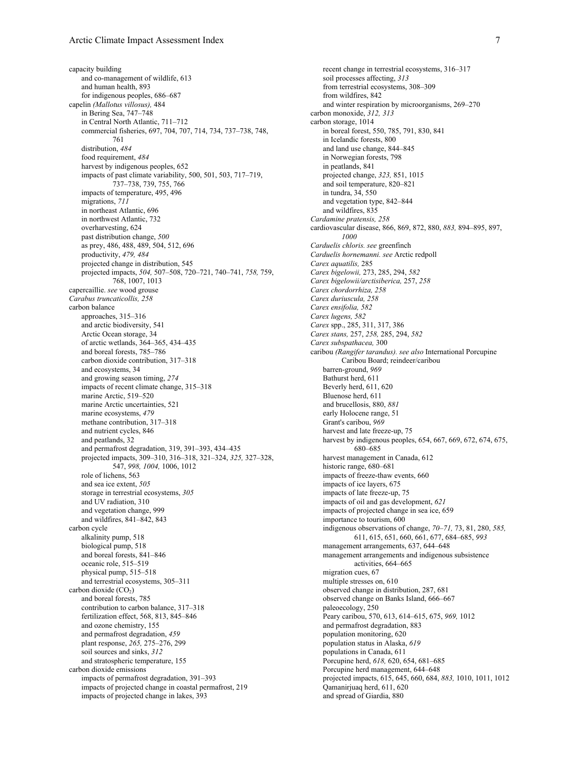capacity building and co-management of wildlife, 613 and human health, 893 for indigenous peoples, 686–687 capelin *(Mallotus villosus),* 484 in Bering Sea, 747–748 in Central North Atlantic, 711–712 commercial fisheries, 697, 704, 707, 714, 734, 737–738, 748, 761 distribution, *484* food requirement, *484* harvest by indigenous peoples, 652 impacts of past climate variability, 500, 501, 503, 717–719, 737–738, 739, 755, 766 impacts of temperature, 495, 496 migrations, *711* in northeast Atlantic, 696 in northwest Atlantic, 732 overharvesting, 624 past distribution change, *500* as prey, 486, 488, 489, 504, 512, 696 productivity, *479, 484* projected change in distribution, 545 projected impacts, *504,* 507–508, 720–721, 740–741, *758,* 759, 768, 1007, 1013 capercaillie. *see* wood grouse *Carabus truncaticollis, 258* carbon balance approaches, 315–316 and arctic biodiversity, 541 Arctic Ocean storage, 34 of arctic wetlands, 364–365, 434–435 and boreal forests, 785–786 carbon dioxide contribution, 317–318 and ecosystems, 34 and growing season timing, *274* impacts of recent climate change, 315–318 marine Arctic, 519–520 marine Arctic uncertainties, 521 marine ecosystems, *479* methane contribution, 317–318 and nutrient cycles, 846 and peatlands, 32 and permafrost degradation, 319, 391–393, 434–435 projected impacts, 309–310, 316–318, 321–324, *325,* 327–328, 547, *998, 1004,* 1006, 1012 role of lichens, 563 and sea ice extent, *505* storage in terrestrial ecosystems, *305* and UV radiation, 310 and vegetation change, 999 and wildfires, 841–842, 843 carbon cycle alkalinity pump, 518 biological pump, 518 and boreal forests, 841–846 oceanic role, 515–519 physical pump, 515–518 and terrestrial ecosystems, 305–311 carbon dioxide  $(CO<sub>2</sub>)$ and boreal forests, 785 contribution to carbon balance, 317–318 fertilization effect, 568, 813, 845–846 and ozone chemistry, 155 and permafrost degradation, *459* plant response, *265,* 275–276, 299 soil sources and sinks, *312* and stratospheric temperature, 155 carbon dioxide emissions impacts of permafrost degradation, 391–393 impacts of projected change in coastal permafrost, 219 impacts of projected change in lakes, 393

recent change in terrestrial ecosystems, 316–317 soil processes affecting, *313* from terrestrial ecosystems, 308–309 from wildfires, 842 and winter respiration by microorganisms, 269–270 carbon monoxide, *312, 313* carbon storage, 1014 in boreal forest, 550, 785, 791, 830, 841 in Icelandic forests, 800 and land use change, 844–845 in Norwegian forests, 798 in peatlands, 841 projected change, *323,* 851, 1015 and soil temperature, 820–821 in tundra, 34, 550 and vegetation type, 842–844 and wildfires, 835 *Cardamine pratensis, 258* cardiovascular disease, 866, 869, 872, 880, *883,* 894–895, 897, *1000 Carduelis chloris. see* greenfinch *Carduelis hornemanni. see* Arctic redpoll *Carex aquatilis,* 285 *Carex bigelowii,* 273, 285, 294, *582 Carex bigelowii/arctisiberica,* 257, *258 Carex chordorrhiza, 258 Carex duriuscula, 258 Carex ensifolia, 582 Carex lugens, 582 Carex* spp., 285, 311, 317, 386 *Carex stans,* 257, *258,* 285, 294, *582 Carex subspathacea,* 300 caribou *(Rangifer tarandus). see also* International Porcupine Caribou Board; reindeer/caribou barren-ground, *969* Bathurst herd, 611 Beverly herd, 611, 620 Bluenose herd, 611 and brucellosis, 880, *881* early Holocene range, 51 Grant's caribou, *969* harvest and late freeze-up, 75 harvest by indigenous peoples, 654, 667, 669, 672, 674, 675, 680–685 harvest management in Canada, 612 historic range, 680–681 impacts of freeze-thaw events, 660 impacts of ice layers, 675 impacts of late freeze-up, 75 impacts of oil and gas development, *621* impacts of projected change in sea ice, 659 importance to tourism, 600 indigenous observations of change, *70–71,* 73, 81, 280, *585,* 611, 615, 651, 660, 661, 677, 684–685, *993* management arrangements, 637, 644–648 management arrangements and indigenous subsistence activities, 664–665 migration cues, 67 multiple stresses on, 610 observed change in distribution, 287, 681 observed change on Banks Island, 666–667 paleoecology, 250 Peary caribou, 570, 613, 614–615, 675, *969,* 1012 and permafrost degradation, 883 population monitoring, 620 population status in Alaska, *619* populations in Canada, 611 Porcupine herd, *618,* 620, 654, 681–685 Porcupine herd management, 644–648 projected impacts, 615, 645, 660, 684, *883,* 1010, 1011, 1012 Qamanirjuaq herd, 611, 620 and spread of Giardia, 880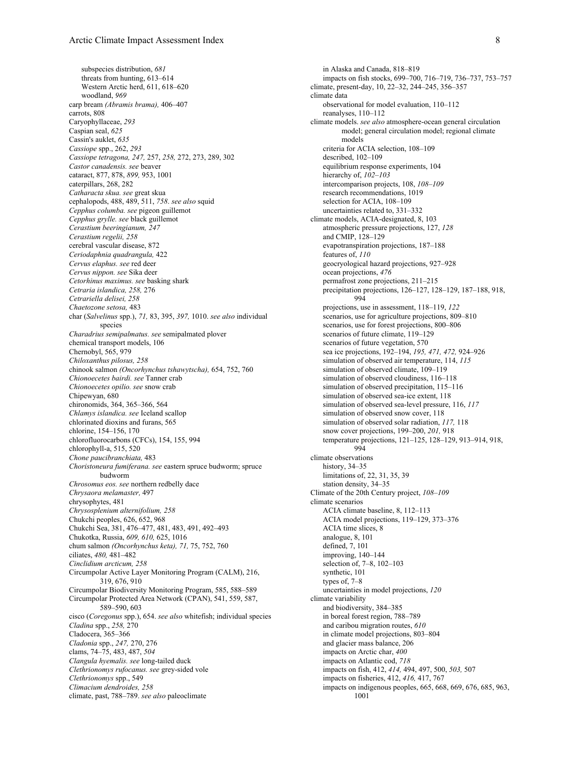subspecies distribution, *681* threats from hunting, 613–614 Western Arctic herd, 611, 618–620 woodland, *969* carp bream *(Abramis brama),* 406–407 carrots, 808 Caryophyllaceae, *293* Caspian seal, *625* Cassin's auklet, *635 Cassiope* spp., 262, *293 Cassiope tetragona, 247,* 257, *258,* 272, 273, 289, 302 *Castor canadensis. see* beaver cataract, 877, 878, *899,* 953, 1001 caterpillars, 268, 282 *Catharacta skua. see* great skua cephalopods, 488, 489, 511, *758*. *see also* squid *Cepphus columba. see* pigeon guillemot *Cepphus grylle. see* black guillemot *Cerastium beeringianum, 247 Cerastium regelii, 258* cerebral vascular disease, 872 *Ceriodaphnia quadrangula,* 422 *Cervus elaphus. see* red deer *Cervus nippon. see* Sika deer *Cetorhinus maximus. see* basking shark *Cetraria islandica, 258,* 276 *Cetrariella delisei, 258 Chaetozone setosa,* 483 char (*Salvelinus* spp.), *71,* 83, 395, *397,* 1010. *see also* individual species *Charadrius semipalmatus. see* semipalmated plover chemical transport models, 106 Chernobyl, 565, 979 *Chiloxanthus pilosus, 258* chinook salmon *(Oncorhynchus tshawytscha),* 654, 752, 760 *Chionoecetes bairdi. see* Tanner crab *Chionoecetes opilio. see* snow crab Chipewyan, 680 chironomids, 364, 365–366, 564 *Chlamys islandica. see* Iceland scallop chlorinated dioxins and furans, 565 chlorine, 154–156, 170 chlorofluorocarbons (CFCs), 154, 155, 994 chlorophyll-a, 515, 520 *Chone paucibranchiata,* 483 *Choristoneura fumiferana. see* eastern spruce budworm; spruce budworm *Chrosomus eos. see* northern redbelly dace *Chrysaora melamaster,* 497 chrysophytes, 481 *Chrysosplenium alternifolium, 258* Chukchi peoples, 626, 652, 968 Chukchi Sea, 381, 476–477, 481, 483, 491, 492–493 Chukotka, Russia, *609, 610,* 625, 1016 chum salmon *(Oncorhynchus keta), 71,* 75, 752, 760 ciliates, *480,* 481–482 *Cinclidium arcticum, 258* Circumpolar Active Layer Monitoring Program (CALM), 216, 319, 676, 910 Circumpolar Biodiversity Monitoring Program, 585, 588–589 Circumpolar Protected Area Network (CPAN), 541, 559, 587, 589–590, 603 cisco (*Coregonus* spp.), 654. *see also* whitefish; individual species *Cladina* spp., *258,* 270 Cladocera, 365–366 *Cladonia* spp., *247,* 270, 276 clams, 74–75, 483, 487, *504 Clangula hyemalis. see* long-tailed duck *Clethrionomys rufocanus. see* grey-sided vole *Clethrionomys* spp., 549 *Climacium dendroides, 258* climate, past, 788–789. *see also* paleoclimate

in Alaska and Canada, 818–819 impacts on fish stocks, 699–700, 716–719, 736–737, 753–757 climate, present-day, 10, 22–32, 244–245, 356–357 climate data observational for model evaluation, 110–112 reanalyses, 110–112 climate models. *see also* atmosphere-ocean general circulation model; general circulation model; regional climate models criteria for ACIA selection, 108–109 described, 102–109 equilibrium response experiments, 104 hierarchy of, *102–103* intercomparison projects, 108, *108–109* research recommendations, 1019 selection for ACIA, 108–109 uncertainties related to, 331–332 climate models, ACIA-designated, 8, 103 atmospheric pressure projections, 127, *128* and CMIP, 128–129 evapotranspiration projections, 187–188 features of, *110* geocryological hazard projections, 927–928 ocean projections, *476* permafrost zone projections, 211–215 precipitation projections, 126–127, 128–129, 187–188, 918, 994 projections, use in assessment, 118–119, *122* scenarios, use for agriculture projections, 809–810 scenarios, use for forest projections, 800–806 scenarios of future climate, 119–129 scenarios of future vegetation, 570 sea ice projections, 192–194, *195, 471, 472,* 924–926 simulation of observed air temperature, 114, *115* simulation of observed climate, 109–119 simulation of observed cloudiness, 116–118 simulation of observed precipitation, 115–116 simulation of observed sea-ice extent, 118 simulation of observed sea-level pressure, 116, *117* simulation of observed snow cover, 118 simulation of observed solar radiation, *117,* 118 snow cover projections, 199–200, *201,* 918 temperature projections, 121–125, 128–129, 913–914, 918, 994 climate observations history, 34–35 limitations of, 22, 31, 35, 39 station density, 34–35 Climate of the 20th Century project, *108–109* climate scenarios ACIA climate baseline, 8, 112–113 ACIA model projections, 119–129, 373–376 ACIA time slices, 8 analogue, 8, 101 defined, 7, 101 improving, 140–144 selection of, 7–8, 102–103 synthetic, 101 types of, 7–8 uncertainties in model projections, *120* climate variability and biodiversity, 384–385 in boreal forest region, 788–789 and caribou migration routes, *610* in climate model projections, 803–804 and glacier mass balance, 206 impacts on Arctic char, *400* impacts on Atlantic cod, *718* impacts on fish, 412, *414,* 494, 497, 500, *503,* 507 impacts on fisheries, 412, *416,* 417, 767 impacts on indigenous peoples, 665, 668, 669, 676, 685, 963, 1001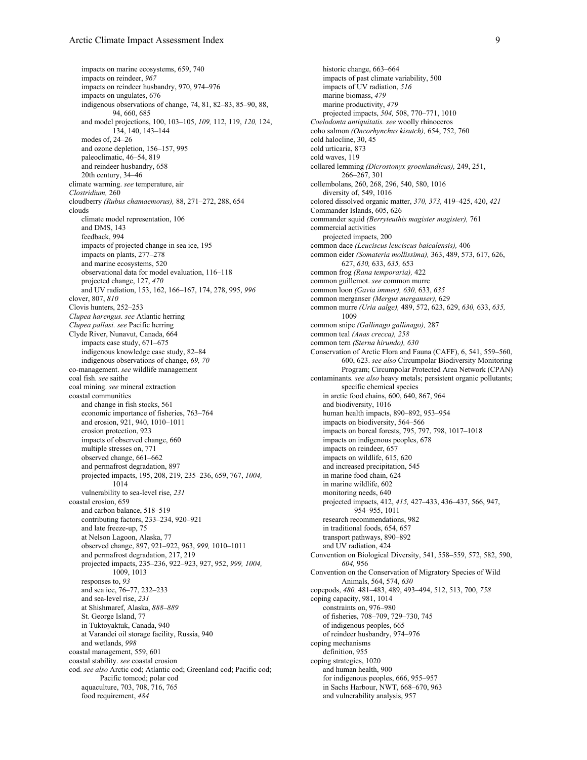impacts on marine ecosystems, 659, 740 impacts on reindeer, *967* impacts on reindeer husbandry, 970, 974–976 impacts on ungulates, 676 indigenous observations of change, 74, 81, 82–83, 85–90, 88, 94, 660, 685 and model projections, 100, 103–105, *109,* 112, 119, *120,* 124, 134, 140, 143–144 modes of, 24–26 and ozone depletion, 156–157, 995 paleoclimatic, 46–54, 819 and reindeer husbandry, 658 20th century, 34–46 climate warming. *see* temperature, air *Clostridium,* 260 cloudberry *(Rubus chamaemorus),* 88, 271–272, 288, 654 clouds climate model representation, 106 and DMS, 143 feedback, 994 impacts of projected change in sea ice, 195 impacts on plants, 277–278 and marine ecosystems, 520 observational data for model evaluation, 116–118 projected change, 127, *470* and UV radiation, 153, 162, 166–167, 174, 278, 995, *996* clover, 807, *810* Clovis hunters, 252–253 *Clupea harengus. see* Atlantic herring *Clupea pallasi. see* Pacific herring Clyde River, Nunavut, Canada, 664 impacts case study, 671–675 indigenous knowledge case study, 82–84 indigenous observations of change, *69, 70* co-management. *see* wildlife management coal fish. *see* saithe coal mining. *see* mineral extraction coastal communities and change in fish stocks, 561 economic importance of fisheries, 763–764 and erosion, 921, 940, 1010–1011 erosion protection, 923 impacts of observed change, 660 multiple stresses on, 771 observed change, 661–662 and permafrost degradation, 897 projected impacts, 195, 208, 219, 235–236, 659, 767, *1004,* 1014 vulnerability to sea-level rise, *231* coastal erosion, 659 and carbon balance, 518–519 contributing factors, 233–234, 920–921 and late freeze-up, 75 at Nelson Lagoon, Alaska, 77 observed change, 897, 921–922, 963, *999,* 1010–1011 and permafrost degradation, 217, 219 projected impacts, 235–236, 922–923, 927, 952, *999, 1004,* 1009, 1013 responses to, *93* and sea ice, 76–77, 232–233 and sea-level rise, *231* at Shishmaref, Alaska, *888–889* St. George Island, 77 in Tuktoyaktuk, Canada, 940 at Varandei oil storage facility, Russia, 940 and wetlands, *998* coastal management, 559, 601 coastal stability. *see* coastal erosion cod. *see also* Arctic cod; Atlantic cod; Greenland cod; Pacific cod; Pacific tomcod; polar cod aquaculture, 703, 708, 716, 765 food requirement, *484*

historic change, 663–664 impacts of past climate variability, 500 impacts of UV radiation, *516* marine biomass, *479* marine productivity, *479* projected impacts, *504,* 508, 770–771, 1010 *Coelodonta antiquitatis. see* woolly rhinoceros coho salmon *(Oncorhynchus kisutch),* 654, 752, 760 cold halocline, 30, 45 cold urticaria, 873 cold waves, 119 collared lemming *(Dicrostonyx groenlandicus),* 249, 251, 266–267, 301 collembolans, 260, 268, 296, 540, 580, 1016 diversity of, 549, 1016 colored dissolved organic matter, *370, 373,* 419–425, 420, *421* Commander Islands, 605, 626 commander squid *(Berryteuthis magister magister),* 761 commercial activities projected impacts, 200 common dace *(Leuciscus leuciscus baicalensis),* 406 common eider *(Somateria mollissima),* 363, 489, 573, 617, 626, 627, *630,* 633, *635,* 653 common frog *(Rana temporaria),* 422 common guillemot. *see* common murre common loon *(Gavia immer), 630,* 633, *635* common merganser *(Mergus merganser),* 629 common murre *(Uria aalge),* 489, 572, 623, 629, *630,* 633, *635,* 1009 common snipe *(Gallinago gallinago),* 287 common teal *(Anas crecca), 258* common tern *(Sterna hirundo), 630* Conservation of Arctic Flora and Fauna (CAFF), 6, 541, 559–560, 600, 623. *see also* Circumpolar Biodiversity Monitoring Program; Circumpolar Protected Area Network (CPAN) contaminants. *see also* heavy metals; persistent organic pollutants; specific chemical species in arctic food chains, 600, 640, 867, 964 and biodiversity, 1016 human health impacts, 890–892, 953–954 impacts on biodiversity, 564–566 impacts on boreal forests, 795, 797, 798, 1017–1018 impacts on indigenous peoples, 678 impacts on reindeer, 657 impacts on wildlife, 615, 620 and increased precipitation, 545 in marine food chain, 624 in marine wildlife, 602 monitoring needs, 640 projected impacts, 412, *415,* 427–433, 436–437, 566, 947, 954–955, 1011 research recommendations, 982 in traditional foods, 654, 657 transport pathways, 890–892 and UV radiation, 424 Convention on Biological Diversity, 541, 558–559, 572, 582, 590, *604,* 956 Convention on the Conservation of Migratory Species of Wild Animals, 564, 574, *630* copepods, *480,* 481–483, 489, 493–494, 512, 513, 700, *758* coping capacity, 981, 1014 constraints on, 976–980 of fisheries, 708–709, 729–730, 745 of indigenous peoples, 665 of reindeer husbandry, 974–976 coping mechanisms definition, 955 coping strategies, 1020 and human health, 900 for indigenous peoples, 666, 955–957 in Sachs Harbour, NWT, 668–670, 963 and vulnerability analysis, 957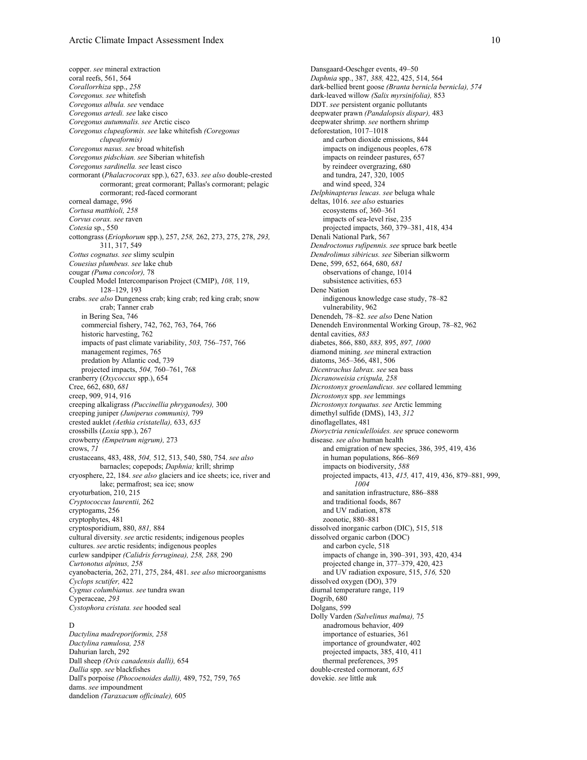copper. *see* mineral extraction coral reefs, 561, 564 *Corallorrhiza* spp., *258 Coregonus. see* whitefish *Coregonus albula. see* vendace *Coregonus artedi. see* lake cisco *Coregonus autumnalis. see* Arctic cisco *Coregonus clupeaformis. see* lake whitefish *(Coregonus clupeaformis) Coregonus nasus. see* broad whitefish *Coregonus pidschian. see* Siberian whitefish *Coregonus sardinella. see* least cisco cormorant (*Phalacrocorax* spp.), 627, 633. *see also* double-crested cormorant; great cormorant; Pallas's cormorant; pelagic cormorant; red-faced cormorant corneal damage, *996 Cortusa matthioli, 258 Corvus corax. see* raven *Cotesia* sp., 550 cottongrass (*Eriophorum* spp.), 257, *258,* 262, 273, 275, 278, *293,* 311, 317, 549 *Cottus cognatus. see* slimy sculpin *Couesius plumbeus. see* lake chub cougar *(Puma concolor),* 78 Coupled Model Intercomparison Project (CMIP), *108,* 119, 128–129, 193 crabs. *see also* Dungeness crab; king crab; red king crab; snow crab; Tanner crab in Bering Sea, 746 commercial fishery, 742, 762, 763, 764, 766 historic harvesting, 762 impacts of past climate variability, *503,* 756–757, 766 management regimes, 765 predation by Atlantic cod, 739 projected impacts, *504,* 760–761, 768 cranberry (*Oxycoccux* spp.), 654 Cree, 662, 680, *681* creep, 909, 914, 916 creeping alkaligrass *(Puccinellia phryganodes),* 300 creeping juniper *(Juniperus communis),* 799 crested auklet *(Aethia cristatella),* 633, *635* crossbills (*Loxia* spp.), 267 crowberry *(Empetrum nigrum),* 273 crows, *71* crustaceans, 483, 488, *504,* 512, 513, 540, 580, 754. *see also* barnacles; copepods; *Daphnia;* krill; shrimp cryosphere, 22, 184. *see also* glaciers and ice sheets; ice, river and lake; permafrost; sea ice; snow cryoturbation, 210, 215 *Cryptococcus laurentii,* 262 cryptogams, 256 cryptophytes, 481 cryptosporidium, 880, *881,* 884 cultural diversity. *see* arctic residents; indigenous peoples cultures. *see* arctic residents; indigenous peoples curlew sandpiper *(Calidris ferruginea), 258, 288,* 290 *Curtonotus alpinus, 258* cyanobacteria, 262, 271, 275, 284, 481. *see also* microorganisms *Cyclops scutifer,* 422 *Cygnus columbianus. see* tundra swan Cyperaceae, *293 Cystophora cristata. see* hooded seal

## D

*Dactylina madreporiformis, 258 Dactylina ramulosa, 258* Dahurian larch, 292 Dall sheep *(Ovis canadensis dalli),* 654 *Dallia* spp. *see* blackfishes Dall's porpoise *(Phocoenoides dalli),* 489, 752, 759, 765 dams. *see* impoundment dandelion *(Taraxacum officinale),* 605

Dansgaard-Oeschger events, 49–50 *Daphnia* spp., 387, *388,* 422, 425, 514, 564 dark-bellied brent goose *(Branta bernicla bernicla), 574* dark-leaved willow *(Salix myrsinifolia),* 853 DDT. *see* persistent organic pollutants deepwater prawn *(Pandalopsis dispar),* 483 deepwater shrimp. *see* northern shrimp deforestation, 1017–1018 and carbon dioxide emissions, 844 impacts on indigenous peoples, 678 impacts on reindeer pastures, 657 by reindeer overgrazing, 680 and tundra, 247, 320, 1005 and wind speed, 324 *Delphinapterus leucas. see* beluga whale deltas, 1016. *see also* estuaries ecosystems of, 360–361 impacts of sea-level rise, 235 projected impacts, 360, 379–381, 418, 434 Denali National Park, 567 *Dendroctonus rufipennis. see* spruce bark beetle *Dendrolimus sibiricus. see* Siberian silkworm Dene, 599, 652, 664, 680, *681* observations of change, 1014 subsistence activities, 653 Dene Nation indigenous knowledge case study, 78–82 vulnerability, 962 Denendeh, 78–82. *see also* Dene Nation Denendeh Environmental Working Group, 78–82, 962 dental cavities, *883* diabetes, 866, 880, *883,* 895, *897, 1000* diamond mining. *see* mineral extraction diatoms, 365–366, 481, 506 *Dicentrachus labrax. see* sea bass *Dicranoweisia crispula, 258 Dicrostonyx groenlandicus. see* collared lemming *Dicrostonyx* spp. *see* lemmings *Dicrostonyx torquatus. see* Arctic lemming dimethyl sulfide (DMS), 143, *312* dinoflagellates, 481 *Dioryctria reniculelloides. see* spruce coneworm disease. *see also* human health and emigration of new species, 386, 395, 419, 436 in human populations, 866–869 impacts on biodiversity, *588* projected impacts, 413, *415,* 417, 419, 436, 879–881, 999, *1004* and sanitation infrastructure, 886–888 and traditional foods, 867 and UV radiation, 878 zoonotic, 880–881 dissolved inorganic carbon (DIC), 515, 518 dissolved organic carbon (DOC) and carbon cycle, 518 impacts of change in, 390–391, 393, 420, 434 projected change in, 377–379, 420, 423 and UV radiation exposure, 515, *516,* 520 dissolved oxygen (DO), 379 diurnal temperature range, 119 Dogrib, 680 Dolgans, 599 Dolly Varden *(Salvelinus malma),* 75 anadromous behavior, 409 importance of estuaries, 361 importance of groundwater, 402 projected impacts, 385, 410, 411 thermal preferences, 395 double-crested cormorant, *635* dovekie. *see* little auk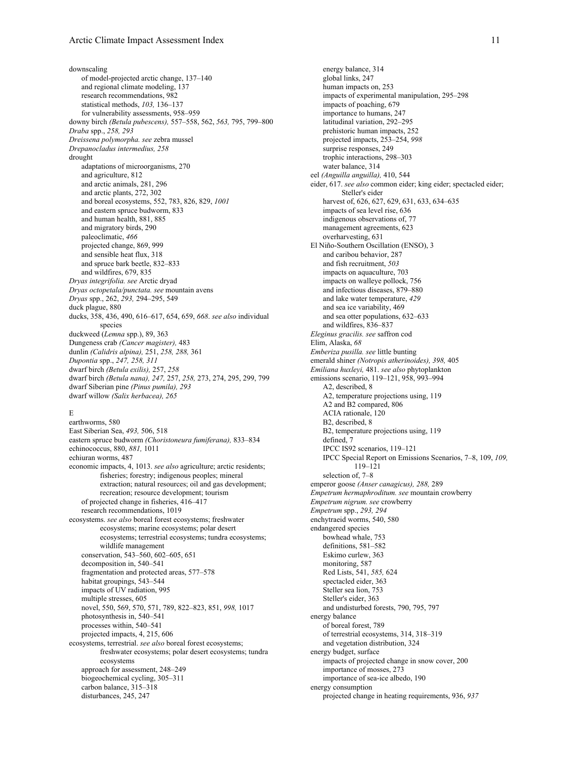downscaling of model-projected arctic change, 137–140 and regional climate modeling, 137 research recommendations, 982 statistical methods, *103,* 136–137 for vulnerability assessments, 958–959 downy birch *(Betula pubescens),* 557–558, 562, *563,* 795, 799–800 *Draba* spp., *258, 293 Dreissena polymorpha. see* zebra mussel *Drepanocladus intermedius, 258* drought adaptations of microorganisms, 270 and agriculture, 812 and arctic animals, 281, 296 and arctic plants, 272, 302 and boreal ecosystems, 552, 783, 826, 829, *1001* and eastern spruce budworm, 833 and human health, 881, 885 and migratory birds, 290 paleoclimatic, *466* projected change, 869, 999 and sensible heat flux, 318 and spruce bark beetle, 832–833 and wildfires, 679, 835 *Dryas integrifolia. see* Arctic dryad *Dryas octopetala/punctata. see* mountain avens *Dryas* spp., 262, *293,* 294–295, 549 duck plague, 880 ducks, 358, 436, 490, 616–617, 654, 659, *668*. *see also* individual species duckweed (*Lemna* spp.), 89, 363 Dungeness crab *(Cancer magister),* 483 dunlin *(Calidris alpina),* 251, *258, 288,* 361 *Dupontia* spp., *247, 258, 311* dwarf birch *(Betula exilis),* 257, *258* dwarf birch *(Betula nana), 247,* 257, *258,* 273, 274, 295, 299, 799 dwarf Siberian pine *(Pinus pumila), 293* dwarf willow *(Salix herbacea), 265*

## E

earthworms, 580 East Siberian Sea, *493,* 506, 518 eastern spruce budworm *(Choristoneura fumiferana),* 833–834 echinococcus, 880, *881,* 1011 echiuran worms, 487 economic impacts, 4, 1013. *see also* agriculture; arctic residents; fisheries; forestry; indigenous peoples; mineral extraction; natural resources; oil and gas development; recreation; resource development; tourism of projected change in fisheries, 416–417 research recommendations, 1019 ecosystems. *see also* boreal forest ecosystems; freshwater ecosystems; marine ecosystems; polar desert ecosystems; terrestrial ecosystems; tundra ecosystems; wildlife management conservation, 543–560, 602–605, 651 decomposition in, 540–541 fragmentation and protected areas, 577–578 habitat groupings, 543–544 impacts of UV radiation, 995 multiple stresses, 605 novel, 550, 569, 570, 571, 789, 822–823, 851, *998,* 1017 photosynthesis in, 540–541 processes within, 540–541 projected impacts, 4, 215, 606 ecosystems, terrestrial. *see also* boreal forest ecosystems; freshwater ecosystems; polar desert ecosystems; tundra ecosystems approach for assessment, 248–249 biogeochemical cycling, 305–311 carbon balance, 315–318 disturbances, 245, 247

energy balance, 314 global links, 247 human impacts on, 253 impacts of experimental manipulation, 295–298 impacts of poaching, 679 importance to humans, 247 latitudinal variation, 292–295 prehistoric human impacts, 252 projected impacts, 253–254, *998* surprise responses, 249 trophic interactions, 298–303 water balance, 314 eel *(Anguilla anguilla),* 410, 544 eider, 617. *see also* common eider; king eider; spectacled eider; Steller's eider harvest of, 626, 627, 629, 631, 633, 634–635 impacts of sea level rise, 636 indigenous observations of, 77 management agreements, 623 overharvesting, 631 El Niño-Southern Oscillation (ENSO), 3 and caribou behavior, 287 and fish recruitment, *503* impacts on aquaculture, 703 impacts on walleye pollock, 756 and infectious diseases, 879–880 and lake water temperature, *429* and sea ice variability, 469 and sea otter populations, 632–633 and wildfires, 836–837 *Eleginus gracilis. see* saffron cod Elim, Alaska, *68 Emberiza pusilla. see* little bunting emerald shiner *(Notropis atherinoides), 398,* 405 *Emiliana huxleyi,* 481. *see also* phytoplankton emissions scenario, 119–121, 958, 993–994 A2, described, 8 A2, temperature projections using, 119 A2 and B2 compared, 806 ACIA rationale, 120 B2, described, 8 B2, temperature projections using, 119 defined, 7 IPCC IS92 scenarios, 119–121 IPCC Special Report on Emissions Scenarios, 7–8, 109, *109,* 119–121 selection of, 7–8 emperor goose *(Anser canagicus), 288,* 289 *Empetrum hermaphroditum. see* mountain crowberry *Empetrum nigrum. see* crowberry *Empetrum* spp., *293, 294* enchytraeid worms, 540, 580 endangered species bowhead whale, 753 definitions, 581–582 Eskimo curlew, 363 monitoring, 587 Red Lists, 541, *585,* 624 spectacled eider, 363 Steller sea lion, 753 Steller's eider, 363 and undisturbed forests, 790, 795, 797 energy balance of boreal forest, 789 of terrestrial ecosystems, 314, 318–319 and vegetation distribution, 324 energy budget, surface impacts of projected change in snow cover, 200 importance of mosses, 273 importance of sea-ice albedo, 190 energy consumption projected change in heating requirements, 936, *937*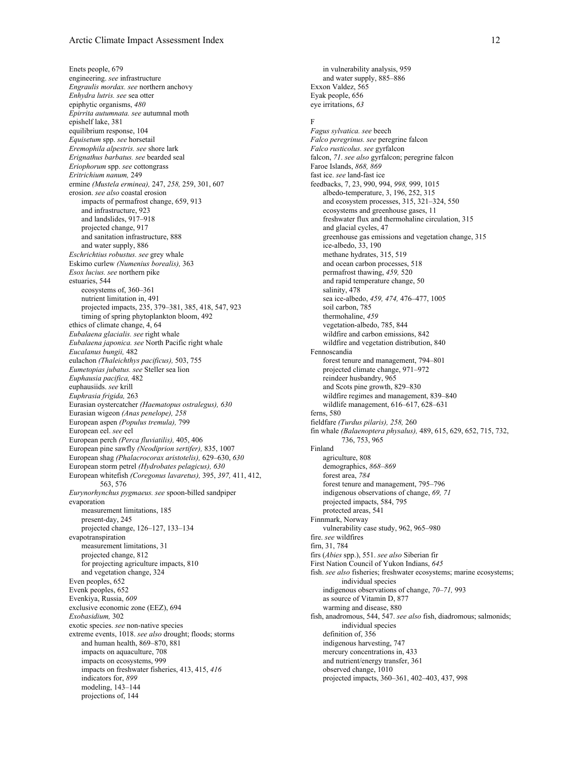Enets people, 679 engineering. *see* infrastructure *Engraulis mordax. see* northern anchovy *Enhydra lutris. see* sea otter epiphytic organisms, *480 Epirrita autumnata. see* autumnal moth epishelf lake, 381 equilibrium response, 104 *Equisetum* spp. *see* horsetail *Eremophila alpestris. see* shore lark *Erignathus barbatus. see* bearded seal *Eriophorum* spp. *see* cottongrass *Eritrichium nanum,* 249 ermine *(Mustela erminea),* 247, *258,* 259, 301, 607 erosion. *see also* coastal erosion impacts of permafrost change, 659, 913 and infrastructure, 923 and landslides, 917–918 projected change, 917 and sanitation infrastructure, 888 and water supply, 886 *Eschrichtius robustus. see* grey whale Eskimo curlew *(Numenius borealis),* 363 *Esox lucius. see* northern pike estuaries, 544 ecosystems of, 360–361 nutrient limitation in, 491 projected impacts, 235, 379–381, 385, 418, 547, 923 timing of spring phytoplankton bloom, 492 ethics of climate change, 4, 64 *Eubalaena glacialis. see* right whale *Eubalaena japonica. see* North Pacific right whale *Eucalanus bungii,* 482 eulachon *(Thaleichthys pacificus),* 503, 755 *Eumetopias jubatus. see* Steller sea lion *Euphausia pacifica,* 482 euphausiids. *see* krill *Euphrasia frigida,* 263 Eurasian oystercatcher *(Haematopus ostralegus), 630* Eurasian wigeon *(Anas penelope), 258* European aspen *(Populus tremula),* 799 European eel. *see* eel European perch *(Perca fluviatilis),* 405, 406 European pine sawfly *(Neodiprion sertifer),* 835, 1007 European shag *(Phalacrocorax aristotelis),* 629–630, *630* European storm petrel *(Hydrobates pelagicus), 630* European whitefish *(Coregonus lavaretus),* 395, *397,* 411, 412, 563, 576 *Eurynorhynchus pygmaeus. see* spoon-billed sandpiper evaporation measurement limitations, 185 present-day, 245 projected change, 126–127, 133–134 evapotranspiration measurement limitations, 31 projected change, 812 for projecting agriculture impacts, 810 and vegetation change, 324 Even peoples, 652 Evenk peoples, 652 Evenkiya, Russia, *609* exclusive economic zone (EEZ), 694 *Exobasidium,* 302 exotic species. *see* non-native species extreme events, 1018. *see also* drought; floods; storms and human health, 869–870, 881 impacts on aquaculture, 708 impacts on ecosystems, 999 impacts on freshwater fisheries, 413, 415, *416* indicators for, *899* modeling, 143–144 projections of, 144

in vulnerability analysis, 959 and water supply, 885–886 Exxon Valdez, 565 Eyak people, 656 eye irritations, *63*

#### F

*Fagus sylvatica. see* beech *Falco peregrinus. see* peregrine falcon *Falco rusticolus. see* gyrfalcon falcon, *71*. *see also* gyrfalcon; peregrine falcon Faroe Islands, *868, 869* fast ice. *see* land-fast ice feedbacks, 7, 23, 990, 994, *998,* 999, 1015 albedo-temperature, 3, 196, 252, 315 and ecosystem processes, 315, 321–324, 550 ecosystems and greenhouse gases, 11 freshwater flux and thermohaline circulation, 315 and glacial cycles, 47 greenhouse gas emissions and vegetation change, 315 ice-albedo, 33, 190 methane hydrates, 315, 519 and ocean carbon processes, 518 permafrost thawing, *459,* 520 and rapid temperature change, 50 salinity, 478 sea ice-albedo, *459, 474,* 476–477, 1005 soil carbon, 785 thermohaline, *459* vegetation-albedo, 785, 844 wildfire and carbon emissions, 842 wildfire and vegetation distribution, 840 Fennoscandia forest tenure and management, 794–801 projected climate change, 971–972 reindeer husbandry, 965 and Scots pine growth, 829–830 wildfire regimes and management, 839–840 wildlife management, 616–617, 628–631 ferns, 580 fieldfare *(Turdus pilaris), 258,* 260 fin whale *(Balaenoptera physalus),* 489, 615, 629, 652, 715, 732, 736, 753, 965 Finland agriculture, 808 demographics, *868–869* forest area, *784* forest tenure and management, 795–796 indigenous observations of change, *69, 71* projected impacts, 584, 795 protected areas, 541 Finnmark, Norway vulnerability case study, 962, 965–980 fire. *see* wildfires firn, 31, 784 firs (*Abies* spp.), 551. *see also* Siberian fir First Nation Council of Yukon Indians, *645* fish. *see also* fisheries; freshwater ecosystems; marine ecosystems; individual species indigenous observations of change, *70–71,* 993 as source of Vitamin D, 877 warming and disease, 880 fish, anadromous, 544, 547. *see also* fish, diadromous; salmonids; individual species definition of, 356 indigenous harvesting, 747 mercury concentrations in, 433 and nutrient/energy transfer, 361 observed change, 1010 projected impacts, 360–361, 402–403, 437, 998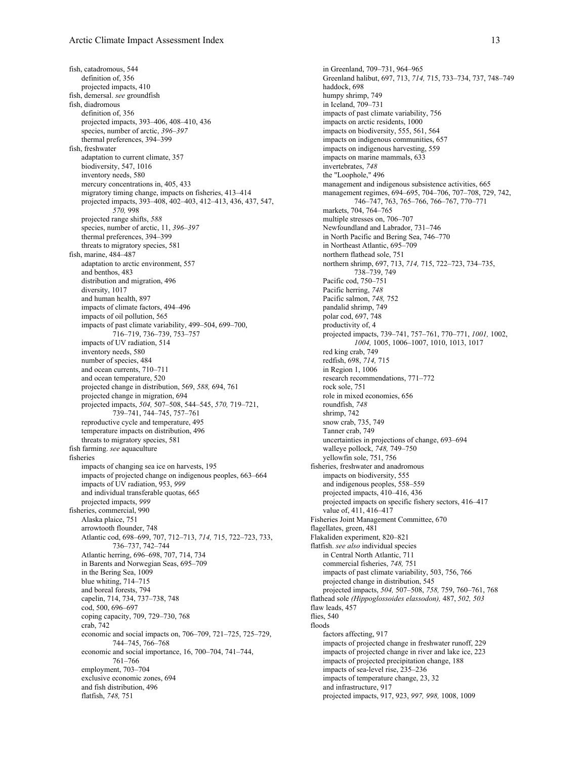fish, catadromous, 544 definition of, 356 projected impacts, 410 fish, demersal. *see* groundfish fish, diadromous definition of, 356 projected impacts, 393–406, 408–410, 436 species, number of arctic, *396–397* thermal preferences, 394–399 fish, freshwater adaptation to current climate, 357 biodiversity, 547, 1016 inventory needs, 580 mercury concentrations in, 405, 433 migratory timing change, impacts on fisheries, 413–414 projected impacts, 393–408, 402–403, 412–413, 436, 437, 547, *570,* 998 projected range shifts, *588* species, number of arctic, 11, *396–397* thermal preferences, 394–399 threats to migratory species, 581 fish, marine, 484–487 adaptation to arctic environment, 557 and benthos, 483 distribution and migration, 496 diversity, 1017 and human health, 897 impacts of climate factors, 494–496 impacts of oil pollution, 565 impacts of past climate variability, 499–504, 699–700, 716–719, 736–739, 753–757 impacts of UV radiation, 514 inventory needs, 580 number of species, 484 and ocean currents, 710–711 and ocean temperature, 520 projected change in distribution, 569, *588,* 694, 761 projected change in migration, 694 projected impacts, *504,* 507–508, 544–545, *570,* 719–721, 739–741, 744–745, 757–761 reproductive cycle and temperature, 495 temperature impacts on distribution, 496 threats to migratory species, 581 fish farming. *see* aquaculture fisheries impacts of changing sea ice on harvests, 195 impacts of projected change on indigenous peoples, 663–664 impacts of UV radiation, 953, *999* and individual transferable quotas, 665 projected impacts, *999* fisheries, commercial, 990 Alaska plaice, 751 arrowtooth flounder, 748 Atlantic cod, 698–699, 707, 712–713, *714,* 715, 722–723, 733, 736–737, 742–744 Atlantic herring, 696–698, 707, 714, 734 in Barents and Norwegian Seas, 695–709 in the Bering Sea, 1009 blue whiting, 714–715 and boreal forests, 794 capelin, 714, 734, 737–738, 748 cod, 500, 696–697 coping capacity, 709, 729–730, 768 crab, 742 economic and social impacts on, 706–709, 721–725, 725–729, 744–745, 766–768 economic and social importance, 16, 700–704, 741–744, 761–766 employment, 703–704 exclusive economic zones, 694 and fish distribution, 496 flatfish, *748,* 751

in Greenland, 709–731, 964–965 Greenland halibut, 697, 713, *714,* 715, 733–734, 737, 748–749 haddock, 698 humpy shrimp, 749 in Iceland, 709–731 impacts of past climate variability, 756 impacts on arctic residents, 1000 impacts on biodiversity, 555, 561, 564 impacts on indigenous communities, 657 impacts on indigenous harvesting, 559 impacts on marine mammals, 633 invertebrates, *748* the "Loophole," 496 management and indigenous subsistence activities, 665 management regimes, 694–695, 704–706, 707–708, 729, 742, 746–747, 763, 765–766, 766–767, 770–771 markets, 704, 764–765 multiple stresses on, 706–707 Newfoundland and Labrador, 731–746 in North Pacific and Bering Sea, 746–770 in Northeast Atlantic, 695–709 northern flathead sole, 751 northern shrimp, 697, 713, *714,* 715, 722–723, 734–735, 738–739, 749 Pacific cod, 750–751 Pacific herring, *748* Pacific salmon, *748,* 752 pandalid shrimp, 749 polar cod, 697, 748 productivity of, 4 projected impacts, 739–741, 757–761, 770–771, *1001,* 1002, *1004,* 1005, 1006–1007, 1010, 1013, 1017 red king crab, 749 redfish, 698, *714,* 715 in Region 1, 1006 research recommendations, 771–772 rock sole, 751 role in mixed economies, 656 roundfish, *748* shrimp, 742 snow crab, 735, 749 Tanner crab, 749 uncertainties in projections of change, 693–694 walleye pollock, *748,* 749–750 yellowfin sole, 751, 756 fisheries, freshwater and anadromous impacts on biodiversity, 555 and indigenous peoples, 558–559 projected impacts, 410–416, 436 projected impacts on specific fishery sectors, 416–417 value of, 411, 416–417 Fisheries Joint Management Committee, 670 flagellates, green, 481 Flakaliden experiment, 820–821 flatfish. *see also* individual species in Central North Atlantic, 711 commercial fisheries, *748,* 751 impacts of past climate variability, 503, 756, 766 projected change in distribution, 545 projected impacts, *504,* 507–508, *758,* 759, 760–761, 768 flathead sole *(Hippoglossoides elassodon),* 487, *502, 503* flaw leads, 457 flies, 540 floods factors affecting, 917 impacts of projected change in freshwater runoff, 229 impacts of projected change in river and lake ice, 223 impacts of projected precipitation change, 188 impacts of sea-level rise, 235–236 impacts of temperature change, 23, 32 and infrastructure, 917 projected impacts, 917, 923, *997, 998,* 1008, 1009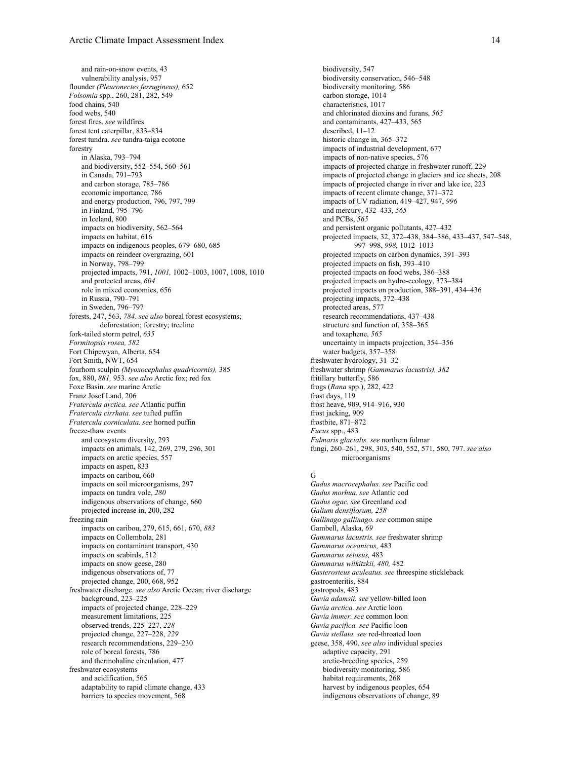and rain-on-snow events, 43 vulnerability analysis, 957 flounder *(Pleuronectes ferrugineus),* 652 *Folsomia* spp., 260, 281, 282, 549 food chains, 540 food webs, 540 forest fires. *see* wildfires forest tent caterpillar, 833–834 forest tundra. *see* tundra-taiga ecotone forestry in Alaska, 793–794 and biodiversity, 552–554, 560–561 in Canada, 791–793 and carbon storage, 785–786 economic importance, 786 and energy production, 796, 797, 799 in Finland, 795–796 in Iceland, 800 impacts on biodiversity, 562–564 impacts on habitat, 616 impacts on indigenous peoples, 679–680, 685 impacts on reindeer overgrazing, 601 in Norway, 798–799 projected impacts, 791, *1001,* 1002–1003, 1007, 1008, 1010 and protected areas, *604* role in mixed economies, 656 in Russia, 790–791 in Sweden, 796–797 forests, 247, 563, *784*. *see also* boreal forest ecosystems; deforestation; forestry; treeline fork-tailed storm petrel, *635 Formitopsis rosea, 582* Fort Chipewyan, Alberta, 654 Fort Smith, NWT, 654 fourhorn sculpin *(Myoxocephalus quadricornis),* 385 fox, 880, *881,* 953. *see also* Arctic fox; red fox Foxe Basin. *see* marine Arctic Franz Josef Land, 206 *Fratercula arctica. see* Atlantic puffin *Fratercula cirrhata. see* tufted puffin *Fratercula corniculata. see* horned puffin freeze-thaw events and ecosystem diversity, 293 impacts on animals, 142, 269, 279, 296, 301 impacts on arctic species, 557 impacts on aspen, 833 impacts on caribou, 660 impacts on soil microorganisms, 297 impacts on tundra vole, *280* indigenous observations of change, 660 projected increase in, 200, 282 freezing rain impacts on caribou, 279, 615, 661, 670, *883* impacts on Collembola, 281 impacts on contaminant transport, 430 impacts on seabirds, 512 impacts on snow geese, 280 indigenous observations of, 77 projected change, 200, 668, 952 freshwater discharge. *see also* Arctic Ocean; river discharge background, 223-225 impacts of projected change, 228–229 measurement limitations, 225 observed trends, 225–227, *228* projected change, 227–228, *229* research recommendations, 229–230 role of boreal forests, 786 and thermohaline circulation, 477 freshwater ecosystems and acidification, 565 adaptability to rapid climate change, 433 barriers to species movement, 568

biodiversity, 547 biodiversity conservation, 546–548 biodiversity monitoring, 586 carbon storage, 1014 characteristics, 1017 and chlorinated dioxins and furans, *565* and contaminants, 427–433, 565 described, 11–12 historic change in, 365–372 impacts of industrial development, 677 impacts of non-native species, 576 impacts of projected change in freshwater runoff, 229 impacts of projected change in glaciers and ice sheets, 208 impacts of projected change in river and lake ice, 223 impacts of recent climate change, 371–372 impacts of UV radiation, 419–427, 947, *996* and mercury, 432–433, *565* and PCBs, *565* and persistent organic pollutants, 427–432 projected impacts, 32, 372–438, 384–386, 433–437, 547–548, 997–998, *998,* 1012–1013 projected impacts on carbon dynamics, 391–393 projected impacts on fish, 393–410 projected impacts on food webs, 386–388 projected impacts on hydro-ecology, 373–384 projected impacts on production, 388–391, 434–436 projecting impacts, 372–438 protected areas, 577 research recommendations, 437–438 structure and function of, 358–365 and toxaphene, *565* uncertainty in impacts projection, 354–356 water budgets, 357–358 freshwater hydrology, 31–32 freshwater shrimp *(Gammarus lacustris), 382* fritillary butterfly, 586 frogs (*Rana* spp.), 282, 422 frost days, 119 frost heave, 909, 914–916, 930 frost jacking, 909 frostbite, 871–872 *Fucus* spp., 483 *Fulmaris glacialis. see* northern fulmar fungi, 260–261, 298, 303, 540, 552, 571, 580, 797. *see also* microorganisms

## G

*Gadus macrocephalus. see* Pacific cod *Gadus morhua. see* Atlantic cod *Gadus ogac. see* Greenland cod *Galium densiflorum, 258 Gallinago gallinago. see* common snipe Gambell, Alaska, *69 Gammarus lacustris. see* freshwater shrimp *Gammarus oceanicus,* 483 *Gammarus setosus,* 483 *Gammarus wilkitzkii, 480,* 482 *Gasterosteus aculeatus. see* threespine stickleback gastroenteritis, 884 gastropods, 483 *Gavia adamsii. see* yellow-billed loon *Gavia arctica. see* Arctic loon *Gavia immer. see* common loon *Gavia pacifica. see* Pacific loon *Gavia stellata. see* red-throated loon geese, 358, 490. *see also* individual species adaptive capacity, 291 arctic-breeding species, 259 biodiversity monitoring, 586 habitat requirements, 268 harvest by indigenous peoples, 654 indigenous observations of change, 89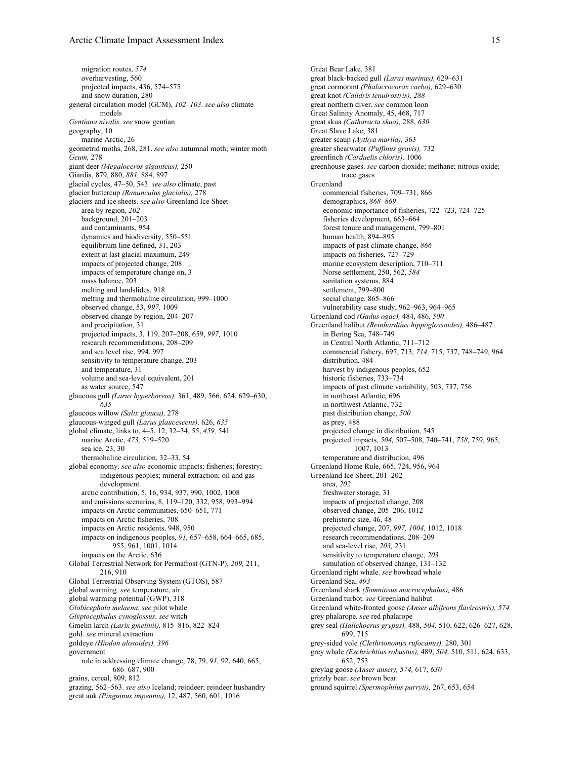migration routes, *574* overharvesting, 560 projected impacts, 436, 574–575 and snow duration, 280 general circulation model (GCM), *102–103*. *see also* climate models *Gentiana nivalis. see* snow gentian geography, 10 marine Arctic, 26 geometrid moths, 268, 281. *see also* autumnal moth; winter moth *Geum,* 278 giant deer *(Megaloceros giganteus),* 250 Giardia, 879, 880, *881,* 884, 897 glacial cycles, 47–50, 543. *see also* climate, past glacier buttercup *(Ranunculus glacialis),* 278 glaciers and ice sheets. *see also* Greenland Ice Sheet area by region, *202* background, 201–203 and contaminants, 954 dynamics and biodiversity, 550–551 equilibrium line defined, 31, 203 extent at last glacial maximum, 249 impacts of projected change, 208 impacts of temperature change on, 3 mass balance, 203 melting and landslides, 918 melting and thermohaline circulation, 999–1000 observed change, 53, *997,* 1009 observed change by region, 204–207 and precipitation, 31 projected impacts, 3, 119, 207–208, 659, *997,* 1010 research recommendations, 208–209 and sea level rise, 994, 997 sensitivity to temperature change, 203 and temperature, 31 volume and sea-level equivalent, 201 as water source, 547 glaucous gull *(Larus hyperboreus),* 361, 489, 566, 624, 629–630, *635* glaucous willow *(Salix glauca),* 278 glaucous-winged gull *(Larus glaucescens),* 626, *635* global climate, links to, 4–5, 12, 32–34, 55, *459,* 541 marine Arctic, *473,* 519–520 sea ice, 23, 30 thermohaline circulation, 32–33, 54 global economy. *see also* economic impacts; fisheries; forestry; indigenous peoples; mineral extraction; oil and gas development arctic contribution, 5, 16, 934, 937, 990, 1002, 1008 and emissions scenarios, 8, 119–120, 332, 958, 993–994 impacts on Arctic communities, 650–651, 771 impacts on Arctic fisheries, 708 impacts on Arctic residents, 948, 950 impacts on indigenous peoples, *91,* 657–658, 664–665, 685, 955, 961, 1001, 1014 impacts on the Arctic, 636 Global Terrestrial Network for Permafrost (GTN-P), *209,* 211, 216, 910 Global Terrestrial Observing System (GTOS), 587 global warming. *see* temperature, air global warming potential (GWP), 318 *Globicephala melaena. see* pilot whale *Glyptocephalus cynoglossus. see* witch Gmelin larch *(Larix gmelinii),* 815–816, 822–824 gold. *see* mineral extraction goldeye *(Hiodon alosoides), 396* government role in addressing climate change, 78, 79, *91,* 92, 640, 665, 686–687, 900 grains, cereal, 809, 812 grazing, 562–563. *see also* Iceland; reindeer; reindeer husbandry great auk *(Pinguinus impennis),* 12, 487, 560, 601, 1016

Great Bear Lake, 381 great black-backed gull *(Larus marinus),* 629–631 great cormorant *(Phalacrocorax carbo),* 629–630 great knot *(Calidris tenuirostris), 288* great northern diver. *see* common loon Great Salinity Anomaly, 45, 468, 717 great skua *(Catharacta skua),* 288, *630* Great Slave Lake, 381 greater scaup *(Aythya marila),* 363 greater shearwater *(Puffinus gravis),* 732 greenfinch *(Carduelis chloris),* 1006 greenhouse gases. *see* carbon dioxide; methane; nitrous oxide; trace gases Greenland commercial fisheries, 709–731, 866 demographics, *868–869* economic importance of fisheries, 722–723, 724–725 fisheries development, 663–664 forest tenure and management, 799–801 human health, 894–895 impacts of past climate change, *866* impacts on fisheries, 727–729 marine ecosystem description, 710–711 Norse settlement, 250, 562, *584* sanitation systems, 884 settlement, 799–800 social change, 865–866 vulnerability case study, 962–963, 964–965 Greenland cod *(Gadus ogac),* 484, 486, *500* Greenland halibut *(Reinhardtius hippoglossoides),* 486–487 in Bering Sea, 748–749 in Central North Atlantic, 711–712 commercial fishery, 697, 713, *714,* 715, 737, 748–749, 964 distribution, 484 harvest by indigenous peoples, 652 historic fisheries, 733–734 impacts of past climate variability, 503, 737, 756 in northeast Atlantic, 696 in northwest Atlantic, 732 past distribution change, *500* as prey, 488 projected change in distribution, 545 projected impacts, *504,* 507–508, 740–741, *758,* 759, 965, 1007, 1013 temperature and distribution, 496 Greenland Home Rule, 665, 724, 956, 964 Greenland Ice Sheet, 201–202 area, *202* freshwater storage, 31 impacts of projected change, 208 observed change, 205–206, 1012 prehistoric size, 46, 48 projected change, 207, *997, 1004,* 1012, 1018 research recommendations, 208–209 and sea-level rise, *203,* 231 sensitivity to temperature change, *203* simulation of observed change, 131–132 Greenland right whale. *see* bowhead whale Greenland Sea, *493* Greenland shark *(Somniosus macrocephalus),* 486 Greenland turbot. *see* Greenland halibut Greenland white-fronted goose *(Anser albifrons flavirostris), 574* grey phalarope. *see* red phalarope grey seal *(Halichoerus grypus),* 488, *504,* 510, 622, 626–627, 628, 699, 715 grey-sided vole *(Clethrionomys rufocanus),* 280, 301 grey whale *(Eschrichtius robustus),* 489, *504,* 510, 511, 624, 633, 652, 753 greylag goose *(Anser anser), 574,* 617, *630* grizzly bear. *see* brown bear ground squirrel *(Spermophilus parryii),* 267, 653, 654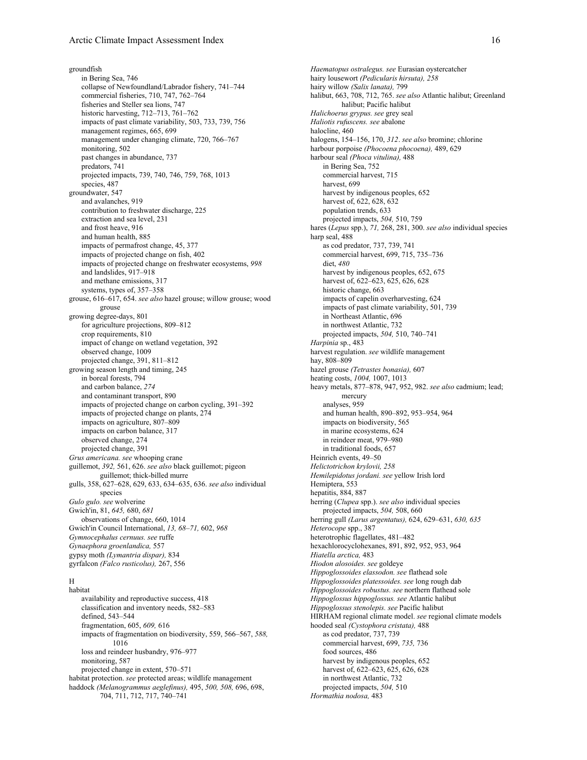groundfish in Bering Sea, 746 collapse of Newfoundland/Labrador fishery, 741–744 commercial fisheries, 710, 747, 762–764 fisheries and Steller sea lions, 747 historic harvesting, 712–713, 761–762 impacts of past climate variability, 503, 733, 739, 756 management regimes, 665, 699 management under changing climate, 720, 766–767 monitoring, 502 past changes in abundance, 737 predators, 741 projected impacts, 739, 740, 746, 759, 768, 1013 species, 487 groundwater, 547 and avalanches, 919 contribution to freshwater discharge, 225 extraction and sea level, 231 and frost heave, 916 and human health, 885 impacts of permafrost change, 45, 377 impacts of projected change on fish, 402 impacts of projected change on freshwater ecosystems, *998* and landslides, 917–918 and methane emissions, 317 systems, types of, 357–358 grouse, 616–617, 654. *see also* hazel grouse; willow grouse; wood grouse growing degree-days, 801 for agriculture projections, 809–812 crop requirements, 810 impact of change on wetland vegetation, 392 observed change, 1009 projected change, 391, 811–812 growing season length and timing, 245 in boreal forests, 794 and carbon balance, *274* and contaminant transport, 890 impacts of projected change on carbon cycling, 391–392 impacts of projected change on plants, 274 impacts on agriculture, 807–809 impacts on carbon balance, 317 observed change, 274 projected change, 391 *Grus americana. see* whooping crane guillemot, *392,* 561, 626. *see also* black guillemot; pigeon guillemot; thick-billed murre gulls, 358, 627–628, 629, 633, 634–635, 636. *see also* individual species *Gulo gulo. see* wolverine Gwich'in, 81, *645,* 680, *681* observations of change, 660, 1014 Gwich'in Council International, *13, 68–71,* 602, *968 Gymnocephalus cernuus. see* ruffe *Gynaephora groenlandica,* 557 gypsy moth *(Lymantria dispar),* 834 gyrfalcon *(Falco rusticolus),* 267, 556

## H

habitat availability and reproductive success, 418 classification and inventory needs, 582–583 defined, 543–544 fragmentation, 605, *609,* 616 impacts of fragmentation on biodiversity, 559, 566–567, *588,* 1016 loss and reindeer husbandry, 976–977 monitoring, 587 projected change in extent, 570–571 habitat protection. *see* protected areas; wildlife management haddock *(Melanogrammus aeglefinus),* 495, *500, 508,* 696, 698, 704, 711, 712, 717, 740–741

*Haematopus ostralegus. see* Eurasian oystercatcher hairy lousewort *(Pedicularis hirsuta), 258* hairy willow *(Salix lanata),* 799 halibut, 663, 708, 712, 765. *see also* Atlantic halibut; Greenland halibut; Pacific halibut *Halichoerus grypus. see* grey seal *Haliotis rufuscens. see* abalone halocline, 460 halogens, 154–156, 170, *312*. *see also* bromine; chlorine harbour porpoise *(Phocoena phocoena),* 489, 629 harbour seal *(Phoca vitulina),* 488 in Bering Sea, 752 commercial harvest, 715 harvest, 699 harvest by indigenous peoples, 652 harvest of, 622, 628, 632 population trends, 633 projected impacts, *504,* 510, 759 hares (*Lepus* spp.), *71,* 268, 281, 300. *see also* individual species harp seal, 488 as cod predator, 737, 739, 741 commercial harvest, 699, 715, 735–736 diet, *480* harvest by indigenous peoples, 652, 675 harvest of, 622–623, 625, 626, 628 historic change, 663 impacts of capelin overharvesting, 624 impacts of past climate variability, 501, 739 in Northeast Atlantic, 696 in northwest Atlantic, 732 projected impacts, *504,* 510, 740–741 *Harpinia* sp., 483 harvest regulation. *see* wildlife management hay, 808–809 hazel grouse *(Tetrastes bonasia),* 607 heating costs, *1004,* 1007, 1013 heavy metals, 877–878, 947, 952, 982. *see also* cadmium; lead; mercury analyses, 959 and human health, 890–892, 953–954, 964 impacts on biodiversity, 565 in marine ecosystems, 624 in reindeer meat, 979–980 in traditional foods, 657 Heinrich events, 49–50 *Helictotrichon krylovii, 258 Hemilepidotus jordani. see* yellow Irish lord Hemiptera, 553 hepatitis, 884, 887 herring (*Clupea* spp.). *see also* individual species projected impacts, *504,* 508, 660 herring gull *(Larus argentatus),* 624, 629–631, *630, 635 Heterocope* spp., 387 heterotrophic flagellates, 481–482 hexachlorocyclohexanes, 891, 892, 952, 953, 964 *Hiatella arctica,* 483 *Hiodon alosoides. see* goldeye *Hippoglossoides elassodon. see* flathead sole *Hippoglossoides platessoides. see* long rough dab *Hippoglossoides robustus. see* northern flathead sole *Hippoglossus hippoglossus. see* Atlantic halibut *Hippoglossus stenolepis. see* Pacific halibut HIRHAM regional climate model. *see* regional climate models hooded seal *(Cystophora cristata),* 488 as cod predator, 737, 739 commercial harvest, 699, *735,* 736 food sources, 486 harvest by indigenous peoples, 652 harvest of, 622–623, 625, 626, 628 in northwest Atlantic, 732 projected impacts, *504,* 510 *Hormathia nodosa,* 483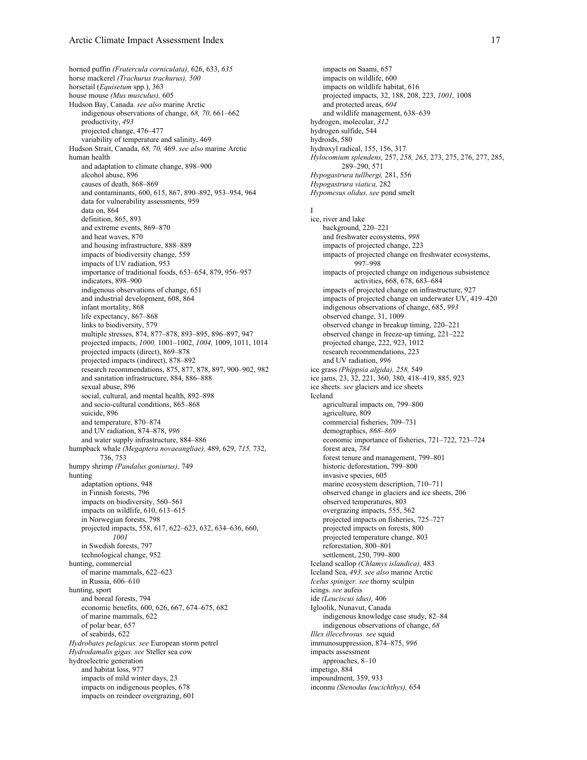horned puffin *(Fratercula corniculata),* 626, 633, *635* horse mackerel *(Trachurus trachurus), 500* horsetail (*Equisetum* spp.), 363 house mouse *(Mus musculus),* 605 Hudson Bay, Canada. *see also* marine Arctic indigenous observations of change, *68, 70,* 661–662 productivity, *493* projected change, 476–477 variability of temperature and salinity, 469 Hudson Strait, Canada, *68, 70,* 469. *see also* marine Arctic human health and adaptation to climate change, 898–900 alcohol abuse, 896 causes of death, 868–869 and contaminants, 600, 615, 867, 890–892, 953–954, 964 data for vulnerability assessments, 959 data on, 864 definition, 865, 893 and extreme events, 869–870 and heat waves, 870 and housing infrastructure, 888–889 impacts of biodiversity change, 559 impacts of UV radiation, 953 importance of traditional foods, 653–654, 879, 956–957 indicators, 898–900 indigenous observations of change, 651 and industrial development, 608, 864 infant mortality, 868 life expectancy, 867–868 links to biodiversity, 579 multiple stresses, 874, 877–878, 893–895, 896–897, 947 projected impacts, *1000,* 1001–1002, *1004,* 1009, 1011, 1014 projected impacts (direct), 869–878 projected impacts (indirect), 878–892 research recommendations, 875, 877, 878, 897, 900–902, 982 and sanitation infrastructure, 884, 886–888 sexual abuse, 896 social, cultural, and mental health, 892–898 and socio-cultural conditions, 865–868 suicide, 896 and temperature, 870–874 and UV radiation, 874–878, *996* and water supply infrastructure, 884–886 humpback whale *(Megaptera novaeangliae),* 489, 629, *715,* 732, 736, 753 humpy shrimp *(Pandalus goniurus),* 749 hunting adaptation options, 948 in Finnish forests, 796 impacts on biodiversity, 560–561 impacts on wildlife, 610, 613–615 in Norwegian forests, 798 projected impacts, 558, 617, 622–623, 632, 634–636, 660, *1001* in Swedish forests, 797 technological change, 952 hunting, commercial of marine mammals, 622–623 in Russia, 606–610 hunting, sport and boreal forests, 794 economic benefits, 600, 626, 667, 674–675, 682 of marine mammals, 622 of polar bear, 657 of seabirds, 622 *Hydrobates pelagicus. see* European storm petrel *Hydrodamalis gigas. see* Steller sea cow hydroelectric generation and habitat loss, 977 impacts of mild winter days, 23 impacts on indigenous peoples, 678 impacts on reindeer overgrazing, 601

impacts on Saami, 657 impacts on wildlife, 600 impacts on wildlife habitat, 616 projected impacts, 32, 188, 208, 223, *1001,* 1008 and protected areas, *604* and wildlife management, 638–639 hydrogen, molecular, *312* hydrogen sulfide, 544 hydroids, 580 hydroxyl radical, 155, 156, 317 *Hylocomium splendens,* 257, *258, 265,* 273, 275, 276, 277, 285, 289–290, 571 *Hypogastrura tullbergi,* 281, 556 *Hypogastrura viatica,* 282 *Hypomesus olidus. see* pond smelt I ice, river and lake background, 220–221 and freshwater ecosystems, *998* impacts of projected change, 223 impacts of projected change on freshwater ecosystems, 997–998 impacts of projected change on indigenous subsistence activities, 668, 678, 683–684 impacts of projected change on infrastructure, 927 impacts of projected change on underwater UV, 419–420 indigenous observations of change, 685, *993* observed change, 31, 1009 observed change in breakup timing, 220–221 observed change in freeze-up timing, 221–222 projected change, 222, 923, 1012 research recommendations, 223 and UV radiation, *996* ice grass *(Phippsia algida), 258,* 549 ice jams, 23, 32, 221, 360, 380, 418–419, 885, 923 ice sheets. *see* glaciers and ice sheets Iceland agricultural impacts on, 799–800 agriculture, 809 commercial fisheries, 709–731 demographics, *868–869* economic importance of fisheries, 721–722, 723–724 forest area, *784* forest tenure and management, 799–801 historic deforestation, 799–800 invasive species, 605 marine ecosystem description, 710–711 observed change in glaciers and ice sheets, 206 observed temperatures, 803 overgrazing impacts, 555, 562 projected impacts on fisheries, 725–727 projected impacts on forests, 800 projected temperature change, 803 reforestation, 800–801 settlement, 250, 799–800 Iceland scallop *(Chlamys islandica),* 483 Iceland Sea, *493*. *see also* marine Arctic *Icelus spiniger. see* thorny sculpin icings. *see* aufeis ide *(Leuciscus idus),* 406 Igloolik, Nunavut, Canada indigenous knowledge case study, 82–84 indigenous observations of change, *68 Illex illecebrosus. see* squid immunosuppression, 874–875, *996* impacts assessment approaches, 8–10 impetigo, 884 impoundment, 359, 933 inconnu *(Stenodus leucichthys),* 654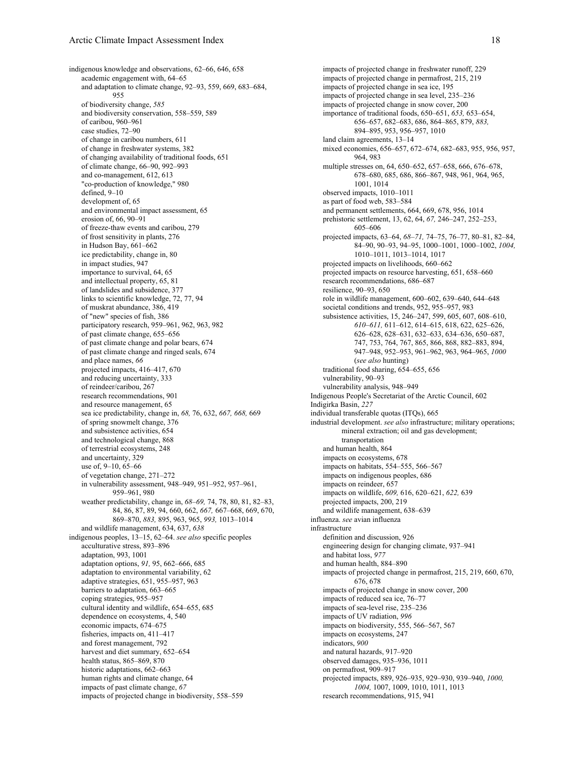indigenous knowledge and observations, 62–66, 646, 658 academic engagement with, 64–65 and adaptation to climate change, 92–93, 559, 669, 683–684, 955 of biodiversity change, *585* and biodiversity conservation, 558–559, 589 of caribou, 960–961 case studies, 72–90 of change in caribou numbers, 611 of change in freshwater systems, 382 of changing availability of traditional foods, 651 of climate change, 66–90, 992–993 and co-management, 612, 613 "co-production of knowledge," 980 defined, 9–10 development of, 65 and environmental impact assessment, 65 erosion of, 66, 90–91 of freeze-thaw events and caribou, 279 of frost sensitivity in plants, 276 in Hudson Bay, 661–662 ice predictability, change in, 80 in impact studies, 947 importance to survival, 64, 65 and intellectual property, 65, 81 of landslides and subsidence, 377 links to scientific knowledge, 72, 77, 94 of muskrat abundance, 386, 419 of "new" species of fish, 386 participatory research, 959–961, 962, 963, 982 of past climate change, 655–656 of past climate change and polar bears, 674 of past climate change and ringed seals, 674 and place names, *66* projected impacts, 416–417, 670 and reducing uncertainty, 333 of reindeer/caribou, 267 research recommendations, 901 and resource management, 65 sea ice predictability, change in, *68,* 76, 632, *667, 668,* 669 of spring snowmelt change, 376 and subsistence activities, 654 and technological change, 868 of terrestrial ecosystems, 248 and uncertainty, 329 use of, 9–10, 65–66 of vegetation change, 271–272 in vulnerability assessment, 948–949, 951–952, 957–961, 959–961, 980 weather predictability, change in, *68–69,* 74, 78, 80, 81, 82–83, 84, 86, 87, 89, 94, 660, 662, *667,* 667–668, 669, 670, 869–870, *883,* 895, 963, 965, *993,* 1013–1014 and wildlife management, 634, 637, *638* indigenous peoples, 13–15, 62–64. *see also* specific peoples acculturative stress, 893–896 adaptation, 993, 1001 adaptation options, *91,* 95, 662–666, 685 adaptation to environmental variability, 62 adaptive strategies, 651, 955–957, 963 barriers to adaptation, 663–665 coping strategies, 955–957 cultural identity and wildlife, 654–655, 685 dependence on ecosystems, 4, 540 economic impacts, 674–675 fisheries, impacts on, 411–417 and forest management, 792 harvest and diet summary, 652–654 health status, 865–869, 870 historic adaptations, 662-663 human rights and climate change, 64 impacts of past climate change, *67* impacts of projected change in biodiversity, 558–559

impacts of projected change in freshwater runoff, 229 impacts of projected change in permafrost, 215, 219 impacts of projected change in sea ice, 195 impacts of projected change in sea level, 235–236 impacts of projected change in snow cover, 200 importance of traditional foods, 650–651, *653,* 653–654, 656–657, 682–683, 686, 864–865, 879, *883,* 894–895, 953, 956–957, 1010 land claim agreements, 13–14 mixed economies, 656–657, 672–674, 682–683, 955, 956, 957, 964, 983 multiple stresses on, 64, 650–652, 657–658, 666, 676–678, 678–680, 685, 686, 866–867, 948, 961, 964, 965, 1001, 1014 observed impacts, 1010–1011 as part of food web, 583–584 and permanent settlements, 664, 669, 678, 956, 1014 prehistoric settlement, 13, 62, 64, *67,* 246–247, 252–253, 605–606 projected impacts, 63–64, *68–71,* 74–75, 76–77, 80–81, 82–84, 84–90, 90–93, 94–95, 1000–1001, 1000–1002, *1004,* 1010–1011, 1013–1014, 1017 projected impacts on livelihoods, 660–662 projected impacts on resource harvesting, 651, 658–660 research recommendations, 686–687 resilience, 90–93, 650 role in wildlife management, 600–602, 639–640, 644–648 societal conditions and trends, 952, 955–957, 983 subsistence activities, 15, 246–247, 599, 605, 607, 608–610, *610–611,* 611–612, 614–615, 618, 622, 625–626, 626–628, 628–631, 632–633, 634–636, 650–687, 747, 753, 764, 767, 865, 866, 868, 882–883, 894, 947–948, 952–953, 961–962, 963, 964–965, *1000* (*see also* hunting) traditional food sharing, 654–655, 656 vulnerability, 90–93 vulnerability analysis, 948–949 Indigenous People's Secretariat of the Arctic Council, 602 Indigirka Basin, *227* individual transferable quotas (ITQs), 665 industrial development. *see also* infrastructure; military operations; mineral extraction; oil and gas development; transportation and human health, 864 impacts on ecosystems, 678 impacts on habitats, 554–555, 566–567 impacts on indigenous peoples, 686 impacts on reindeer, 657 impacts on wildlife, *609,* 616, 620–621, *622,* 639 projected impacts, 200, 219 and wildlife management, 638–639 influenza. *see* avian influenza infrastructure definition and discussion, 926 engineering design for changing climate, 937–941 and habitat loss, *977* and human health, 884–890 impacts of projected change in permafrost, 215, 219, 660, 670, 676, 678 impacts of projected change in snow cover, 200 impacts of reduced sea ice, 76–77 impacts of sea-level rise, 235–236 impacts of UV radiation, *996* impacts on biodiversity, 555, 566–567, 567 impacts on ecosystems, 247 indicators, *900* and natural hazards, 917–920 observed damages, 935–936, 1011 on permafrost, 909–917 projected impacts, 889, 926–935, 929–930, 939–940, *1000, 1004,* 1007, 1009, 1010, 1011, 1013 research recommendations, 915, 941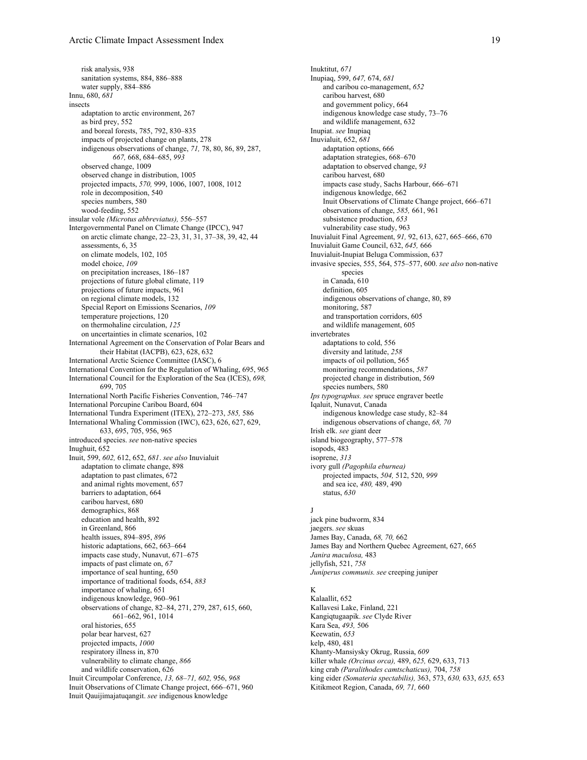risk analysis, 938 sanitation systems, 884, 886–888 water supply, 884–886 Innu, 680, *681* insects adaptation to arctic environment, 267 as bird prey, 552 and boreal forests, 785, 792, 830–835 impacts of projected change on plants, 278 indigenous observations of change, *71,* 78, 80, 86, 89, 287, *667,* 668, 684–685, *993* observed change, 1009 observed change in distribution, 1005 projected impacts, *570,* 999, 1006, 1007, 1008, 1012 role in decomposition, 540 species numbers, 580 wood-feeding, 552 insular vole *(Microtus abbreviatus),* 556–557 Intergovernmental Panel on Climate Change (IPCC), 947 on arctic climate change, 22–23, 31, 31, 37–38, 39, 42, 44 assessments, 6, 35 on climate models, 102, 105 model choice, *109* on precipitation increases, 186–187 projections of future global climate, 119 projections of future impacts, 961 on regional climate models, 132 Special Report on Emissions Scenarios, *109* temperature projections, 120 on thermohaline circulation, *125* on uncertainties in climate scenarios, 102 International Agreement on the Conservation of Polar Bears and their Habitat (IACPB), 623, 628, 632 International Arctic Science Committee (IASC), 6 International Convention for the Regulation of Whaling, 695, 965 International Council for the Exploration of the Sea (ICES), *698,* 699, 705 International North Pacific Fisheries Convention, 746–747 International Porcupine Caribou Board, 604 International Tundra Experiment (ITEX), 272–273, *585,* 586 International Whaling Commission (IWC), 623, 626, 627, 629, 633, 695, 705, 956, 965 introduced species. *see* non-native species Inughuit, 652 Inuit, 599, *602,* 612, 652, *681*. *see also* Inuvialuit adaptation to climate change, 898 adaptation to past climates, 672 and animal rights movement, 657 barriers to adaptation, 664 caribou harvest, 680 demographics, 868 education and health, 892 in Greenland, 866 health issues, 894–895, *896* historic adaptations, 662, 663–664 impacts case study, Nunavut, 671–675 impacts of past climate on, *67* importance of seal hunting, 650 importance of traditional foods, 654, *883* importance of whaling, 651 indigenous knowledge, 960–961 observations of change, 82–84, 271, 279, 287, 615, 660, 661–662, 961, 1014 oral histories, 655 polar bear harvest, 627 projected impacts, *1000* respiratory illness in, 870 vulnerability to climate change, *866* and wildlife conservation, 626 Inuit Circumpolar Conference, *13, 68–71, 602,* 956, *968* Inuit Observations of Climate Change project, 666–671, 960 Inuit Qauijimajatuqangit. *see* indigenous knowledge

Inuktitut, *671* Inupiaq, 599, *647,* 674, *681* and caribou co-management, *652* caribou harvest, 680 and government policy, 664 indigenous knowledge case study, 73–76 and wildlife management, 632 Inupiat. *see* Inupiaq Inuvialuit, 652, *681* adaptation options, 666 adaptation strategies, 668–670 adaptation to observed change, *93* caribou harvest, 680 impacts case study, Sachs Harbour, 666–671 indigenous knowledge, 662 Inuit Observations of Climate Change project, 666–671 observations of change, *585,* 661, 961 subsistence production, *653* vulnerability case study, 963 Inuvialuit Final Agreement, *91,* 92, 613, 627, 665–666, 670 Inuvialuit Game Council, 632, *645,* 666 Inuvialuit-Inupiat Beluga Commission, 637 invasive species, 555, 564, 575–577, 600. *see also* non-native species in Canada, 610 definition, 605 indigenous observations of change, 80, 89 monitoring, 587 and transportation corridors, 605 and wildlife management, 605 invertebrates adaptations to cold, 556 diversity and latitude, *258* impacts of oil pollution, 565 monitoring recommendations, *587* projected change in distribution, 569 species numbers, 580 *Ips typographus. see* spruce engraver beetle Iqaluit, Nunavut, Canada indigenous knowledge case study, 82–84 indigenous observations of change, *68, 70* Irish elk. *see* giant deer island biogeography, 577–578 isopods, 483 isoprene, *313* ivory gull *(Pagophila eburnea)* projected impacts, *504,* 512, 520, *999* and sea ice, *480,* 489, 490 status, *630*

### J

jack pine budworm, 834 jaegers. *see* skuas James Bay, Canada, *68, 70,* 662 James Bay and Northern Quebec Agreement, 627, 665 *Janira maculosa,* 483 jellyfish, 521, *758 Juniperus communis. see* creeping juniper

# K

Kalaallit, 652 Kallavesi Lake, Finland, 221 Kangiqtugaapik. *see* Clyde River Kara Sea, *493,* 506 Keewatin, *653* kelp, 480, 481 Khanty-Mansiysky Okrug, Russia, *609* killer whale *(Orcinus orca),* 489, *625,* 629, 633, 713 king crab *(Paralithodes camtschaticus),* 704, *758* king eider *(Somateria spectabilis),* 363, 573, *630,* 633, *635,* 653 Kitikmeot Region, Canada, *69, 71,* 660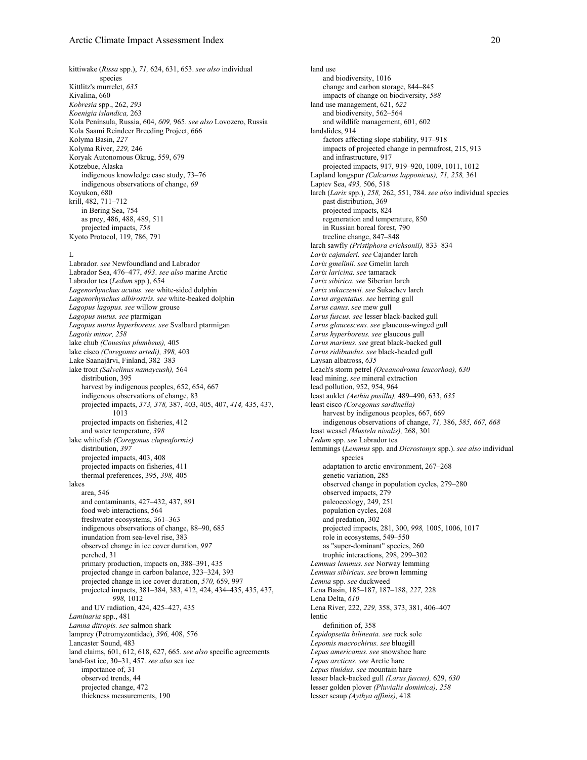kittiwake (*Rissa* spp.), *71,* 624, 631, 653. *see also* individual species Kittlitz's murrelet, *635* Kivalina, 660 *Kobresia* spp., 262, *293 Koenigia islandica,* 263 Kola Peninsula, Russia, 604, *609,* 965. *see also* Lovozero, Russia Kola Saami Reindeer Breeding Project, 666 Kolyma Basin, *227* Kolyma River, *229,* 246 Koryak Autonomous Okrug, 559, 679 Kotzebue, Alaska indigenous knowledge case study, 73–76 indigenous observations of change, *69* Koyukon, 680 krill, 482, 711–712 in Bering Sea, 754 as prey, 486, 488, 489, 511 projected impacts, *758* Kyoto Protocol, 119, 786, 791

### $L$

Labrador. *see* Newfoundland and Labrador Labrador Sea, 476–477, *493*. *see also* marine Arctic Labrador tea (*Ledum* spp.), 654 *Lagenorhynchus acutus. see* white-sided dolphin *Lagenorhynchus albirostris. see* white-beaked dolphin *Lagopus lagopus. see* willow grouse *Lagopus mutus. see* ptarmigan *Lagopus mutus hyperboreus. see* Svalbard ptarmigan *Lagotis minor, 258* lake chub *(Couesius plumbeus),* 405 lake cisco *(Coregonus artedi), 398,* 403 Lake Saanajärvi, Finland, 382–383 lake trout *(Salvelinus namaycush),* 564 distribution 395 harvest by indigenous peoples, 652, 654, 667 indigenous observations of change, 83 projected impacts, *373, 378,* 387, 403, 405, 407, *414,* 435, 437, 1013 projected impacts on fisheries, 412 and water temperature, *398* lake whitefish *(Coregonus clupeaformis)* distribution, *397* projected impacts, 403, 408 projected impacts on fisheries, 411 thermal preferences, 395, *398,* 405 lakes area, 546 and contaminants, 427–432, 437, 891 food web interactions, 564 freshwater ecosystems, 361–363 indigenous observations of change, 88–90, 685 inundation from sea-level rise, 383 observed change in ice cover duration, *997* perched, 31 primary production, impacts on, 388–391, 435 projected change in carbon balance, 323–324, 393 projected change in ice cover duration, *570,* 659, 997 projected impacts, 381–384, 383, 412, 424, 434–435, 435, 437, *998,* 1012 and UV radiation, 424, 425–427, 435 *Laminaria* spp., 481 *Lamna ditropis. see* salmon shark lamprey (Petromyzontidae), *396,* 408, 576 Lancaster Sound, 483 land claims, 601, 612, 618, 627, 665. *see also* specific agreements land-fast ice, 30–31, 457. *see also* sea ice importance of, 31 observed trends, 44 projected change, 472 thickness measurements, 190

land use and biodiversity, 1016 change and carbon storage, 844–845 impacts of change on biodiversity, *588* land use management, 621, *622* and biodiversity, 562–564 and wildlife management, 601, 602 landslides, 914 factors affecting slope stability, 917–918 impacts of projected change in permafrost, 215, 913 and infrastructure, 917 projected impacts, 917, 919–920, 1009, 1011, 1012 Lapland longspur *(Calcarius lapponicus), 71, 258,* 361 Laptev Sea, *493,* 506, 518 larch (*Larix* spp.), *258,* 262, 551, 784. *see also* individual species past distribution, 369 projected impacts, 824 regeneration and temperature, 850 in Russian boreal forest, 790 treeline change, 847–848 larch sawfly *(Pristiphora erichsonii),* 833–834 *Larix cajanderi. see* Cajander larch *Larix gmelinii. see* Gmelin larch *Larix laricina. see* tamarack *Larix sibirica. see* Siberian larch *Larix sukaczewii. see* Sukachev larch *Larus argentatus. see* herring gull *Larus canus. see* mew gull *Larus fuscus. see* lesser black-backed gull *Larus glaucescens. see* glaucous-winged gull *Larus hyperboreus. see* glaucous gull *Larus marinus. see* great black-backed gull *Larus ridibundus. see* black-headed gull Laysan albatross, *635* Leach's storm petrel *(Oceanodroma leucorhoa), 630* lead mining. *see* mineral extraction lead pollution, 952, 954, 964 least auklet *(Aethia pusilla),* 489–490, 633, *635* least cisco *(Coregonus sardinella)* harvest by indigenous peoples, 667, 669 indigenous observations of change, *71,* 386, *585, 667, 668* least weasel *(Mustela nivalis),* 268, 301 *Ledum* spp. *see* Labrador tea lemmings (*Lemmus* spp. and *Dicrostonyx* spp.). *see also* individual species adaptation to arctic environment, 267–268 genetic variation, 285 observed change in population cycles, 279–280 observed impacts, 279 paleoecology, 249, 251 population cycles, 268 and predation, 302 projected impacts, 281, 300, *998,* 1005, 1006, 1017 role in ecosystems, 549–550 as "super-dominant" species, 260 trophic interactions, 298, 299–302 *Lemmus lemmus. see* Norway lemming *Lemmus sibiricus. see* brown lemming *Lemna* spp. *see* duckweed Lena Basin, 185–187, 187–188, *227,* 228 Lena Delta, *610* Lena River, 222, *229,* 358, 373, 381, 406–407 lentic definition of, 358 *Lepidopsetta bilineata. see* rock sole *Lepomis macrochirus. see* bluegill *Lepus americanus. see* snowshoe hare *Lepus arcticus. see* Arctic hare *Lepus timidus. see* mountain hare lesser black-backed gull *(Larus fuscus),* 629, *630* lesser golden plover *(Pluvialis dominica), 258* lesser scaup *(Aythya affinis),* 418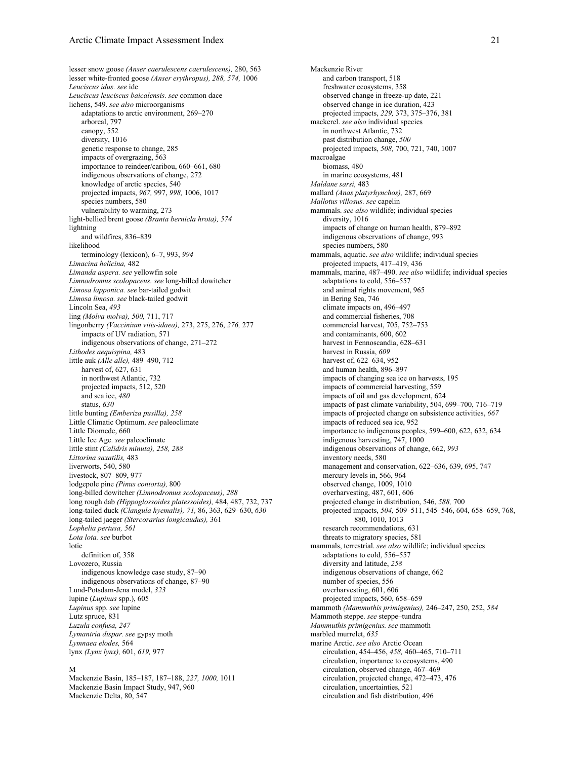lesser snow goose *(Anser caerulescens caerulescens),* 280, 563 lesser white-fronted goose *(Anser erythropus), 288, 574,* 1006 *Leuciscus idus. see* ide *Leuciscus leuciscus baicalensis. see* common dace lichens, 549. *see also* microorganisms adaptations to arctic environment, 269–270 arboreal, 797 canopy, 552 diversity, 1016 genetic response to change, 285 impacts of overgrazing, 563 importance to reindeer/caribou, 660–661, 680 indigenous observations of change, 272 knowledge of arctic species, 540 projected impacts, *967,* 997, *998,* 1006, 1017 species numbers, 580 vulnerability to warming, 273 light-bellied brent goose *(Branta bernicla hrota), 574* lightning and wildfires, 836–839 likelihood terminology (lexicon), 6–7, 993, *994 Limacina helicina,* 482 *Limanda aspera. see* yellowfin sole *Limnodromus scolopaceus. see* long-billed dowitcher *Limosa lapponica. see* bar-tailed godwit *Limosa limosa. see* black-tailed godwit Lincoln Sea, *493* ling *(Molva molva), 500,* 711, 717 lingonberry *(Vaccinium vitis-idaea),* 273, 275, 276, *276,* 277 impacts of UV radiation, 571 indigenous observations of change, 271–272 *Lithodes aequispina,* 483 little auk *(Alle alle),* 489–490, 712 harvest of, 627, 631 in northwest Atlantic, 732 projected impacts, 512, 520 and sea ice, *480* status, *630* little bunting *(Emberiza pusilla), 258* Little Climatic Optimum. *see* paleoclimate Little Diomede, 660 Little Ice Age. *see* paleoclimate little stint *(Calidris minuta), 258, 288 Littorina saxatilis,* 483 liverworts, 540, 580 livestock, 807–809, 977 lodgepole pine *(Pinus contorta),* 800 long-billed dowitcher *(Limnodromus scolopaceus), 288* long rough dab *(Hippoglossoides platessoides),* 484, 487, 732, 737 long-tailed duck *(Clangula hyemalis), 71,* 86, 363, 629–630, *630* long-tailed jaeger *(Stercorarius longicaudus),* 361 *Lophelia pertusa, 561 Lota lota. see* burbot lotic definition of, 358 Lovozero, Russia indigenous knowledge case study, 87–90 indigenous observations of change, 87–90 Lund-Potsdam-Jena model, *323* lupine (*Lupinus* spp.), 605 *Lupinus* spp. *see* lupine Lutz spruce, 831 *Luzula confusa, 247 Lymantria dispar. see* gypsy moth *Lymnaea elodes,* 564 lynx *(Lynx lynx),* 601, *619,* 977

#### M

Mackenzie Basin, 185–187, 187–188, *227, 1000,* 1011 Mackenzie Basin Impact Study, 947, 960 Mackenzie Delta, 80, 547

Mackenzie River and carbon transport, 518 freshwater ecosystems, 358 observed change in freeze-up date, 221 observed change in ice duration, 423 projected impacts, *229,* 373, 375–376, 381 mackerel. *see also* individual species in northwest Atlantic, 732 past distribution change, *500* projected impacts, *508,* 700, 721, 740, 1007 macroalgae biomass, 480 in marine ecosystems, 481 *Maldane sarsi,* 483 mallard *(Anas platyrhynchos),* 287, 669 *Mallotus villosus. see* capelin mammals. *see also* wildlife; individual species diversity, 1016 impacts of change on human health, 879–892 indigenous observations of change, 993 species numbers, 580 mammals, aquatic. *see also* wildlife; individual species projected impacts, 417–419, 436 mammals, marine, 487–490. *see also* wildlife; individual species adaptations to cold, 556–557 and animal rights movement, 965 in Bering Sea, 746 climate impacts on, 496–497 and commercial fisheries, 708 commercial harvest, 705, 752–753 and contaminants, 600, 602 harvest in Fennoscandia, 628–631 harvest in Russia, *609* harvest of, 622–634, 952 and human health, 896–897 impacts of changing sea ice on harvests, 195 impacts of commercial harvesting, 559 impacts of oil and gas development, 624 impacts of past climate variability, 504, 699–700, 716–719 impacts of projected change on subsistence activities, *667* impacts of reduced sea ice, 952 importance to indigenous peoples, 599–600, 622, 632, 634 indigenous harvesting, 747, 1000 indigenous observations of change, 662, *993* inventory needs, 580 management and conservation, 622–636, 639, 695, 747 mercury levels in, 566, 964 observed change, 1009, 1010 overharvesting, 487, 601, 606 projected change in distribution, 546, *588,* 700 projected impacts, *504,* 509–511, 545–546, 604, 658–659, 768, 880, 1010, 1013 research recommendations, 631 threats to migratory species, 581 mammals, terrestrial. *see also* wildlife; individual species adaptations to cold, 556–557 diversity and latitude, *258* indigenous observations of change, 662 number of species, 556 overharvesting, 601, 606 projected impacts, 560, 658–659 mammoth *(Mammuthis primigenius),* 246–247, 250, 252, *584* Mammoth steppe. *see* steppe–tundra *Mammuthis primigenius. see* mammoth marbled murrelet, *635* marine Arctic. *see also* Arctic Ocean circulation, 454–456, *458,* 460–465, 710–711 circulation, importance to ecosystems, 490 circulation, observed change, 467–469 circulation, projected change, 472–473, 476 circulation, uncertainties, 521 circulation and fish distribution, 496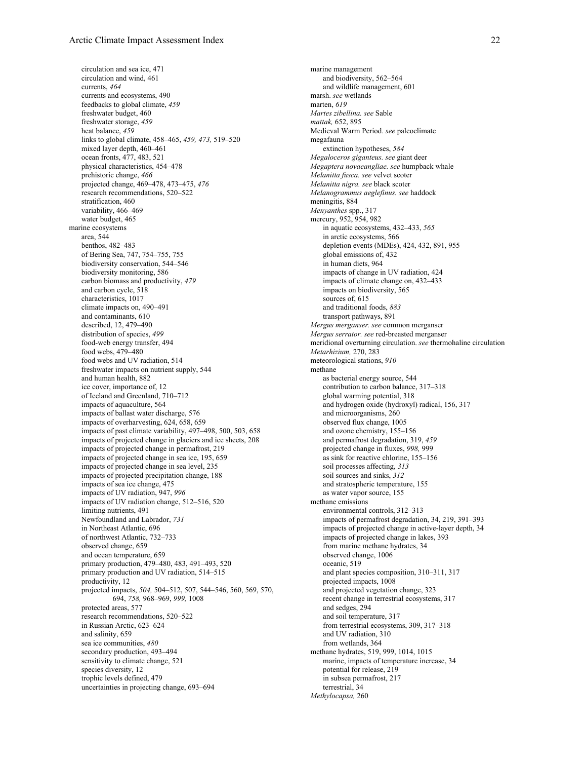circulation and sea ice, 471 circulation and wind, 461 currents, *464* currents and ecosystems, 490 feedbacks to global climate, *459* freshwater budget, 460 freshwater storage, *459* heat balance, *459* links to global climate, 458–465, *459, 473,* 519–520 mixed layer depth, 460–461 ocean fronts, 477, 483, 521 physical characteristics, 454–478 prehistoric change, *466* projected change, 469–478, 473–475, *476* research recommendations, 520–522 stratification, 460 variability, 466–469 water budget, 465 marine ecosystems area, 544 benthos, 482–483 of Bering Sea, 747, 754–755, 755 biodiversity conservation, 544–546 biodiversity monitoring, 586 carbon biomass and productivity, *479* and carbon cycle, 518 characteristics, 1017 climate impacts on, 490–491 and contaminants, 610 described, 12, 479–490 distribution of species, *499* food-web energy transfer, 494 food webs, 479–480 food webs and UV radiation, 514 freshwater impacts on nutrient supply, 544 and human health, 882 ice cover, importance of, 12 of Iceland and Greenland, 710–712 impacts of aquaculture, 564 impacts of ballast water discharge, 576 impacts of overharvesting, 624, 658, 659 impacts of past climate variability, 497–498, 500, 503, 658 impacts of projected change in glaciers and ice sheets, 208 impacts of projected change in permafrost, 219 impacts of projected change in sea ice, 195, 659 impacts of projected change in sea level, 235 impacts of projected precipitation change, 188 impacts of sea ice change, 475 impacts of UV radiation, 947, *996* impacts of UV radiation change, 512–516, 520 limiting nutrients, 491 Newfoundland and Labrador, *731* in Northeast Atlantic, 696 of northwest Atlantic, 732–733 observed change, 659 and ocean temperature, 659 primary production, 479–480, 483, 491–493, 520 primary production and UV radiation, 514–515 productivity, 12 projected impacts, *504,* 504–512, 507, 544–546, 560, 569, 570, 694, *758,* 968–969, *999,* 1008 protected areas, 577 research recommendations, 520–522 in Russian Arctic, 623–624 and salinity, 659 sea ice communities, *480* secondary production, 493–494 sensitivity to climate change, 521 species diversity, 12 trophic levels defined, 479 uncertainties in projecting change, 693–694

marine management and biodiversity, 562–564 and wildlife management, 601 marsh. *see* wetlands marten, *619 Martes zibellina. see* Sable *mattak,* 652, 895 Medieval Warm Period. *see* paleoclimate megafauna extinction hypotheses, *584 Megaloceros giganteus. see* giant deer *Megaptera novaeangliae. see* humpback whale *Melanitta fusca. see* velvet scoter *Melanitta nigra. see* black scoter *Melanogrammus aeglefinus. see* haddock meningitis, 884 *Menyanthes* spp., 317 mercury, 952, 954, 982 in aquatic ecosystems, 432–433, *565* in arctic ecosystems, 566 depletion events (MDEs), 424, 432, 891, 955 global emissions of, 432 in human diets, 964 impacts of change in UV radiation, 424 impacts of climate change on, 432–433 impacts on biodiversity, 565 sources of, 615 and traditional foods, *883* transport pathways, 891 *Mergus merganser. see* common merganser *Mergus serrator. see* red-breasted merganser meridional overturning circulation. *see* thermohaline circulation *Metarhizium,* 270, 283 meteorological stations, *910* methane as bacterial energy source, 544 contribution to carbon balance, 317–318 global warming potential, 318 and hydrogen oxide (hydroxyl) radical, 156, 317 and microorganisms, 260 observed flux change, 1005 and ozone chemistry, 155–156 and permafrost degradation, 319, *459* projected change in fluxes, *998,* 999 as sink for reactive chlorine, 155–156 soil processes affecting, *313* soil sources and sinks, *312* and stratospheric temperature, 155 as water vapor source, 155 methane emissions environmental controls, 312–313 impacts of permafrost degradation, 34, 219, 391–393 impacts of projected change in active-layer depth, 34 impacts of projected change in lakes, 393 from marine methane hydrates, 34 observed change, 1006 oceanic, 519 and plant species composition, 310–311, 317 projected impacts, 1008 and projected vegetation change, 323 recent change in terrestrial ecosystems, 317 and sedges, 294 and soil temperature, 317 from terrestrial ecosystems, 309, 317–318 and UV radiation, 310 from wetlands, 364 methane hydrates, 519, 999, 1014, 1015 marine, impacts of temperature increase, 34 potential for release, 219 in subsea permafrost, 217 terrestrial, 34 *Methylocapsa,* 260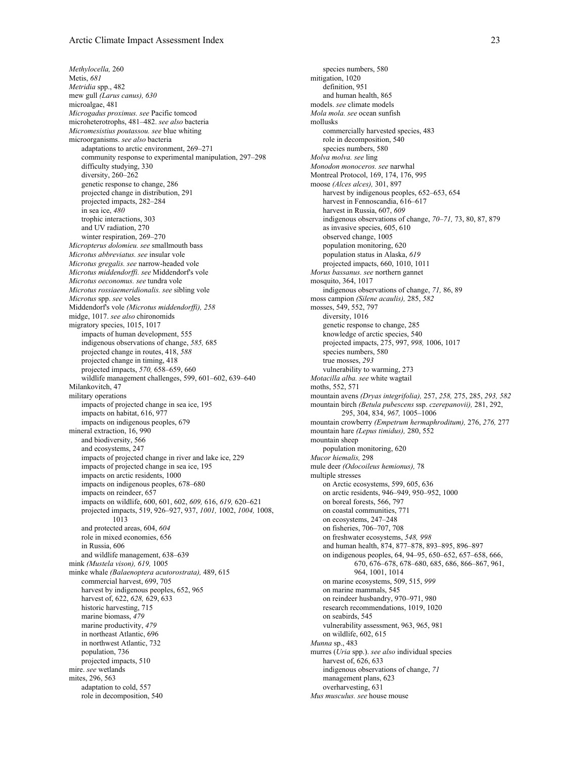*Methylocella,* 260 Metis, *681 Metridia* spp., 482 mew gull *(Larus canus), 630* microalgae, 481 *Microgadus proximus. see* Pacific tomcod microheterotrophs, 481–482. *see also* bacteria *Micromesistius poutassou. see* blue whiting microorganisms. *see also* bacteria adaptations to arctic environment, 269–271 community response to experimental manipulation, 297–298 difficulty studying, 330 diversity, 260–262 genetic response to change, 286 projected change in distribution, 291 projected impacts, 282–284 in sea ice, *480* trophic interactions, 303 and UV radiation, 270 winter respiration, 269–270 *Micropterus dolomieu. see* smallmouth bass *Microtus abbreviatus. see* insular vole *Microtus gregalis. see* narrow-headed vole *Microtus middendorffi. see* Middendorf's vole *Microtus oeconomus. see* tundra vole *Microtus rossiaemeridionalis. see* sibling vole *Microtus* spp. *see* voles Middendorf's vole *(Microtus middendorffi), 258* midge, 1017. *see also* chironomids migratory species, 1015, 1017 impacts of human development, 555 indigenous observations of change, *585,* 685 projected change in routes, 418, *588* projected change in timing, 418 projected impacts, *570,* 658–659, 660 wildlife management challenges, 599, 601–602, 639–640 Milankovitch, 47 military operations impacts of projected change in sea ice, 195 impacts on habitat, 616, 977 impacts on indigenous peoples, 679 mineral extraction, 16, 990 and biodiversity, 566 and ecosystems, 247 impacts of projected change in river and lake ice, 229 impacts of projected change in sea ice, 195 impacts on arctic residents, 1000 impacts on indigenous peoples, 678–680 impacts on reindeer, 657 impacts on wildlife, 600, 601, 602, *609,* 616, *619,* 620–621 projected impacts, 519, 926–927, 937, *1001,* 1002, *1004,* 1008, 1013 and protected areas, 604, *604* role in mixed economies, 656 in Russia, 606 and wildlife management, 638–639 mink *(Mustela vison), 619,* 1005 minke whale *(Balaenoptera acutorostrata),* 489, 615 commercial harvest, 699, 705 harvest by indigenous peoples, 652, 965 harvest of, 622, *628,* 629, 633 historic harvesting, 715 marine biomass, *479* marine productivity, *479* in northeast Atlantic, 696 in northwest Atlantic, 732 population, 736 projected impacts, 510 mire. *see* wetlands mites, 296, 563 adaptation to cold, 557 role in decomposition, 540

species numbers, 580 mitigation, 1020 definition, 951 and human health, 865 models. *see* climate models *Mola mola. see* ocean sunfish mollusks commercially harvested species, 483 role in decomposition, 540 species numbers, 580 *Molva molva. see* ling *Monodon monoceros. see* narwhal Montreal Protocol, 169, 174, 176, 995 moose *(Alces alces),* 301, 897 harvest by indigenous peoples, 652–653, 654 harvest in Fennoscandia, 616–617 harvest in Russia, 607, *609* indigenous observations of change, *70–71,* 73, 80, 87, 879 as invasive species, 605, 610 observed change, 1005 population monitoring, 620 population status in Alaska, *619* projected impacts, 660, 1010, 1011 *Morus bassanus. see* northern gannet mosquito, 364, 1017 indigenous observations of change, *71,* 86, 89 moss campion *(Silene acaulis),* 285, *582* mosses, 549, 552, 797 diversity, 1016 genetic response to change, 285 knowledge of arctic species, 540 projected impacts, 275, 997, *998,* 1006, 1017 species numbers, 580 true mosses, *293* vulnerability to warming, 273 *Motacilla alba. see* white wagtail moths, 552, 571 mountain avens *(Dryas integrifolia),* 257, *258,* 275, 285, *293, 582* mountain birch *(Betula pubescens* ssp. *czerepanovii),* 281, 292, 295, 304, 834, *967,* 1005–1006 mountain crowberry *(Empetrum hermaphroditum),* 276, *276,* 277 mountain hare *(Lepus timidus),* 280, 552 mountain sheep population monitoring, 620 *Mucor hiemalis,* 298 mule deer *(Odocoileus hemionus),* 78 multiple stresses on Arctic ecosystems, 599, 605, 636 on arctic residents, 946–949, 950–952, 1000 on boreal forests, 566, 797 on coastal communities, 771 on ecosystems, 247–248 on fisheries, 706–707, 708 on freshwater ecosystems, *548, 998* and human health, 874, 877–878, 893–895, 896–897 on indigenous peoples, 64, 94–95, 650–652, 657–658, 666, 670, 676–678, 678–680, 685, 686, 866–867, 961, 964, 1001, 1014 on marine ecosystems, 509, 515, *999* on marine mammals, 545 on reindeer husbandry, 970–971, 980 research recommendations, 1019, 1020 on seabirds, 545 vulnerability assessment, 963, 965, 981 on wildlife, 602, 615 *Munna* sp., 483 murres (*Uria* spp.). *see also* individual species harvest of, 626, 633 indigenous observations of change, *71* management plans, 623 overharvesting, 631

*Mus musculus. see* house mouse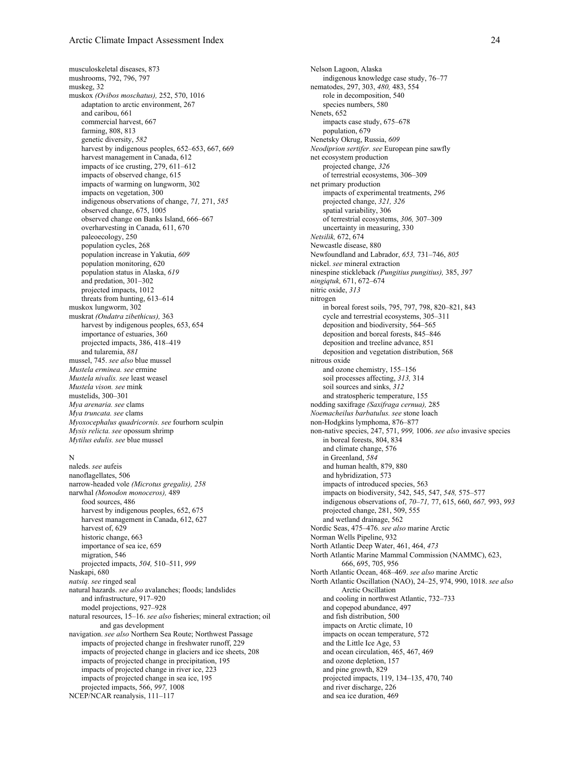musculoskeletal diseases, 873 mushrooms, 792, 796, 797 muskeg, 32 muskox *(Ovibos moschatus),* 252, 570, 1016 adaptation to arctic environment, 267 and caribou, 661 commercial harvest, 667 farming, 808, 813 genetic diversity, *582* harvest by indigenous peoples, 652-653, 667, 669 harvest management in Canada, 612 impacts of ice crusting, 279, 611–612 impacts of observed change, 615 impacts of warming on lungworm, 302 impacts on vegetation, 300 indigenous observations of change, *71,* 271, *585* observed change, 675, 1005 observed change on Banks Island, 666–667 overharvesting in Canada, 611, 670 paleoecology, 250 population cycles, 268 population increase in Yakutia, *609* population monitoring, 620 population status in Alaska, *619* and predation, 301–302 projected impacts, 1012 threats from hunting, 613–614 muskox lungworm, 302 muskrat *(Ondatra zibethicus),* 363 harvest by indigenous peoples, 653, 654 importance of estuaries, 360 projected impacts, 386, 418–419 and tularemia, *881* mussel, 745. *see also* blue mussel *Mustela erminea. see* ermine *Mustela nivalis. see* least weasel *Mustela vison. see* mink mustelids, 300–301 *Mya arenaria. see* clams *Mya truncata. see* clams *Myoxocephalus quadricornis. see* fourhorn sculpin *Mysis relicta. see* opossum shrimp *Mytilus edulis. see* blue mussel

#### N

naleds. *see* aufeis nanoflagellates, 506 narrow-headed vole *(Microtus gregalis), 258* narwhal *(Monodon monoceros),* 489 food sources, 486 harvest by indigenous peoples, 652, 675 harvest management in Canada, 612, 627 harvest of, 629 historic change, 663 importance of sea ice, 659 migration, 546 projected impacts, *504,* 510–511, *999* Naskapi, 680 *natsiq. see* ringed seal natural hazards. *see also* avalanches; floods; landslides and infrastructure, 917–920 model projections, 927–928 natural resources, 15–16. *see also* fisheries; mineral extraction; oil and gas development navigation. *see also* Northern Sea Route; Northwest Passage impacts of projected change in freshwater runoff, 229 impacts of projected change in glaciers and ice sheets, 208 impacts of projected change in precipitation, 195 impacts of projected change in river ice, 223 impacts of projected change in sea ice, 195 projected impacts, 566, *997,* 1008 NCEP/NCAR reanalysis, 111–117

Nelson Lagoon, Alaska indigenous knowledge case study, 76–77 nematodes, 297, 303, *480,* 483, 554 role in decomposition, 540 species numbers, 580 Nenets, 652 impacts case study, 675–678 population, 679 Nenetsky Okrug, Russia, *609 Neodiprion sertifer. see* European pine sawfly net ecosystem production projected change, *326* of terrestrial ecosystems, 306–309 net primary production impacts of experimental treatments, *296* projected change, *321, 326* spatial variability, 306 of terrestrial ecosystems, *306,* 307–309 uncertainty in measuring, 330 *Netsilik,* 672, 674 Newcastle disease, 880 Newfoundland and Labrador, *653,* 731–746, *805* nickel. *see* mineral extraction ninespine stickleback *(Pungitius pungitius),* 385, *397 ningiqtuk,* 671, 672–674 nitric oxide, *313* nitrogen in boreal forest soils, 795, 797, 798, 820–821, 843 cycle and terrestrial ecosystems, 305–311 deposition and biodiversity, 564–565 deposition and boreal forests, 845–846 deposition and treeline advance, 851 deposition and vegetation distribution, 568 nitrous oxide and ozone chemistry, 155–156 soil processes affecting, *313,* 314 soil sources and sinks, *312* and stratospheric temperature, 155 nodding saxifrage *(Saxifraga cernua),* 285 *Noemacheilus barbatulus. see* stone loach non-Hodgkins lymphoma, 876–877 non-native species, 247, 571, *999,* 1006. *see also* invasive species in boreal forests, 804, 834 and climate change, 576 in Greenland, *584* and human health, 879, 880 and hybridization, 573 impacts of introduced species, 563 impacts on biodiversity, 542, 545, 547, *548,* 575–577 indigenous observations of, *70–71,* 77, 615, 660, *667,* 993, *993* projected change, 281, 509, 555 and wetland drainage, 562 Nordic Seas, 475–476. *see also* marine Arctic Norman Wells Pipeline, 932 North Atlantic Deep Water, 461, 464, *473* North Atlantic Marine Mammal Commission (NAMMC), 623, 666, 695, 705, 956 North Atlantic Ocean, 468–469. *see also* marine Arctic North Atlantic Oscillation (NAO), 24–25, 974, 990, 1018. *see also* Arctic Oscillation and cooling in northwest Atlantic, 732–733 and copepod abundance, 497 and fish distribution, 500 impacts on Arctic climate, 10 impacts on ocean temperature, 572 and the Little Ice Age, 53 and ocean circulation, 465, 467, 469 and ozone depletion, 157 and pine growth, 829 projected impacts, 119, 134–135, 470, 740 and river discharge, 226 and sea ice duration, 469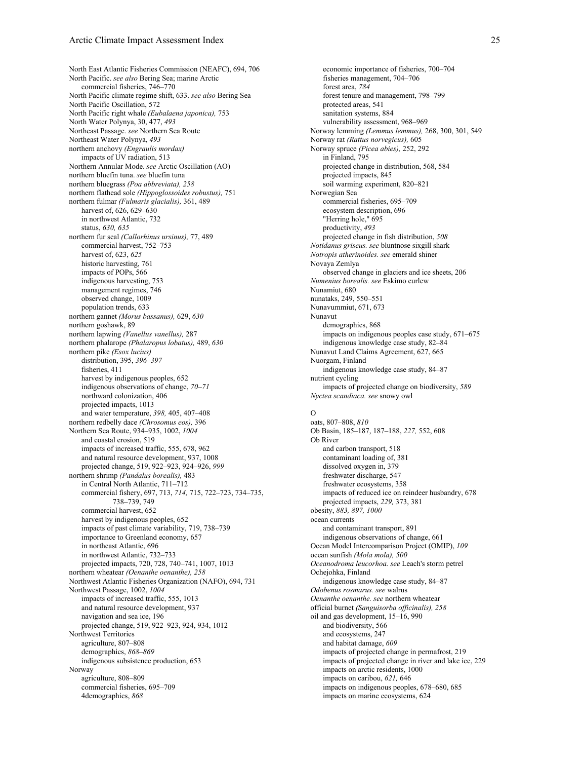North East Atlantic Fisheries Commission (NEAFC), 694, 706 North Pacific. *see also* Bering Sea; marine Arctic commercial fisheries, 746–770 North Pacific climate regime shift, 633. *see also* Bering Sea North Pacific Oscillation, 572 North Pacific right whale *(Eubalaena japonica),* 753 North Water Polynya, 30, 477, *493* Northeast Passage. *see* Northern Sea Route Northeast Water Polynya, *493* northern anchovy *(Engraulis mordax)* impacts of UV radiation, 513 Northern Annular Mode. *see* Arctic Oscillation (AO) northern bluefin tuna. *see* bluefin tuna northern bluegrass *(Poa abbreviata), 258* northern flathead sole *(Hippoglossoides robustus),* 751 northern fulmar *(Fulmaris glacialis),* 361, 489 harvest of, 626, 629–630 in northwest Atlantic, 732 status, *630, 635* northern fur seal *(Callorhinus ursinus),* 77, 489 commercial harvest, 752–753 harvest of, 623, *625* historic harvesting, 761 impacts of POPs, 566 indigenous harvesting, 753 management regimes, 746 observed change, 1009 population trends, 633 northern gannet *(Morus bassanus),* 629, *630* northern goshawk, 89 northern lapwing *(Vanellus vanellus),* 287 northern phalarope *(Phalaropus lobatus),* 489, *630* northern pike *(Esox lucius)* distribution, 395, *396–397* fisheries, 411 harvest by indigenous peoples, 652 indigenous observations of change, *70–71* northward colonization, 406 projected impacts, 1013 and water temperature, *398,* 405, 407–408 northern redbelly dace *(Chrosomus eos),* 396 Northern Sea Route, 934–935, 1002, *1004* and coastal erosion, 519 impacts of increased traffic, 555, 678, 962 and natural resource development, 937, 1008 projected change, 519, 922–923, 924–926, *999* northern shrimp *(Pandalus borealis),* 483 in Central North Atlantic, 711–712 commercial fishery, 697, 713, *714,* 715, 722–723, 734–735, 738–739, 749 commercial harvest, 652 harvest by indigenous peoples, 652 impacts of past climate variability, 719, 738–739 importance to Greenland economy, 657 in northeast Atlantic, 696 in northwest Atlantic, 732–733 projected impacts, 720, 728, 740–741, 1007, 1013 northern wheatear *(Oenanthe oenanthe), 258* Northwest Atlantic Fisheries Organization (NAFO), 694, 731 Northwest Passage, 1002, *1004* impacts of increased traffic, 555, 1013 and natural resource development, 937 navigation and sea ice, 196 projected change, 519, 922–923, 924, 934, 1012 Northwest Territories agriculture, 807–808 demographics, *868–869* indigenous subsistence production, 653 Norway agriculture, 808–809 commercial fisheries, 695–709 4demographics, *868*

economic importance of fisheries, 700–704 fisheries management, 704–706 forest area, *784* forest tenure and management, 798–799 protected areas, 541 sanitation systems, 884 vulnerability assessment, 968–969 Norway lemming *(Lemmus lemmus),* 268, 300, 301, 549 Norway rat *(Rattus norvegicus),* 605 Norway spruce *(Picea abies),* 252, 292 in Finland, 795 projected change in distribution, 568, 584 projected impacts, 845 soil warming experiment, 820–821 Norwegian Sea commercial fisheries, 695–709 ecosystem description, 696 "Herring hole," 695 productivity, *493* projected change in fish distribution, *508 Notidanus griseus. see* bluntnose sixgill shark *Notropis atherinoides. see* emerald shiner Novaya Zemlya observed change in glaciers and ice sheets, 206 *Numenius borealis. see* Eskimo curlew Nunamiut, 680 nunataks, 249, 550–551 Nunavummiut, 671, 673 Nunavut demographics, 868 impacts on indigenous peoples case study, 671–675 indigenous knowledge case study, 82–84 Nunavut Land Claims Agreement, 627, 665 Nuorgam, Finland indigenous knowledge case study, 84–87 nutrient cycling impacts of projected change on biodiversity, *589 Nyctea scandiaca. see* snowy owl  $\Omega$ oats, 807–808, *810* Ob Basin, 185–187, 187–188, *227,* 552, 608 Ob River and carbon transport, 518 contaminant loading of, 381 dissolved oxygen in, 379 freshwater discharge, 547 freshwater ecosystems, 358 impacts of reduced ice on reindeer husbandry, 678 projected impacts, *229,* 373, 381 obesity, *883, 897, 1000* ocean currents and contaminant transport, 891

indigenous observations of change, 661 Ocean Model Intercomparison Project (OMIP), *109* ocean sunfish *(Mola mola), 500 Oceanodroma leucorhoa. see* Leach's storm petrel Ochejohka, Finland indigenous knowledge case study, 84–87 *Odobenus rosmarus. see* walrus *Oenanthe oenanthe. see* northern wheatear official burnet *(Sanguisorba officinalis), 258* oil and gas development, 15–16, 990 and biodiversity, 566 and ecosystems, 247 and habitat damage, *609* impacts of projected change in permafrost, 219 impacts of projected change in river and lake ice, 229 impacts on arctic residents, 1000

impacts on caribou, *621,* 646 impacts on indigenous peoples, 678–680, 685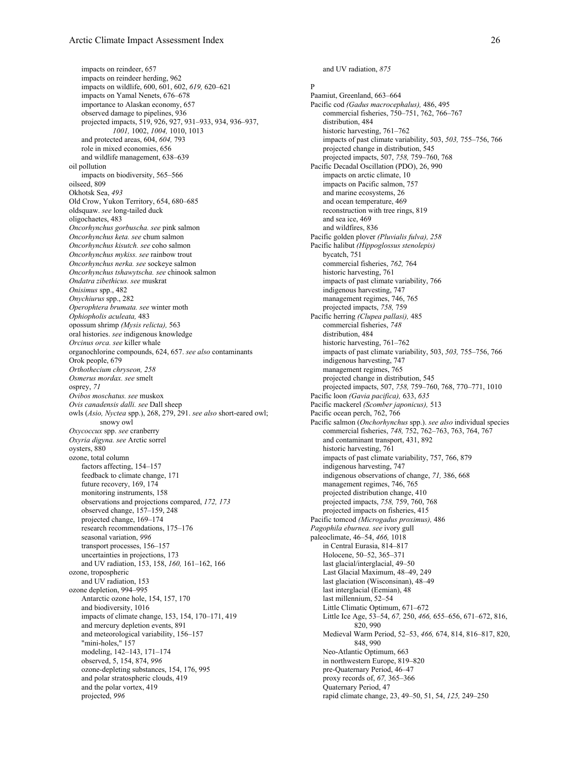impacts on reindeer, 657 impacts on reindeer herding, 962 impacts on wildlife, 600, 601, 602, *619,* 620–621 impacts on Yamal Nenets, 676–678 importance to Alaskan economy, 657 observed damage to pipelines, 936 projected impacts, 519, 926, 927, 931–933, 934, 936–937, *1001,* 1002, *1004,* 1010, 1013 and protected areas, 604, *604,* 793 role in mixed economies, 656 and wildlife management, 638–639 oil pollution impacts on biodiversity, 565–566 oilseed, 809 Okhotsk Sea, *493* Old Crow, Yukon Territory, 654, 680–685 oldsquaw. *see* long-tailed duck oligochaetes, 483 *Oncorhynchus gorbuscha. see* pink salmon *Oncorhynchus keta. see* chum salmon *Oncorhynchus kisutch. see* coho salmon *Oncorhynchus mykiss. see* rainbow trout *Oncorhynchus nerka. see* sockeye salmon *Oncorhynchus tshawytscha. see* chinook salmon *Ondatra zibethicus. see* muskrat *Onisimus* spp., 482 *Onychiurus* spp., 282 *Operophtera brumata. see* winter moth *Ophiopholis aculeata,* 483 opossum shrimp *(Mysis relicta),* 563 oral histories. *see* indigenous knowledge *Orcinus orca. see* killer whale organochlorine compounds, 624, 657. *see also* contaminants Orok people, 679 *Orthothecium chryseon, 258 Osmerus mordax. see* smelt osprey, *71 Ovibos moschatus. see* muskox *Ovis canadensis dalli. see* Dall sheep owls (*Asio, Nyctea* spp.), 268, 279, 291. *see also* short-eared owl; snowy owl *Oxycoccux* spp. *see* cranberry *Oxyria digyna. see* Arctic sorrel oysters, 880 ozone, total column factors affecting, 154–157 feedback to climate change, 171 future recovery, 169, 174 monitoring instruments, 158 observations and projections compared, *172, 173* observed change, 157–159, 248 projected change, 169–174 research recommendations, 175–176 seasonal variation, *996* transport processes, 156–157 uncertainties in projections, 173 and UV radiation, 153, 158, *160,* 161–162, 166 ozone, tropospheric and UV radiation, 153 ozone depletion, 994–995 Antarctic ozone hole, 154, 157, 170 and biodiversity, 1016 impacts of climate change, 153, 154, 170–171, 419 and mercury depletion events, 891 and meteorological variability, 156–157 "mini-holes," 157 modeling, 142–143, 171–174 observed, 5, 154, 874, *996* ozone-depleting substances, 154, 176, 995 and polar stratospheric clouds, 419 and the polar vortex, 419 projected, *996*

and UV radiation, *875*

P Paamiut, Greenland, 663–664 Pacific cod *(Gadus macrocephalus),* 486, 495 commercial fisheries, 750–751, 762, 766–767 distribution, 484 historic harvesting, 761–762 impacts of past climate variability, 503, *503,* 755–756, 766 projected change in distribution, 545 projected impacts, 507, *758,* 759–760, 768 Pacific Decadal Oscillation (PDO), 26, 990 impacts on arctic climate, 10 impacts on Pacific salmon, 757 and marine ecosystems, 26 and ocean temperature, 469 reconstruction with tree rings, 819 and sea ice, 469 and wildfires, 836 Pacific golden plover *(Pluvialis fulva), 258* Pacific halibut *(Hippoglossus stenolepis)* bycatch, 751 commercial fisheries, *762,* 764 historic harvesting, 761 impacts of past climate variability, 766 indigenous harvesting, 747 management regimes, 746, 765 projected impacts, *758,* 759 Pacific herring *(Clupea pallasi),* 485 commercial fisheries, *748* distribution, 484 historic harvesting, 761–762 impacts of past climate variability, 503, *503,* 755–756, 766 indigenous harvesting, 747 management regimes, 765 projected change in distribution, 545 projected impacts, 507, *758,* 759–760, 768, 770–771, 1010 Pacific loon *(Gavia pacifica),* 633, *635* Pacific mackerel *(Scomber japonicus),* 513 Pacific ocean perch, 762, 766 Pacific salmon (*Onchorhynchus* spp.). *see also* individual species commercial fisheries, *748,* 752, 762–763, 763, 764, 767 and contaminant transport, 431, 892 historic harvesting, 761 impacts of past climate variability, 757, 766, 879 indigenous harvesting, 747 indigenous observations of change, *71,* 386, 668 management regimes, 746, 765 projected distribution change, 410 projected impacts, *758,* 759, 760, 768 projected impacts on fisheries, 415 Pacific tomcod *(Microgadus proximus),* 486 *Pagophila eburnea. see* ivory gull paleoclimate, 46–54, *466,* 1018 in Central Eurasia, 814–817 Holocene, 50–52, 365–371 last glacial/interglacial, 49–50 Last Glacial Maximum, 48–49, 249 last glaciation (Wisconsinan), 48–49 last interglacial (Eemian), 48 last millennium, 52–54 Little Climatic Optimum, 671–672 Little Ice Age, 53–54, *67,* 250, *466,* 655–656, 671–672, 816, 820, 990 Medieval Warm Period, 52–53, *466,* 674, 814, 816–817, 820, 848, 990 Neo-Atlantic Optimum, 663 in northwestern Europe, 819–820 pre-Quaternary Period, 46–47 proxy records of, *67,* 365–366 Quaternary Period, 47 rapid climate change, 23, 49–50, 51, 54, *125,* 249–250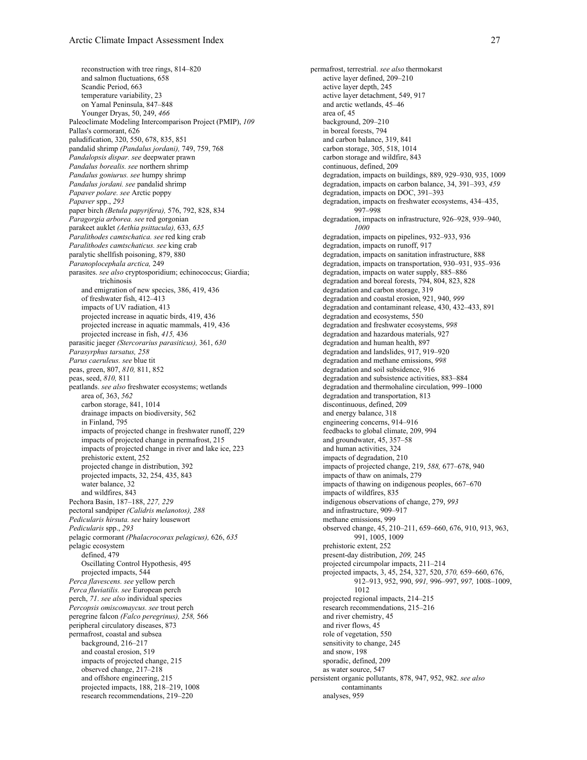reconstruction with tree rings, 814–820 and salmon fluctuations, 658 Scandic Period, 663 temperature variability, 23 on Yamal Peninsula, 847–848 Younger Dryas, 50, 249, *466* Paleoclimate Modeling Intercomparison Project (PMIP), *109* Pallas's cormorant, 626 paludification, 320, 550, 678, 835, 851 pandalid shrimp *(Pandalus jordani),* 749, 759, 768 *Pandalopsis dispar. see* deepwater prawn *Pandalus borealis. see* northern shrimp *Pandalus goniurus. see* humpy shrimp *Pandalus jordani. see* pandalid shrimp *Papaver polare. see* Arctic poppy *Papaver* spp., *293* paper birch *(Betula papyrifera),* 576, 792, 828, 834 *Paragorgia arborea. see* red gorgonian parakeet auklet *(Aethia psittacula),* 633, *635 Paralithodes camtschatica. see* red king crab *Paralithodes camtschaticus. see* king crab paralytic shellfish poisoning, 879, 880 *Paranoplocephala arctica,* 249 parasites. *see also* cryptosporidium; echinococcus; Giardia; trichinosis and emigration of new species, 386, 419, 436 of freshwater fish, 412–413 impacts of UV radiation, 413 projected increase in aquatic birds, 419, 436 projected increase in aquatic mammals, 419, 436 projected increase in fish, *415,* 436 parasitic jaeger *(Stercorarius parasiticus),* 361, *630 Parasyrphus tarsatus, 258 Parus caeruleus. see* blue tit peas, green, 807, *810,* 811, 852 peas, seed, *810,* 811 peatlands. *see also* freshwater ecosystems; wetlands area of, 363, *562* carbon storage, 841, 1014 drainage impacts on biodiversity, 562 in Finland, 795 impacts of projected change in freshwater runoff, 229 impacts of projected change in permafrost, 215 impacts of projected change in river and lake ice, 223 prehistoric extent, 252 projected change in distribution, 392 projected impacts, 32, 254, 435, 843 water balance, 32 and wildfires, 843 Pechora Basin, 187–188, *227, 229* pectoral sandpiper *(Calidris melanotos), 288 Pedicularis hirsuta. see* hairy lousewort *Pedicularis* spp., *293* pelagic cormorant *(Phalacrocorax pelagicus),* 626, *635* pelagic ecosystem defined, 479 Oscillating Control Hypothesis, 495 projected impacts, 544 *Perca flavescens. see* yellow perch *Perca fluviatilis. see* European perch perch, *71*. *see also* individual species *Percopsis omiscomaycus. see* trout perch peregrine falcon *(Falco peregrinus), 258,* 566 peripheral circulatory diseases, 873 permafrost, coastal and subsea background, 216–217 and coastal erosion, 519 impacts of projected change, 215 observed change, 217–218 and offshore engineering, 215 projected impacts, 188, 218–219, 1008 research recommendations, 219–220

permafrost, terrestrial. *see also* thermokarst active layer defined, 209–210 active layer depth, 245 active layer detachment, 549, 917 and arctic wetlands, 45–46 area of, 45 background, 209–210 in boreal forests, 794 and carbon balance, 319, 841 carbon storage, 305, 518, 1014 carbon storage and wildfire, 843 continuous, defined, 209 degradation, impacts on buildings, 889, 929–930, 935, 1009 degradation, impacts on carbon balance, 34, 391–393, *459* degradation, impacts on DOC, 391–393 degradation, impacts on freshwater ecosystems, 434–435, 997–998 degradation, impacts on infrastructure, 926–928, 939–940, *1000* degradation, impacts on pipelines, 932–933, 936 degradation, impacts on runoff, 917 degradation, impacts on sanitation infrastructure, 888 degradation, impacts on transportation, 930–931, 935–936 degradation, impacts on water supply, 885–886 degradation and boreal forests, 794, 804, 823, 828 degradation and carbon storage, 319 degradation and coastal erosion, 921, 940, *999* degradation and contaminant release, 430, 432–433, 891 degradation and ecosystems, 550 degradation and freshwater ecosystems, *998* degradation and hazardous materials, 927 degradation and human health, 897 degradation and landslides, 917, 919–920 degradation and methane emissions, *998* degradation and soil subsidence, 916 degradation and subsistence activities, 883–884 degradation and thermohaline circulation, 999–1000 degradation and transportation, 813 discontinuous, defined, 209 and energy balance, 318 engineering concerns, 914–916 feedbacks to global climate, 209, 994 and groundwater, 45, 357–58 and human activities, 324 impacts of degradation, 210 impacts of projected change, 219, *588,* 677–678, 940 impacts of thaw on animals, 279 impacts of thawing on indigenous peoples, 667–670 impacts of wildfires, 835 indigenous observations of change, 279, *993* and infrastructure, 909–917 methane emissions, 999 observed change, 45, 210–211, 659–660, 676, 910, 913, 963, 991, 1005, 1009 prehistoric extent, 252 present-day distribution, *209,* 245 projected circumpolar impacts, 211–214 projected impacts, 3, 45, 254, 327, 520, *570,* 659–660, 676, 912–913, 952, 990, *991,* 996–997, *997,* 1008–1009, 1012 projected regional impacts, 214–215 research recommendations, 215–216 and river chemistry, 45 and river flows, 45 role of vegetation, 550 sensitivity to change, 245 and snow, 198 sporadic, defined, 209 as water source, 547 persistent organic pollutants, 878, 947, 952, 982. *see also* contaminants analyses, 959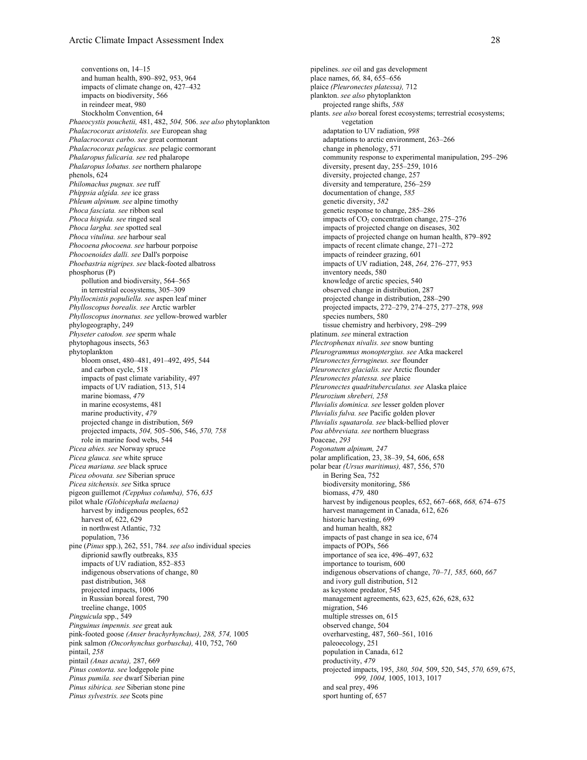conventions on, 14–15 and human health, 890–892, 953, 964 impacts of climate change on, 427–432 impacts on biodiversity, 566 in reindeer meat, 980 Stockholm Convention, 64 *Phaeocystis pouchetii,* 481, 482, *504,* 506. *see also* phytoplankton *Phalacrocorax aristotelis. see* European shag *Phalacrocorax carbo. see* great cormorant *Phalacrocorax pelagicus. see* pelagic cormorant *Phalaropus fulicaria. see* red phalarope *Phalaropus lobatus. see* northern phalarope phenols, 624 *Philomachus pugnax. see* ruff *Phippsia algida. see* ice grass *Phleum alpinum. see* alpine timothy *Phoca fasciata. see* ribbon seal *Phoca hispida. see* ringed seal *Phoca largha. see* spotted seal *Phoca vitulina. see* harbour seal *Phocoena phocoena. see* harbour porpoise *Phocoenoides dalli. see* Dall's porpoise *Phoebastria nigripes. see* black-footed albatross phosphorus (P) pollution and biodiversity, 564–565 in terrestrial ecosystems, 305–309 *Phyllocnistis populiella. see* aspen leaf miner *Phylloscopus borealis. see* Arctic warbler *Phylloscopus inornatus. see* yellow-browed warbler phylogeography, 249 *Physeter catodon. see* sperm whale phytophagous insects, 563 phytoplankton bloom onset, 480–481, 491–492, 495, 544 and carbon cycle, 518 impacts of past climate variability, 497 impacts of UV radiation, 513, 514 marine biomass, *479* in marine ecosystems, 481 marine productivity, *479* projected change in distribution, 569 projected impacts, *504,* 505–506, 546, *570, 758* role in marine food webs, 544 *Picea abies. see* Norway spruce *Picea glauca. see* white spruce *Picea mariana. see* black spruce *Picea obovata. see* Siberian spruce *Picea sitchensis. see* Sitka spruce pigeon guillemot *(Cepphus columba),* 576, *635* pilot whale *(Globicephala melaena)* harvest by indigenous peoples, 652 harvest of, 622, 629 in northwest Atlantic, 732 population, 736 pine (*Pinus* spp.), 262, 551, 784. *see also* individual species diprionid sawfly outbreaks, 835 impacts of UV radiation, 852–853 indigenous observations of change, 80 past distribution, 368 projected impacts, 1006 in Russian boreal forest, 790 treeline change, 1005 *Pinguicula* spp., 549 *Pinguinus impennis. see* great auk pink-footed goose *(Anser brachyrhynchus), 288, 574,* 1005 pink salmon *(Oncorhynchus gorbuscha),* 410, 752, 760 pintail, *258* pintail *(Anas acuta),* 287, 669 *Pinus contorta. see* lodgepole pine *Pinus pumila. see* dwarf Siberian pine *Pinus sibirica. see* Siberian stone pine *Pinus sylvestris. see* Scots pine

pipelines. *see* oil and gas development place names, *66,* 84, 655–656 plaice *(Pleuronectes platessa),* 712 plankton. *see also* phytoplankton projected range shifts, *588* plants. *see also* boreal forest ecosystems; terrestrial ecosystems; vegetation adaptation to UV radiation, *998* adaptations to arctic environment, 263–266 change in phenology, 571 community response to experimental manipulation, 295–296 diversity, present day, 255–259, 1016 diversity, projected change, 257 diversity and temperature, 256–259 documentation of change, *585* genetic diversity, *582* genetic response to change, 285–286 impacts of  $CO<sub>2</sub>$  concentration change, 275–276 impacts of projected change on diseases, 302 impacts of projected change on human health, 879–892 impacts of recent climate change, 271–272 impacts of reindeer grazing, 601 impacts of UV radiation, 248, *264,* 276–277, 953 inventory needs, 580 knowledge of arctic species, 540 observed change in distribution, 287 projected change in distribution, 288–290 projected impacts, 272–279, 274–275, 277–278, *998* species numbers, 580 tissue chemistry and herbivory, 298–299 platinum. *see* mineral extraction *Plectrophenax nivalis. see* snow bunting *Pleurogrammus monoptergius. see* Atka mackerel *Pleuronectes ferrugineus. see* flounder *Pleuronectes glacialis. see* Arctic flounder *Pleuronectes platessa. see* plaice *Pleuronectes quadrituberculatus. see* Alaska plaice *Pleurozium shreberi, 258 Pluvialis dominica. see* lesser golden plover *Pluvialis fulva. see* Pacific golden plover *Pluvialis squatarola. see* black-bellied plover *Poa abbreviata. see* northern bluegrass Poaceae, *293 Pogonatum alpinum, 247* polar amplification, 23, 38–39, 54, 606, 658 polar bear *(Ursus maritimus),* 487, 556, 570 in Bering Sea, 752 biodiversity monitoring, 586 biomass, *479,* 480 harvest by indigenous peoples, 652, 667–668, *668,* 674–675 harvest management in Canada, 612, 626 historic harvesting, 699 and human health, 882 impacts of past change in sea ice, 674 impacts of POPs, 566 importance of sea ice, 496–497, 632 importance to tourism, 600 indigenous observations of change, *70–71, 585,* 660, *667* and ivory gull distribution, 512 as keystone predator, 545 management agreements, 623, 625, 626, 628, 632 migration, 546 multiple stresses on, 615 observed change, 504 overharvesting, 487, 560–561, 1016 paleoecology, 251 population in Canada, 612 productivity, *479* projected impacts, 195, *380, 504,* 509, 520, 545, *570,* 659, 675, *999, 1004,* 1005, 1013, 1017 and seal prey, 496 sport hunting of, 657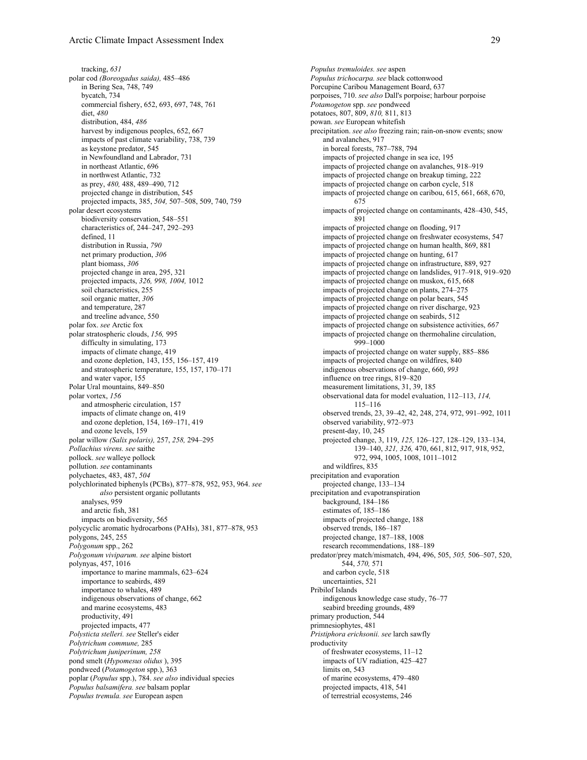tracking, *631* polar cod *(Boreogadus saida),* 485–486 in Bering Sea, 748, 749 bycatch, 734 commercial fishery, 652, 693, 697, 748, 761 diet, *480* distribution, 484, *486* harvest by indigenous peoples, 652, 667 impacts of past climate variability, 738, 739 as keystone predator, 545 in Newfoundland and Labrador, 731 in northeast Atlantic, 696 in northwest Atlantic, 732 as prey, *480,* 488, 489–490, 712 projected change in distribution, 545 projected impacts, 385, *504,* 507–508, 509, 740, 759 polar desert ecosystems biodiversity conservation, 548–551 characteristics of, 244–247, 292–293 defined, 11 distribution in Russia, *790* net primary production, *306* plant biomass, *306* projected change in area, 295, 321 projected impacts, *326, 998, 1004,* 1012 soil characteristics, 255 soil organic matter, *306* and temperature, 287 and treeline advance, 550 polar fox. *see* Arctic fox polar stratospheric clouds, *156,* 995 difficulty in simulating, 173 impacts of climate change, 419 and ozone depletion, 143, 155, 156–157, 419 and stratospheric temperature, 155, 157, 170–171 and water vapor, 155 Polar Ural mountains, 849–850 polar vortex, *156* and atmospheric circulation, 157 impacts of climate change on, 419 and ozone depletion, 154, 169–171, 419 and ozone levels, 159 polar willow *(Salix polaris),* 257, *258,* 294–295 *Pollachius virens. see* saithe pollock. *see* walleye pollock pollution. *see* contaminants polychaetes, 483, 487, *504* polychlorinated biphenyls (PCBs), 877–878, 952, 953, 964. *see also* persistent organic pollutants analyses, 959 and arctic fish, 381 impacts on biodiversity, 565 polycyclic aromatic hydrocarbons (PAHs), 381, 877–878, 953 polygons, 245, 255 *Polygonum* spp., 262 *Polygonum viviparum. see* alpine bistort polynyas, 457, 1016 importance to marine mammals, 623–624 importance to seabirds, 489 importance to whales, 489 indigenous observations of change, 662 and marine ecosystems, 483 productivity, 491 projected impacts, 477 *Polysticta stelleri. see* Steller's eider *Polytrichum commune,* 285 *Polytrichum juniperinum, 258* pond smelt (*Hypomesus olidus* ), 395 pondweed (*Potamogeton* spp.), 363 poplar (*Populus* spp.), 784. *see also* individual species *Populus balsamifera. see* balsam poplar *Populus tremula. see* European aspen

*Populus tremuloides. see* aspen *Populus trichocarpa. see* black cottonwood Porcupine Caribou Management Board, 637 porpoises, 710. *see also* Dall's porpoise; harbour porpoise *Potamogeton* spp. *see* pondweed potatoes, 807, 809, *810,* 811, 813 powan. *see* European whitefish precipitation. *see also* freezing rain; rain-on-snow events; snow and avalanches, 917 in boreal forests, 787–788, 794 impacts of projected change in sea ice, 195 impacts of projected change on avalanches, 918–919 impacts of projected change on breakup timing, 222 impacts of projected change on carbon cycle, 518 impacts of projected change on caribou, 615, 661, 668, 670, 675 impacts of projected change on contaminants, 428–430, 545, 891 impacts of projected change on flooding, 917 impacts of projected change on freshwater ecosystems, 547 impacts of projected change on human health, 869, 881 impacts of projected change on hunting, 617 impacts of projected change on infrastructure, 889, 927 impacts of projected change on landslides, 917–918, 919–920 impacts of projected change on muskox, 615, 668 impacts of projected change on plants, 274–275 impacts of projected change on polar bears, 545 impacts of projected change on river discharge, 923 impacts of projected change on seabirds, 512 impacts of projected change on subsistence activities, *667* impacts of projected change on thermohaline circulation, 999–1000 impacts of projected change on water supply, 885–886 impacts of projected change on wildfires, 840 indigenous observations of change, 660, *993* influence on tree rings, 819–820 measurement limitations, 31, 39, 185 observational data for model evaluation, 112–113, *114,* 115–116 observed trends, 23, 39–42, 42, 248, 274, 972, 991–992, 1011 observed variability, 972–973 present-day, 10, 245 projected change, 3, 119, *125,* 126–127, 128–129, 133–134, 139–140, *321, 326,* 470, 661, 812, 917, 918, 952, 972, 994, 1005, 1008, 1011–1012 and wildfires, 835 precipitation and evaporation projected change, 133–134 precipitation and evapotranspiration background, 184–186 estimates of, 185–186 impacts of projected change, 188 observed trends, 186–187 projected change, 187–188, 1008 research recommendations, 188–189 predator/prey match/mismatch, 494, 496, 505, *505,* 506–507, 520, 544, *570,* 571 and carbon cycle, 518 uncertainties, 521 Pribilof Islands indigenous knowledge case study, 76–77 seabird breeding grounds, 489 primary production, 544 primnesiophytes, 481 *Pristiphora erichsonii. see* larch sawfly productivity of freshwater ecosystems, 11–12 impacts of UV radiation, 425–427 limits on, 543 of marine ecosystems, 479–480 projected impacts, 418, 541 of terrestrial ecosystems, 246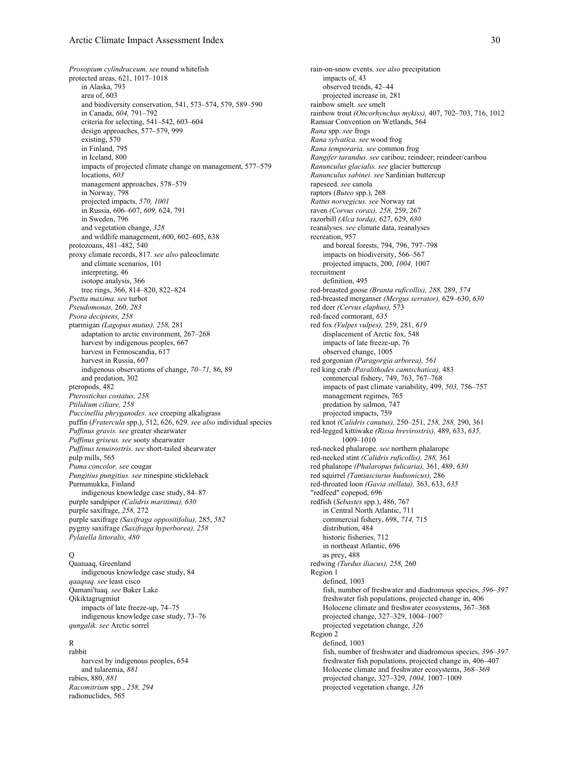*Prosopium cylindraceum. see* round whitefish protected areas, 621, 1017–1018 in Alaska, 793 area of, 603 and biodiversity conservation, 541, 573–574, 579, 589–590 in Canada, *604,* 791–792 criteria for selecting, 541–542, 603–604 design approaches, 577–579, 999 existing, 570 in Finland, 795 in Iceland, 800 impacts of projected climate change on management, 577–579 locations, *603* management approaches, 578–579 in Norway, 798 projected impacts, *570, 1001* in Russia, 606–607, *609,* 624, 791 in Sweden, 796 and vegetation change, *328* and wildlife management, 600, 602–605, 638 protozoans, 481–482, 540 proxy climate records, 817. *see also* paleoclimate and climate scenarios, 101 interpreting, 46 isotope analysis, 366 tree rings, 366, 814–820, 822–824 *Psetta maxima. see* turbot *Pseudomonas,* 260, *283 Psora decipiens, 258* ptarmigan *(Lagopus mutus), 258,* 281 adaptation to arctic environment, 267–268 harvest by indigenous peoples, 667 harvest in Fennoscandia, 617 harvest in Russia, 607 indigenous observations of change, *70–71,* 86, 89 and predation, 302 pteropods, 482 *Pterostichus costatus, 258 Ptilidium ciliare, 258 Puccinellia phryganodes. see* creeping alkaligrass puffin (*Fratercula* spp.), 512, 626, 629. *see also* individual species *Puffinus gravis. see* greater shearwater *Puffinus griseus. see* sooty shearwater *Puffinus tenuirostris. see* short-tailed shearwater pulp mills, 565 *Puma concolor. see* cougar *Pungitius pungitius. see* ninespine stickleback Purnumukka, Finland indigenous knowledge case study, 84–87 purple sandpiper *(Calidris maritima), 630* purple saxifrage, *258,* 272 purple saxifrage *(Saxifraga oppositifolia),* 285, *582* pygmy saxifrage *(Saxifraga hyperborea), 258 Pylaiella littoralis, 480*

## $\Omega$

Qaanaaq, Greenland indigenous knowledge case study, 84 *qaaqtaq. see* least cisco Qamani'tuaq. *see* Baker Lake Qikiktagrugmiut impacts of late freeze-up, 74–75 indigenous knowledge case study, 73–76 *qungalik. see* Arctic sorrel

### R

rabbit harvest by indigenous peoples, 654 and tularemia, *881* rabies, 880, *881 Racomitrium* spp., *258, 294* radionuclides, 565

rain-on-snow events. *see also* precipitation impacts of, 43 observed trends, 42–44 projected increase in, 281 rainbow smelt. *see* smelt rainbow trout *(Oncorhynchus mykiss),* 407, 702–703, 716, 1012 Ramsar Convention on Wetlands, 564 *Rana* spp. *see* frogs *Rana sylvatica. see* wood frog *Rana temporaria. see* common frog *Rangifer tarandus. see* caribou; reindeer; reindeer/caribou *Ranunculus glacialis. see* glacier buttercup *Ranunculus sabinei. see* Sardinian buttercup rapeseed. *see* canola raptors (*Buteo* spp.), 268 *Rattus norvegicus. see* Norway rat raven *(Corvus corax), 258,* 259, 267 razorbill *(Alca torda),* 627, 629, *630* reanalyses. *see* climate data, reanalyses recreation, 957 and boreal forests, 794, 796, 797–798 impacts on biodiversity, 566–567 projected impacts, 200, *1004,* 1007 recruitment definition, 495 red-breasted goose *(Branta ruficollis), 288,* 289, *574* red-breasted merganser *(Mergus serrator),* 629–630, *630* red deer *(Cervus elaphus),* 573 red-faced cormorant, *635* red fox *(Vulpes vulpes),* 259, 281, *619* displacement of Arctic fox, 548 impacts of late freeze-up, 76 observed change, 1005 red gorgonian *(Paragorgia arborea), 561* red king crab *(Paralithodes camtschatica),* 483 commercial fishery, 749, 763, 767–768 impacts of past climate variability, 499, *503,* 756–757 management regimes, 765 predation by salmon, 747 projected impacts, 759 red knot *(Calidris canutus),* 250–251, *258, 288,* 290, 361 red-legged kittiwake *(Rissa brevirostris),* 489, 633, *635,* 1009–1010 red-necked phalarope. *see* northern phalarope red-necked stint *(Calidris ruficollis), 288,* 361 red phalarope *(Phalaropus fulicaria),* 361, 489, *630* red squirrel *(Tamiasciurus hudsonicus),* 286 red-throated loon *(Gavia stellata),* 363, 633, *635* "redfeed" copepod, 696 redfish (*Sebastes* spp.), 486, 767 in Central North Atlantic, 711 commercial fishery, 698, *714,* 715 distribution, 484 historic fisheries, 712 in northeast Atlantic, 696 as prey, 488 redwing *(Turdus iliacus), 258,* 260 Region 1 defined, 1003 fish, number of freshwater and diadromous species, *396–397* freshwater fish populations, projected change in, 406 Holocene climate and freshwater ecosystems, 367–368 projected change, 327–329, 1004–1007 projected vegetation change, *326* Region 2 defined, 1003 fish, number of freshwater and diadromous species, *396–397* freshwater fish populations, projected change in, 406–407 Holocene climate and freshwater ecosystems, 368–369 projected change, 327–329, *1004,* 1007–1009 projected vegetation change, *326*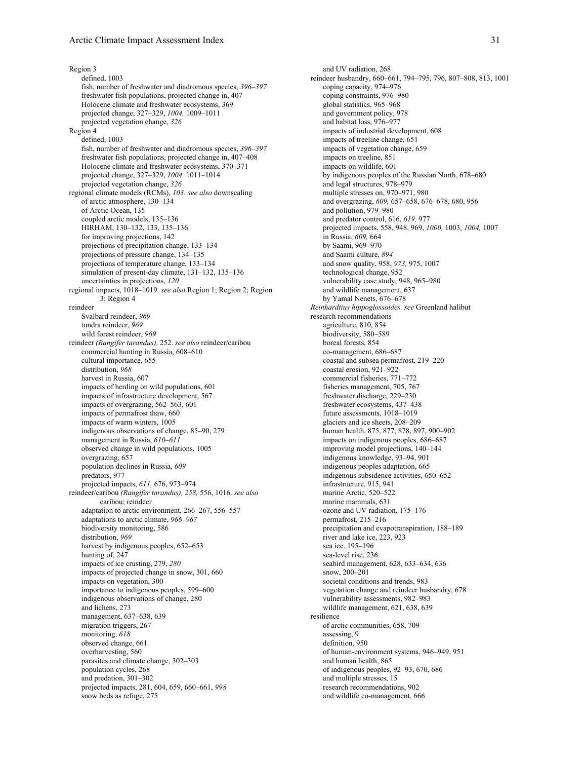Region 3 defined, 1003 fish, number of freshwater and diadromous species, *396–397* freshwater fish populations, projected change in, 407 Holocene climate and freshwater ecosystems, 369 projected change, 327–329, *1004,* 1009–1011 projected vegetation change, *326* Region 4 defined, 1003 fish, number of freshwater and diadromous species, *396–397* freshwater fish populations, projected change in, 407–408 Holocene climate and freshwater ecosystems, 370–371 projected change, 327–329, *1004,* 1011–1014 projected vegetation change, *326* regional climate models (RCMs), *103*. *see also* downscaling of arctic atmosphere, 130–134 of Arctic Ocean, 135 coupled arctic models, 135–136 HIRHAM, 130–132, 133, 135–136 for improving projections, 142 projections of precipitation change, 133–134 projections of pressure change, 134–135 projections of temperature change, 133–134 simulation of present-day climate, 131–132, 135–136 uncertainties in projections, *120* regional impacts, 1018–1019. *see also* Region 1; Region 2; Region 3; Region 4 reindeer Svalbard reindeer, *969* tundra reindeer, *969* wild forest reindeer, *969* reindeer *(Rangifer tarandus),* 252. *see also* reindeer/caribou commercial hunting in Russia, 608–610 cultural importance, 655 distribution, *968* harvest in Russia, 607 impacts of herding on wild populations, 601 impacts of infrastructure development, 567 impacts of overgrazing, 562–563, 601 impacts of permafrost thaw, 660 impacts of warm winters, 1005 indigenous observations of change, 85–90, 279 management in Russia, *610–611* observed change in wild populations, 1005 overgrazing, 657 population declines in Russia, *609* predators, 977 projected impacts, *611,* 676, 973–974 reindeer/caribou *(Rangifer tarandus), 258,* 556, 1016. *see also* caribou; reindeer adaptation to arctic environment, 266–267, 556–557 adaptations to arctic climate, *966–967* biodiversity monitoring, 586 distribution, *969* harvest by indigenous peoples, 652–653 hunting of, 247 impacts of ice crusting, 279, *280* impacts of projected change in snow, 301, 660 impacts on vegetation, 300 importance to indigenous peoples, 599–600 indigenous observations of change, 280 and lichens, 273 management, 637–638, 639 migration triggers, 267 monitoring, *618* observed change, 661 overharvesting, 560 parasites and climate change, 302–303 population cycles, 268 and predation, 301–302 projected impacts, 281, 604, 659, 660–661, *998* snow beds as refuge, 275

and UV radiation, 268 reindeer husbandry, 660–661, 794–795, 796, 807–808, 813, 1001 coping capacity, 974–976 coping constraints, 976–980 global statistics, 965–968 and government policy, 978 and habitat loss, 976–977 impacts of industrial development, 608 impacts of treeline change, 651 impacts of vegetation change, 659 impacts on treeline, 851 impacts on wildlife, 601 by indigenous peoples of the Russian North, 678–680 and legal structures, 978–979 multiple stresses on, 970–971, 980 and overgrazing, *609,* 657–658, 676–678, 680, 956 and pollution, 979–980 and predator control, 616, *619,* 977 projected impacts, 558, 948, 969, *1000,* 1003, *1004,* 1007 in Russia, *609,* 664 by Saami, 969–970 and Saami culture, *894* and snow quality, 958, *973,* 975, 1007 technological change, 952 vulnerability case study, 948, 965–980 and wildlife management, 637 by Yamal Nenets, 676–678 *Reinhardtius hippoglossoides. see* Greenland halibut research recommendations agriculture, 810, 854 biodiversity, 580–589 boreal forests, 854 co-management, 686–687 coastal and subsea permafrost, 219–220 coastal erosion, 921–922 commercial fisheries, 771–772 fisheries management, 705, 767 freshwater discharge, 229–230 freshwater ecosystems, 437–438 future assessments, 1018–1019 glaciers and ice sheets, 208–209 human health, 875, 877, 878, 897, 900–902 impacts on indigenous peoples, 686–687 improving model projections, 140–144 indigenous knowledge, 93–94, 901 indigenous peoples adaptation, 665 indigenous subsidence activities, 650–652 infrastructure, 915, 941 marine Arctic, 520–522 marine mammals, 631 ozone and UV radiation, 175–176 permafrost, 215–216 precipitation and evapotranspiration, 188–189 river and lake ice, 223, 923 sea ice, 195–196 sea-level rise, 236 seabird management, 628, 633–634, 636 snow, 200–201 societal conditions and trends, 983 vegetation change and reindeer husbandry, 678 vulnerability assessments, 982–983 wildlife management, 621, 638, 639 resilience of arctic communities, 658, 709 assessing, 9 definition, 950 of human-environment systems, 946–949, 951 and human health, 865 of indigenous peoples, 92–93, 670, 686 and multiple stresses, 15 research recommendations, 902 and wildlife co-management, 666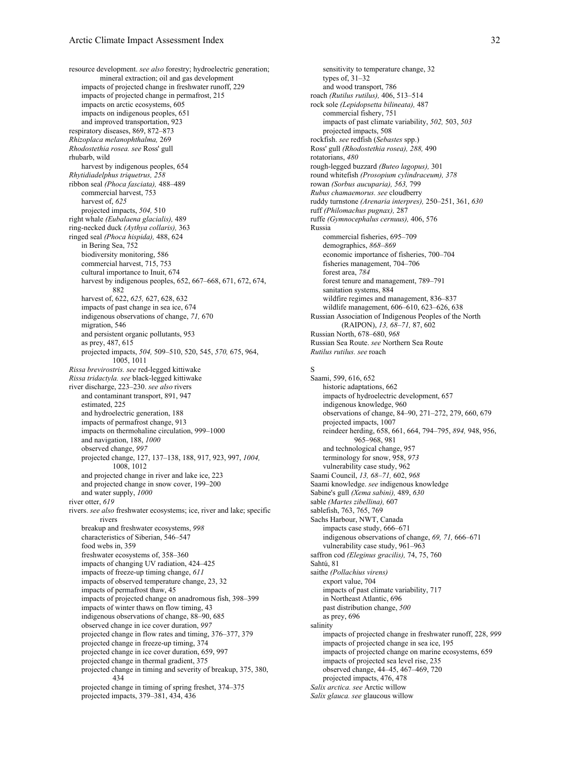resource development. *see also* forestry; hydroelectric generation; mineral extraction; oil and gas development impacts of projected change in freshwater runoff, 229 impacts of projected change in permafrost, 215 impacts on arctic ecosystems, 605 impacts on indigenous peoples, 651 and improved transportation, 923 respiratory diseases, 869, 872–873 *Rhizoplaca melanophthalma,* 269 *Rhodostethia rosea. see* Ross' gull rhubarb, wild harvest by indigenous peoples, 654 *Rhytidiadelphus triquetrus, 258* ribbon seal *(Phoca fasciata),* 488–489 commercial harvest, 753 harvest of, *625* projected impacts, *504,* 510 right whale *(Eubalaena glacialis),* 489 ring-necked duck *(Aythya collaris),* 363 ringed seal *(Phoca hispida),* 488, 624 in Bering Sea, 752 biodiversity monitoring, 586 commercial harvest, 715, 753 cultural importance to Inuit, 674 harvest by indigenous peoples, 652, 667–668, 671, 672, 674, 882 harvest of, 622, *625,* 627, 628, 632 impacts of past change in sea ice, 674 indigenous observations of change, *71,* 670 migration, 546 and persistent organic pollutants, 953 as prey, 487, 615 projected impacts, *504,* 509–510, 520, 545, *570,* 675, 964, 1005, 1011 *Rissa brevirostris. see* red-legged kittiwake *Rissa tridactyla. see* black-legged kittiwake river discharge, 223–230. *see also* rivers and contaminant transport, 891, 947 estimated, 225 and hydroelectric generation, 188 impacts of permafrost change, 913 impacts on thermohaline circulation, 999–1000 and navigation, 188, *1000* observed change, *997* projected change, 127, 137–138, 188, 917, 923, 997, *1004,* 1008, 1012 and projected change in river and lake ice, 223 and projected change in snow cover, 199–200 and water supply, *1000* river otter, *619* rivers. *see also* freshwater ecosystems; ice, river and lake; specific rivers breakup and freshwater ecosystems, *998* characteristics of Siberian, 546–547 food webs in, 359 freshwater ecosystems of, 358–360 impacts of changing UV radiation, 424–425 impacts of freeze-up timing change, *611* impacts of observed temperature change, 23, 32 impacts of permafrost thaw, 45 impacts of projected change on anadromous fish, 398–399 impacts of winter thaws on flow timing, 43 indigenous observations of change, 88–90, 685 observed change in ice cover duration, *997* projected change in flow rates and timing, 376–377, 379 projected change in freeze-up timing, 374 projected change in ice cover duration, 659, 997 projected change in thermal gradient, 375 projected change in timing and severity of breakup, 375, 380, 434 projected change in timing of spring freshet, 374–375 projected impacts, 379–381, 434, 436

sensitivity to temperature change, 32 types of, 31–32 and wood transport, 786 roach *(Rutilus rutilus),* 406, 513–514 rock sole *(Lepidopsetta bilineata),* 487 commercial fishery, 751 impacts of past climate variability, *502,* 503, *503* projected impacts, 508 rockfish. *see* redfish (*Sebastes* spp.) Ross' gull *(Rhodostethia rosea), 288,* 490 rotatorians, *480* rough-legged buzzard *(Buteo lagopus),* 301 round whitefish *(Prosopium cylindraceum), 378* rowan *(Sorbus aucuparia), 563,* 799 *Rubus chamaemorus. see* cloudberry ruddy turnstone *(Arenaria interpres),* 250–251, 361, *630* ruff *(Philomachus pugnax),* 287 ruffe *(Gymnocephalus cernuus),* 406, 576 Russia commercial fisheries, 695–709 demographics, *868–869* economic importance of fisheries, 700–704 fisheries management, 704–706 forest area, *784* forest tenure and management, 789–791 sanitation systems, 884 wildfire regimes and management, 836–837 wildlife management, 606–610, 623–626, 638 Russian Association of Indigenous Peoples of the North (RAIPON), *13, 68–71,* 87, 602 Russian North, 678–680, *968* Russian Sea Route. *see* Northern Sea Route *Rutilus rutilus. see* roach

# S

Saami, 599, 616, 652 historic adaptations, 662 impacts of hydroelectric development, 657 indigenous knowledge, 960 observations of change, 84–90, 271–272, 279, 660, 679 projected impacts, 1007 reindeer herding, 658, 661, 664, 794–795, *894,* 948, 956, 965–968, 981 and technological change, 957 terminology for snow, 958, *973* vulnerability case study, 962 Saami Council, *13, 68–71,* 602, *968* Saami knowledge. *see* indigenous knowledge Sabine's gull *(Xema sabini),* 489, *630* sable *(Martes zibellina),* 607 sablefish, 763, 765, 769 Sachs Harbour, NWT, Canada impacts case study, 666–671 indigenous observations of change, *69, 71,* 666–671 vulnerability case study, 961–963 saffron cod *(Eleginus gracilis),* 74, 75, 760 Sahtú, 81 saithe *(Pollachius virens)* export value, 704 impacts of past climate variability, 717 in Northeast Atlantic, 696 past distribution change, *500* as prey, 696 salinity impacts of projected change in freshwater runoff, 228, *999* impacts of projected change in sea ice, 195 impacts of projected change on marine ecosystems, 659 impacts of projected sea level rise, 235 observed change, 44–45, 467–469, 720 projected impacts, 476, 478 *Salix arctica. see* Arctic willow *Salix glauca. see* glaucous willow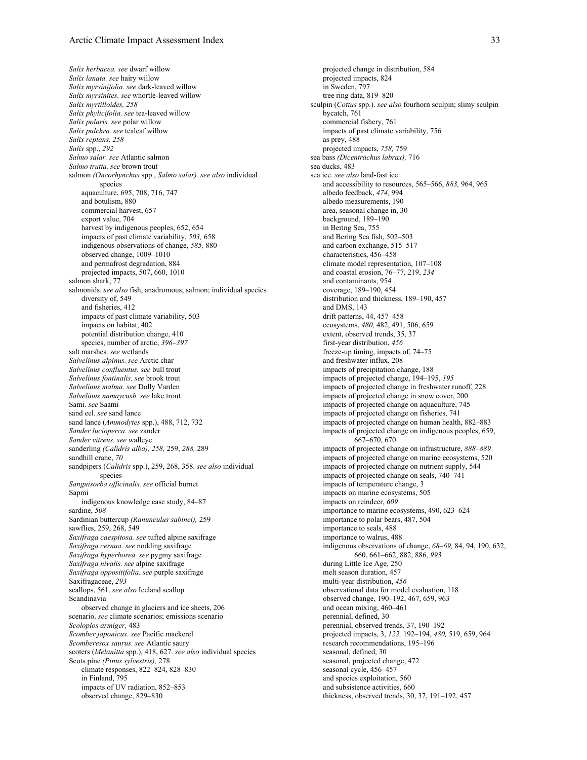*Salix herbacea. see* dwarf willow *Salix lanata. see* hairy willow *Salix myrsinifolia. see* dark-leaved willow *Salix myrsinites. see* whortle-leaved willow *Salix myrtilloides, 258 Salix phylicifolia. see* tea-leaved willow *Salix polaris. see* polar willow *Salix pulchra. see* tealeaf willow *Salix reptans, 258 Salix* spp., *292 Salmo salar. see* Atlantic salmon *Salmo trutta. see* brown trout salmon *(Oncorhynchus* spp., *Salmo salar). see also* individual species aquaculture, 695, 708, 716, 747 and botulism, 880 commercial harvest, 657 export value, 704 harvest by indigenous peoples, 652, 654 impacts of past climate variability, *503,* 658 indigenous observations of change, *585,* 880 observed change, 1009–1010 and permafrost degradation, 884 projected impacts, 507, 660, 1010 salmon shark, 77 salmonids. *see also* fish, anadromous; salmon; individual species diversity of, 549 and fisheries, 412 impacts of past climate variability, 503 impacts on habitat, 402 potential distribution change, 410 species, number of arctic, *396–397* salt marshes. *see* wetlands *Salvelinus alpinus. see* Arctic char *Salvelinus confluentus. see* bull trout *Salvelinus fontinalis. see* brook trout *Salvelinus malma. see* Dolly Varden *Salvelinus namaycush. see* lake trout Sami. *see* Saami sand eel. *see* sand lance sand lance (*Ammodytes* spp.), 488, 712, 732 *Sander lucioperca. see* zander *Sander vitreus. see* walleye sanderling *(Calidris alba), 258,* 259, *288,* 289 sandhill crane, *70* sandpipers (*Calidris* spp.), 259, 268, 358. *see also* individual species *Sanguisorba officinalis. see* official burnet Sapmi indigenous knowledge case study, 84–87 sardine, *508* Sardinian buttercup *(Ranunculus sabinei),* 259 sawflies, 259, 268, 549 *Saxifraga caespitosa. see* tufted alpine saxifrage *Saxifraga cernua. see* nodding saxifrage *Saxifraga hyperborea. see* pygmy saxifrage *Saxifraga nivalis. see* alpine saxifrage *Saxifraga oppositifolia. see* purple saxifrage Saxifragaceae, *293* scallops, 561. *see also* Iceland scallop Scandinavia observed change in glaciers and ice sheets, 206 scenario. *see* climate scenarios; emissions scenario *Scoloplos armiger,* 483 *Scomber japonicus. see* Pacific mackerel *Scomberesox saurus. see* Atlantic saury scoters (*Melanitta* spp.), 418, 627. *see also* individual species Scots pine *(Pinus sylvestris),* 278 climate responses, 822–824, 828–830 in Finland, 795 impacts of UV radiation, 852–853 observed change, 829–830

projected change in distribution, 584 projected impacts, 824 in Sweden, 797 tree ring data, 819–820 sculpin (*Cottus* spp.). *see also* fourhorn sculpin; slimy sculpin bycatch, 761 commercial fishery, 761 impacts of past climate variability, 756 as prey, 488 projected impacts, *758,* 759 sea bass *(Dicentrachus labrax),* 716 sea ducks, 483 sea ice. *see also* land-fast ice and accessibility to resources, 565–566, *883,* 964, 965 albedo feedback, *474,* 994 albedo measurements, 190 area, seasonal change in, 30 background, 189–190 in Bering Sea, 755 and Bering Sea fish, 502–503 and carbon exchange, 515–517 characteristics, 456–458 climate model representation, 107–108 and coastal erosion, 76–77, 219, *234* and contaminants, 954 coverage, 189–190, 454 distribution and thickness, 189–190, 457 and DMS, 143 drift patterns, 44, 457–458 ecosystems, *480,* 482, 491, 506, 659 extent, observed trends, 35, 37 first-year distribution, *456* freeze-up timing, impacts of, 74–75 and freshwater influx, 208 impacts of precipitation change, 188 impacts of projected change, 194–195, *195* impacts of projected change in freshwater runoff, 228 impacts of projected change in snow cover, 200 impacts of projected change on aquaculture, 745 impacts of projected change on fisheries, 741 impacts of projected change on human health, 882–883 impacts of projected change on indigenous peoples, 659, 667–670, 670 impacts of projected change on infrastructure, *888–889* impacts of projected change on marine ecosystems, 520 impacts of projected change on nutrient supply, 544 impacts of projected change on seals, 740–741 impacts of temperature change, 3 impacts on marine ecosystems, 505 impacts on reindeer, *609* importance to marine ecosystems, 490, 623–624 importance to polar bears, 487, 504 importance to seals, 488 importance to walrus, 488 indigenous observations of change, *68–69,* 84, 94, 190, 632, 660, 661–662, 882, 886, *993* during Little Ice Age, 250 melt season duration, 457 multi-year distribution, *456* observational data for model evaluation, 118 observed change, 190–192, 467, 659, 963 and ocean mixing, 460–461 perennial, defined, 30 perennial, observed trends, 37, 190–192 projected impacts, 3, *122,* 192–194, *480,* 519, 659, 964 research recommendations, 195–196 seasonal, defined, 30 seasonal, projected change, 472 seasonal cycle, 456-457 and species exploitation, 560 and subsistence activities, 660 thickness, observed trends, 30, 37, 191–192, 457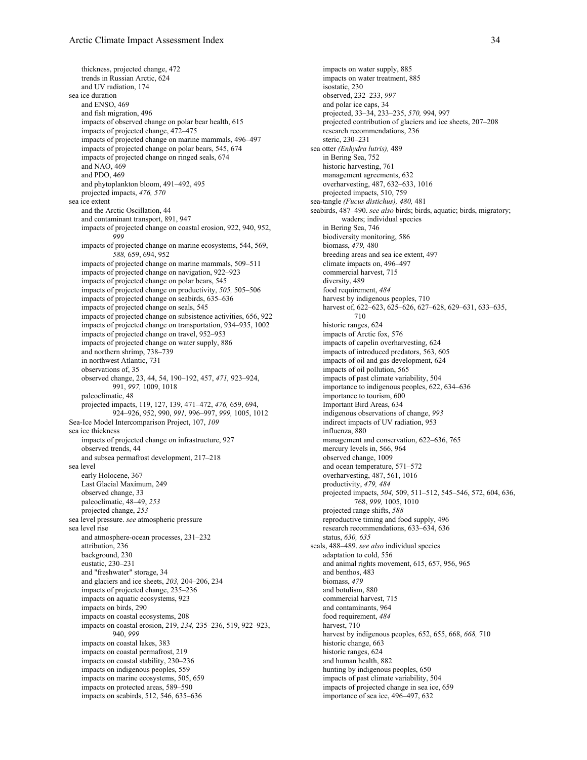thickness, projected change, 472 trends in Russian Arctic, 624 and UV radiation, 174 sea ice duration and ENSO, 469 and fish migration, 496 impacts of observed change on polar bear health, 615 impacts of projected change, 472–475 impacts of projected change on marine mammals, 496–497 impacts of projected change on polar bears, 545, 674 impacts of projected change on ringed seals, 674 and NAO, 469 and PDO, 469 and phytoplankton bloom, 491–492, 495 projected impacts, *476, 570* sea ice extent and the Arctic Oscillation, 44 and contaminant transport, 891, 947 impacts of projected change on coastal erosion, 922, 940, 952, *999* impacts of projected change on marine ecosystems, 544, 569, *588,* 659, 694, 952 impacts of projected change on marine mammals, 509–511 impacts of projected change on navigation, 922–923 impacts of projected change on polar bears, 545 impacts of projected change on productivity, *505,* 505–506 impacts of projected change on seabirds, 635–636 impacts of projected change on seals, 545 impacts of projected change on subsistence activities, 656, 922 impacts of projected change on transportation, 934–935, 1002 impacts of projected change on travel, 952–953 impacts of projected change on water supply, 886 and northern shrimp, 738–739 in northwest Atlantic, 731 observations of, 35 observed change, 23, 44, 54, 190–192, 457, *471,* 923–924, 991, *997,* 1009, 1018 paleoclimatic, 48 projected impacts, 119, 127, 139, 471–472, *476,* 659, 694, 924–926, 952, 990, *991,* 996–997, *999,* 1005, 1012 Sea-Ice Model Intercomparison Project, 107, *109* sea ice thickness impacts of projected change on infrastructure, 927 observed trends, 44 and subsea permafrost development, 217–218 sea level early Holocene, 367 Last Glacial Maximum, 249 observed change, 33 paleoclimatic, 48–49, *253* projected change, *253* sea level pressure. *see* atmospheric pressure sea level rise and atmosphere-ocean processes, 231–232 attribution, 236 background, 230 eustatic, 230–231 and "freshwater" storage, 34 and glaciers and ice sheets, *203,* 204–206, 234 impacts of projected change, 235–236 impacts on aquatic ecosystems, 923 impacts on birds, 290 impacts on coastal ecosystems, 208 impacts on coastal erosion, 219, *234,* 235–236, 519, 922–923, 940, *999* impacts on coastal lakes, 383 impacts on coastal permafrost, 219 impacts on coastal stability, 230–236 impacts on indigenous peoples, 559 impacts on marine ecosystems, 505, 659 impacts on protected areas, 589–590 impacts on seabirds, 512, 546, 635–636

impacts on water supply, 885 impacts on water treatment, 885 isostatic, 230 observed, 232–233, *997* and polar ice caps, 34 projected, 33–34, 233–235, *570,* 994, 997 projected contribution of glaciers and ice sheets, 207–208 research recommendations, 236 steric, 230–231 sea otter *(Enhydra lutris),* 489 in Bering Sea, 752 historic harvesting, 761 management agreements, 632 overharvesting, 487, 632–633, 1016 projected impacts, 510, 759 sea-tangle *(Fucus distichus), 480,* 481 seabirds, 487–490. *see also* birds; birds, aquatic; birds, migratory; waders; individual species in Bering Sea, 746 biodiversity monitoring, 586 biomass, *479,* 480 breeding areas and sea ice extent, 497 climate impacts on, 496–497 commercial harvest, 715 diversity, 489 food requirement, *484* harvest by indigenous peoples, 710 harvest of, 622-623, 625-626, 627-628, 629-631, 633-635, 710 historic ranges, 624 impacts of Arctic fox, 576 impacts of capelin overharvesting, 624 impacts of introduced predators, 563, 605 impacts of oil and gas development, 624 impacts of oil pollution, 565 impacts of past climate variability, 504 importance to indigenous peoples, 622, 634–636 importance to tourism, 600 Important Bird Areas, 634 indigenous observations of change, *993* indirect impacts of UV radiation, 953 influenza, 880 management and conservation, 622–636, 765 mercury levels in, 566, 964 observed change, 1009 and ocean temperature, 571–572 overharvesting, 487, 561, 1016 productivity, *479, 484* projected impacts, *504,* 509, 511–512, 545–546, 572, 604, 636, 768, *999,* 1005, 1010 projected range shifts, *588* reproductive timing and food supply, 496 research recommendations, 633–634, 636 status, *630, 635* seals, 488–489. *see also* individual species adaptation to cold, 556 and animal rights movement, 615, 657, 956, 965 and benthos, 483 biomass, *479* and botulism, 880 commercial harvest, 715 and contaminants, 964 food requirement, *484* harvest, 710 harvest by indigenous peoples, 652, 655, 668, *668,* 710 historic change, 663 historic ranges, 624 and human health, 882 hunting by indigenous peoples, 650 impacts of past climate variability, 504 impacts of projected change in sea ice, 659 importance of sea ice, 496–497, 632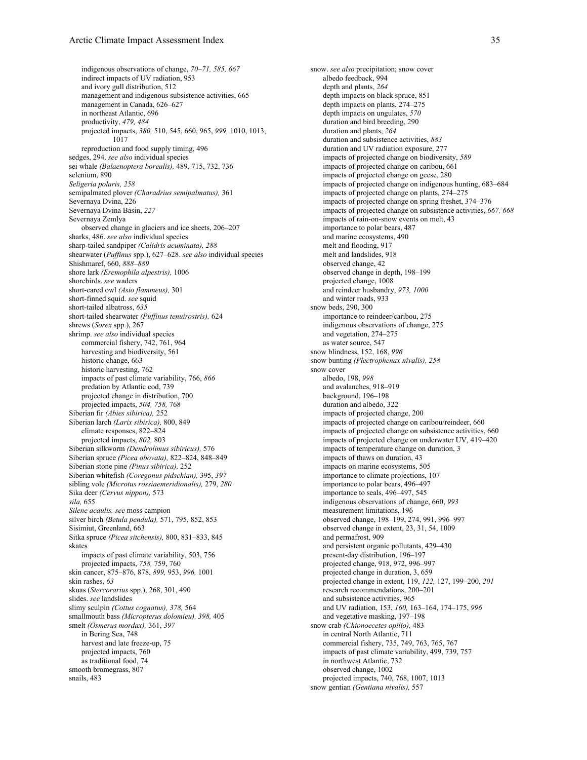### Arctic Climate Impact Assessment Index 35

indigenous observations of change, *70–71, 585, 667* indirect impacts of UV radiation, 953 and ivory gull distribution, 512 management and indigenous subsistence activities, 665 management in Canada, 626–627 in northeast Atlantic, 696 productivity, *479, 484* projected impacts, *380,* 510, 545, 660, 965, *999,* 1010, 1013, 1017 reproduction and food supply timing, 496 sedges, 294. *see also* individual species sei whale *(Balaenoptera borealis),* 489, 715, 732, 736 selenium, 890 *Seligeria polaris, 258* semipalmated plover *(Charadrius semipalmatus),* 361 Severnaya Dvina, 226 Severnaya Dvina Basin, *227* Severnaya Zemlya observed change in glaciers and ice sheets, 206–207 sharks, 486. *see also* individual species sharp-tailed sandpiper *(Calidris acuminata), 288* shearwater (*Puffinus* spp.), 627–628. *see also* individual species Shishmaref, 660, *888–889* shore lark *(Eremophila alpestris),* 1006 shorebirds. *see* waders short-eared owl *(Asio flammeus),* 301 short-finned squid. *see* squid short-tailed albatross, *635* short-tailed shearwater *(Puffinus tenuirostris),* 624 shrews (*Sorex* spp.), 267 shrimp. *see also* individual species commercial fishery, 742, 761, 964 harvesting and biodiversity, 561 historic change, 663 historic harvesting, 762 impacts of past climate variability, 766, *866* predation by Atlantic cod, 739 projected change in distribution, 700 projected impacts, *504, 758,* 768 Siberian fir *(Abies sibirica),* 252 Siberian larch *(Larix sibirica),* 800, 849 climate responses, 822–824 projected impacts, *802,* 803 Siberian silkworm *(Dendrolimus sibiricus),* 576 Siberian spruce *(Picea obovata),* 822–824, 848–849 Siberian stone pine *(Pinus sibirica),* 252 Siberian whitefish *(Coregonus pidschian),* 395, *397* sibling vole *(Microtus rossiaemeridionalis),* 279, *280* Sika deer *(Cervus nippon),* 573 *sila,* 655 *Silene acaulis. see* moss campion silver birch *(Betula pendula),* 571, 795, 852, 853 Sisimiut, Greenland, 663 Sitka spruce *(Picea sitchensis),* 800, 831–833, 845 skates impacts of past climate variability, 503, 756 projected impacts, *758,* 759, 760 skin cancer, 875–876, 878, *899,* 953, *996,* 1001 skin rashes, *63* skuas (*Stercorarius* spp.), 268, 301, 490 slides. *see* landslides slimy sculpin *(Cottus cognatus), 378,* 564 smallmouth bass *(Micropterus dolomieu), 398,* 405 smelt *(Osmerus mordax),* 361, *397* in Bering Sea, 748 harvest and late freeze-up, 75 projected impacts, 760 as traditional food, 74 smooth bromegrass, 807 snails, 483

snow. *see also* precipitation; snow cover albedo feedback, 994 depth and plants, *264* depth impacts on black spruce, 851 depth impacts on plants, 274–275 depth impacts on ungulates, *570* duration and bird breeding, 290 duration and plants, *264* duration and subsistence activities, *883* duration and UV radiation exposure, 277 impacts of projected change on biodiversity, *589* impacts of projected change on caribou, 661 impacts of projected change on geese, 280 impacts of projected change on indigenous hunting, 683–684 impacts of projected change on plants, 274–275 impacts of projected change on spring freshet, 374–376 impacts of projected change on subsistence activities, *667, 668* impacts of rain-on-snow events on melt, 43 importance to polar bears, 487 and marine ecosystems, 490 melt and flooding, 917 melt and landslides, 918 observed change, 42 observed change in depth, 198–199 projected change, 1008 and reindeer husbandry, *973, 1000* and winter roads, 933 snow beds, 290, 300 importance to reindeer/caribou, 275 indigenous observations of change, 275 and vegetation, 274–275 as water source, 547 snow blindness, 152, 168, *996* snow bunting *(Plectrophenax nivalis), 258* snow cover albedo, 198, *998* and avalanches, 918–919 background, 196–198 duration and albedo, 322 impacts of projected change, 200 impacts of projected change on caribou/reindeer, 660 impacts of projected change on subsistence activities, 660 impacts of projected change on underwater UV, 419–420 impacts of temperature change on duration, 3 impacts of thaws on duration, 43 impacts on marine ecosystems, 505 importance to climate projections, 107 importance to polar bears, 496–497 importance to seals, 496–497, 545 indigenous observations of change, 660, *993* measurement limitations, 196 observed change, 198–199, 274, 991, 996–997 observed change in extent, 23, 31, 54, 1009 and permafrost, 909 and persistent organic pollutants, 429–430 present-day distribution, 196–197 projected change, 918, 972, 996–997 projected change in duration, 3, 659 projected change in extent, 119, *122,* 127, 199–200, *201* research recommendations, 200–201 and subsistence activities, 965 and UV radiation, 153, *160,* 163–164, 174–175, *996* and vegetative masking, 197–198 snow crab *(Chionoecetes opilio),* 483 in central North Atlantic, 711 commercial fishery, 735, 749, 763, 765, 767 impacts of past climate variability, 499, 739, 757 in northwest Atlantic, 732 observed change, 1002 projected impacts, 740, 768, 1007, 1013 snow gentian *(Gentiana nivalis),* 557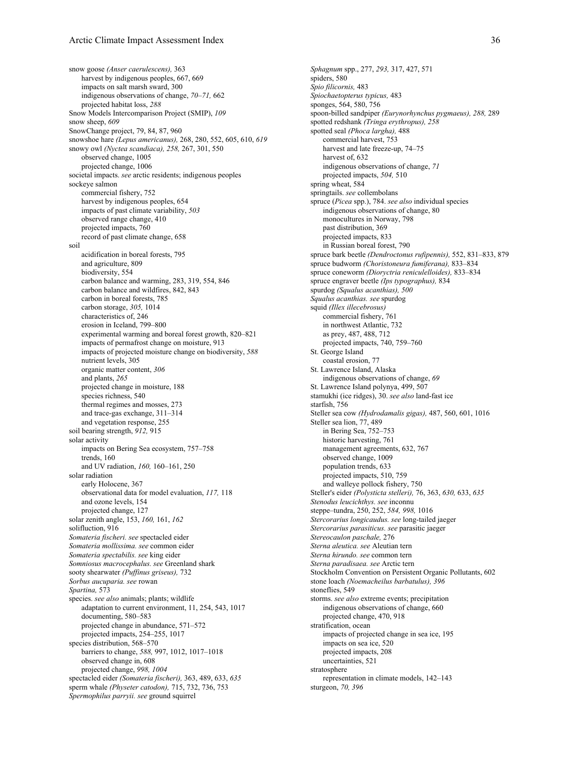snow goose *(Anser caerulescens),* 363 harvest by indigenous peoples, 667, 669 impacts on salt marsh sward, 300 indigenous observations of change, *70–71,* 662 projected habitat loss, *288* Snow Models Intercomparison Project (SMIP), *109* snow sheep, *609* SnowChange project, 79, 84, 87, 960 snowshoe hare *(Lepus americanus),* 268, 280, 552, 605, 610, *619* snowy owl *(Nyctea scandiaca), 258,* 267, 301, 550 observed change, 1005 projected change, 1006 societal impacts. *see* arctic residents; indigenous peoples sockeye salmon commercial fishery, 752 harvest by indigenous peoples, 654 impacts of past climate variability, *503* observed range change, 410 projected impacts, 760 record of past climate change, 658 soil acidification in boreal forests, 795 and agriculture, 809 biodiversity, 554 carbon balance and warming, 283, 319, 554, 846 carbon balance and wildfires, 842, 843 carbon in boreal forests, 785 carbon storage, *305,* 1014 characteristics of, 246 erosion in Iceland, 799–800 experimental warming and boreal forest growth, 820–821 impacts of permafrost change on moisture, 913 impacts of projected moisture change on biodiversity, *588* nutrient levels, 305 organic matter content, *306* and plants, *265* projected change in moisture, 188 species richness, 540 thermal regimes and mosses, 273 and trace-gas exchange, 311–314 and vegetation response, 255 soil bearing strength, *912,* 915 solar activity impacts on Bering Sea ecosystem, 757–758 trends, 160 and UV radiation, *160,* 160–161, 250 solar radiation early Holocene, 367 observational data for model evaluation, *117,* 118 and ozone levels, 154 projected change, 127 solar zenith angle, 153, *160,* 161, *162* solifluction, 916 *Somateria fischeri. see* spectacled eider *Somateria mollissima. see* common eider *Somateria spectabilis. see* king eider *Somniosus macrocephalus. see* Greenland shark sooty shearwater *(Puffinus griseus),* 732 *Sorbus aucuparia. see* rowan *Spartina,* 573 species. *see also* animals; plants; wildlife adaptation to current environment, 11, 254, 543, 1017 documenting, 580–583 projected change in abundance, 571–572 projected impacts, 254–255, 1017 species distribution, 568–570 barriers to change, *588,* 997, 1012, 1017–1018 observed change in, 608 projected change, *998, 1004* spectacled eider *(Somateria fischeri),* 363, 489, 633, *635* sperm whale *(Physeter catodon),* 715, 732, 736, 753 *Spermophilus parryii. see* ground squirrel

*Sphagnum* spp., 277, *293,* 317, 427, 571 spiders, 580 *Spio filicornis,* 483 *Spiochaetopterus typicus,* 483 sponges, 564, 580, 756 spoon-billed sandpiper *(Eurynorhynchus pygmaeus), 288,* 289 spotted redshank *(Tringa erythropus), 258* spotted seal *(Phoca largha),* 488 commercial harvest, 753 harvest and late freeze-up, 74–75 harvest of, 632 indigenous observations of change, *71* projected impacts, *504,* 510 spring wheat, 584 springtails. *see* collembolans spruce (*Picea* spp.), 784. *see also* individual species indigenous observations of change, 80 monocultures in Norway, 798 past distribution, 369 projected impacts, 833 in Russian boreal forest, 790 spruce bark beetle *(Dendroctonus rufipennis),* 552, 831–833, 879 spruce budworm *(Choristoneura fumiferana),* 833–834 spruce coneworm *(Dioryctria reniculelloides),* 833–834 spruce engraver beetle *(Ips typographus),* 834 spurdog *(Squalus acanthias), 500 Squalus acanthias. see* spurdog squid *(Illex illecebrosus)* commercial fishery, 761 in northwest Atlantic, 732 as prey, 487, 488, 712 projected impacts, 740, 759–760 St. George Island coastal erosion, 77 St. Lawrence Island, Alaska indigenous observations of change, *69* St. Lawrence Island polynya, 499, 507 stamukhi (ice ridges), 30. *see also* land-fast ice starfish, 756 Steller sea cow *(Hydrodamalis gigas),* 487, 560, 601, 1016 Steller sea lion, 77, 489 in Bering Sea, 752–753 historic harvesting, 761 management agreements, 632, 767 observed change, 1009 population trends, 633 projected impacts, 510, 759 and walleye pollock fishery, 750 Steller's eider *(Polysticta stelleri),* 76, 363, *630,* 633, *635 Stenodus leucichthys. see* inconnu steppe–tundra, 250, 252, *584, 998,* 1016 *Stercorarius longicaudus. see* long-tailed jaeger *Stercorarius parasiticus. see* parasitic jaeger *Stereocaulon paschale,* 276 *Sterna aleutica. see* Aleutian tern *Sterna hirundo. see* common tern *Sterna paradisaea. see* Arctic tern Stockholm Convention on Persistent Organic Pollutants, 602 stone loach *(Noemacheilus barbatulus), 396* stoneflies, 549 storms. *see also* extreme events; precipitation indigenous observations of change, 660 projected change, 470, 918 stratification, ocean impacts of projected change in sea ice, 195 impacts on sea ice, 520 projected impacts, 208 uncertainties, 521 stratosphere representation in climate models, 142–143 sturgeon, *70, 396*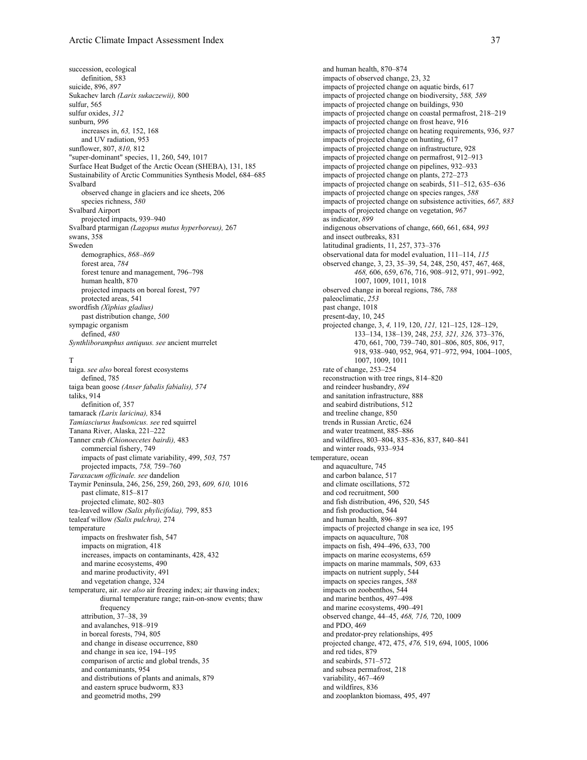succession, ecological definition, 583 suicide, 896, *897* Sukachev larch *(Larix sukaczewii),* 800 sulfur, 565 sulfur oxides, *312* sunburn, *996* increases in, *63,* 152, 168 and UV radiation, 953 sunflower, 807, *810,* 812 "super-dominant" species, 11, 260, 549, 1017 Surface Heat Budget of the Arctic Ocean (SHEBA), 131, 185 Sustainability of Arctic Communities Synthesis Model, 684–685 Svalbard observed change in glaciers and ice sheets, 206 species richness, *580* Svalbard Airport projected impacts, 939–940 Svalbard ptarmigan *(Lagopus mutus hyperboreus),* 267 swans, 358 Sweden demographics, *868–869* forest area, *784* forest tenure and management, 796–798 human health, 870 projected impacts on boreal forest, 797 protected areas, 541 swordfish *(Xiphias gladius)* past distribution change, *500* sympagic organism defined, *480 Synthliboramphus antiquus. see* ancient murrelet

## T

taiga. *see also* boreal forest ecosystems defined, 785 taiga bean goose *(Anser fabalis fabialis), 574* taliks, 914 definition of, 357 tamarack *(Larix laricina),* 834 *Tamiasciurus hudsonicus. see* red squirrel Tanana River, Alaska, 221–222 Tanner crab *(Chionoecetes bairdi),* 483 commercial fishery, 749 impacts of past climate variability, 499, *503,* 757 projected impacts, *758,* 759–760 *Taraxacum officinale. see* dandelion Taymir Peninsula, 246, 256, 259, 260, 293, *609, 610,* 1016 past climate, 815–817 projected climate, 802–803 tea-leaved willow *(Salix phylicifolia),* 799, 853 tealeaf willow *(Salix pulchra),* 274 temperature impacts on freshwater fish, 547 impacts on migration, 418 increases, impacts on contaminants, 428, 432 and marine ecosystems, 490 and marine productivity, 491 and vegetation change, 324 temperature, air. *see also* air freezing index; air thawing index; diurnal temperature range; rain-on-snow events; thaw frequency attribution, 37–38, 39 and avalanches, 918–919 in boreal forests, 794, 805 and change in disease occurrence, 880 and change in sea ice, 194–195 comparison of arctic and global trends, 35 and contaminants, 954 and distributions of plants and animals, 879 and eastern spruce budworm, 833 and geometrid moths, 299

and human health, 870–874 impacts of observed change, 23, 32 impacts of projected change on aquatic birds, 617 impacts of projected change on biodiversity, *588, 589* impacts of projected change on buildings, 930 impacts of projected change on coastal permafrost, 218–219 impacts of projected change on frost heave, 916 impacts of projected change on heating requirements, 936, *937* impacts of projected change on hunting, 617 impacts of projected change on infrastructure, 928 impacts of projected change on permafrost, 912–913 impacts of projected change on pipelines, 932–933 impacts of projected change on plants, 272–273 impacts of projected change on seabirds, 511–512, 635–636 impacts of projected change on species ranges, *588* impacts of projected change on subsistence activities, *667, 883* impacts of projected change on vegetation, *967* as indicator, *899* indigenous observations of change, 660, 661, 684, *993* and insect outbreaks, 831 latitudinal gradients, 11, 257, 373–376 observational data for model evaluation, 111–114, *115* observed change, 3, 23, 35–39, 54, 248, 250, 457, 467, 468, *468,* 606, 659, 676, 716, 908–912, 971, 991–992, 1007, 1009, 1011, 1018 observed change in boreal regions, 786, *788* paleoclimatic, *253* past change, 1018 present-day, 10, 245 projected change, 3, *4,* 119, 120, *121,* 121–125, 128–129, 133–134, 138–139, 248, *253, 321, 326,* 373–376, 470, 661, 700, 739–740, 801–806, 805, 806, 917, 918, 938–940, 952, 964, 971–972, 994, 1004–1005, 1007, 1009, 1011 rate of change, 253–254 reconstruction with tree rings, 814–820 and reindeer husbandry, *894* and sanitation infrastructure, 888 and seabird distributions, 512 and treeline change, 850 trends in Russian Arctic, 624 and water treatment, 885–886 and wildfires, 803–804, 835–836, 837, 840–841 and winter roads, 933–934 temperature, ocean and aquaculture, 745 and carbon balance, 517 and climate oscillations, 572 and cod recruitment, 500 and fish distribution, 496, 520, 545 and fish production, 544 and human health, 896–897 impacts of projected change in sea ice, 195 impacts on aquaculture, 708 impacts on fish, 494–496, 633, 700 impacts on marine ecosystems, 659 impacts on marine mammals, 509, 633 impacts on nutrient supply, 544 impacts on species ranges, *588* impacts on zoobenthos, 544 and marine benthos, 497–498 and marine ecosystems, 490–491 observed change, 44–45, *468, 716,* 720, 1009 and PDO, 469 and predator-prey relationships, 495 projected change, 472, 475, *476,* 519, 694, 1005, 1006 and red tides, 879 and seabirds, 571–572 and subsea permafrost, 218 variability, 467–469 and wildfires, 836 and zooplankton biomass, 495, 497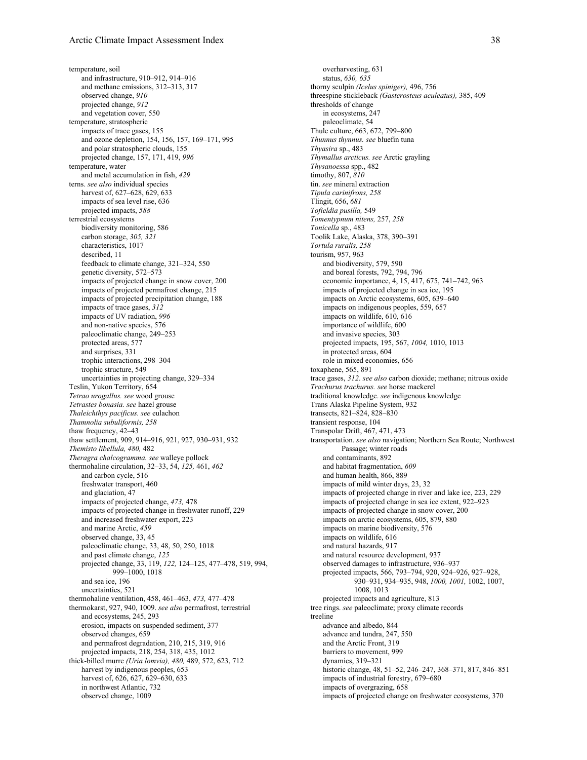temperature, soil and infrastructure, 910–912, 914–916 and methane emissions, 312–313, 317 observed change, *910* projected change, *912* and vegetation cover, 550 temperature, stratospheric impacts of trace gases, 155 and ozone depletion, 154, 156, 157, 169–171, 995 and polar stratospheric clouds, 155 projected change, 157, 171, 419, *996* temperature, water and metal accumulation in fish, *429* terns. *see also* individual species harvest of, 627–628, 629, 633 impacts of sea level rise, 636 projected impacts, *588* terrestrial ecosystems biodiversity monitoring, 586 carbon storage, *305, 321* characteristics, 1017 described, 11 feedback to climate change, 321–324, 550 genetic diversity, 572–573 impacts of projected change in snow cover, 200 impacts of projected permafrost change, 215 impacts of projected precipitation change, 188 impacts of trace gases, *312* impacts of UV radiation, *996* and non-native species, 576 paleoclimatic change, 249–253 protected areas, 577 and surprises, 331 trophic interactions, 298–304 trophic structure, 549 uncertainties in projecting change, 329–334 Teslin, Yukon Territory, 654 *Tetrao urogallus. see* wood grouse *Tetrastes bonasia. see* hazel grouse *Thaleichthys pacificus. see* eulachon *Thamnolia subuliformis, 258* thaw frequency, 42–43 thaw settlement, 909, 914–916, 921, 927, 930–931, 932 *Themisto libellula, 480,* 482 *Theragra chalcogramma. see* walleye pollock thermohaline circulation, 32–33, 54, *125,* 461, *462* and carbon cycle, 516 freshwater transport, 460 and glaciation, 47 impacts of projected change, *473,* 478 impacts of projected change in freshwater runoff, 229 and increased freshwater export, 223 and marine Arctic, *459* observed change, 33, 45 paleoclimatic change, 33, 48, 50, 250, 1018 and past climate change, *125* projected change, 33, 119, *122,* 124–125, 477–478, 519, 994, 999–1000, 1018 and sea ice, 196 uncertainties, 521 thermohaline ventilation, 458, 461–463, *473,* 477–478 thermokarst, 927, 940, 1009. *see also* permafrost, terrestrial and ecosystems, 245, 293 erosion, impacts on suspended sediment, 377 observed changes, 659 and permafrost degradation, 210, 215, 319, 916 projected impacts, 218, 254, 318, 435, 1012 thick-billed murre *(Uria lomvia), 480,* 489, 572, 623, 712 harvest by indigenous peoples, 653 harvest of, 626, 627, 629–630, 633 in northwest Atlantic, 732 observed change, 1009

overharvesting, 631 status, *630, 635* thorny sculpin *(Icelus spiniger),* 496, 756 threespine stickleback *(Gasterosteus aculeatus),* 385, 409 thresholds of change in ecosystems, 247 paleoclimate, 54 Thule culture, 663, 672, 799–800 *Thunnus thynnus. see* bluefin tuna *Thyasira* sp., 483 *Thymallus arcticus. see* Arctic grayling *Thysanoessa* spp., 482 timothy, 807, *810* tin. *see* mineral extraction *Tipula carinifrons, 258* Tlingit, 656, *681 Tofieldia pusilla,* 549 *Tomentypnum nitens,* 257, *258 Tonicella* sp., 483 Toolik Lake, Alaska, 378, 390–391 *Tortula ruralis, 258* tourism, 957, 963 and biodiversity, 579, 590 and boreal forests, 792, 794, 796 economic importance, 4, 15, 417, 675, 741–742, 963 impacts of projected change in sea ice, 195 impacts on Arctic ecosystems, 605, 639–640 impacts on indigenous peoples, 559, 657 impacts on wildlife, 610, 616 importance of wildlife, 600 and invasive species, 303 projected impacts, 195, 567, *1004,* 1010, 1013 in protected areas, 604 role in mixed economies, 656 toxaphene, 565, 891 trace gases, *312*. *see also* carbon dioxide; methane; nitrous oxide *Trachurus trachurus. see* horse mackerel traditional knowledge. *see* indigenous knowledge Trans Alaska Pipeline System, 932 transects, 821–824, 828–830 transient response, 104 Transpolar Drift, 467, 471, 473 transportation. *see also* navigation; Northern Sea Route; Northwest Passage; winter roads and contaminants, 892 and habitat fragmentation, *609* and human health, 866, 889 impacts of mild winter days, 23, 32 impacts of projected change in river and lake ice, 223, 229 impacts of projected change in sea ice extent, 922–923 impacts of projected change in snow cover, 200 impacts on arctic ecosystems, 605, 879, 880 impacts on marine biodiversity, 576 impacts on wildlife, 616 and natural hazards, 917 and natural resource development, 937 observed damages to infrastructure, 936–937 projected impacts, 566, 793–794, 920, 924–926, 927–928, 930–931, 934–935, 948, *1000, 1001,* 1002, 1007, 1008, 1013 projected impacts and agriculture, 813 tree rings. *see* paleoclimate; proxy climate records treeline advance and albedo, 844 advance and tundra, 247, 550 and the Arctic Front, 319 barriers to movement, 999 dynamics, 319–321 historic change, 48, 51–52, 246–247, 368–371, 817, 846–851 impacts of industrial forestry, 679–680 impacts of overgrazing, 658 impacts of projected change on freshwater ecosystems, 370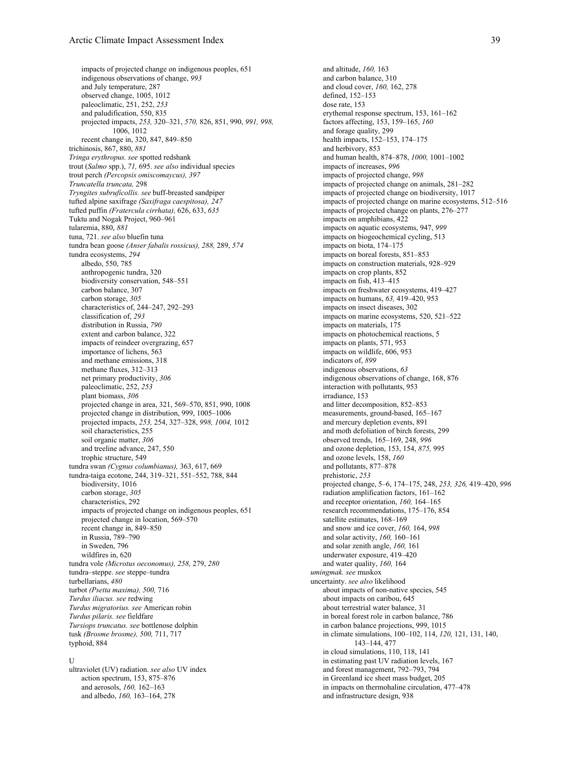impacts of projected change on indigenous peoples, 651 indigenous observations of change, *993* and July temperature, 287 observed change, 1005, 1012 paleoclimatic, 251, 252, *253* and paludification, 550, 835 projected impacts, *253,* 320–321, *570,* 826, 851, 990, *991, 998,* 1006, 1012 recent change in, 320, 847, 849–850 trichinosis, 867, 880, *881 Tringa erythropus. see* spotted redshank trout (*Salmo* spp.), *71,* 695. *see also* individual species trout perch *(Percopsis omiscomaycus), 397 Truncatella truncata,* 298 *Tryngites subruficollis. see* buff-breasted sandpiper tufted alpine saxifrage *(Saxifraga caespitosa), 247* tufted puffin *(Fratercula cirrhata),* 626, 633, *635* Tuktu and Nogak Project, 960–961 tularemia, 880, *881* tuna, 721. *see also* bluefin tuna tundra bean goose *(Anser fabalis rossicus), 288,* 289, *574* tundra ecosystems, *294* albedo, 550, 785 anthropogenic tundra, 320 biodiversity conservation, 548–551 carbon balance, 307 carbon storage, *305* characteristics of, 244–247, 292–293 classification of, *293* distribution in Russia, *790* extent and carbon balance, 322 impacts of reindeer overgrazing, 657 importance of lichens, 563 and methane emissions, 318 methane fluxes, 312–313 net primary productivity, *306* paleoclimatic, 252, *253* plant biomass, *306* projected change in area, 321, 569–570, 851, 990, 1008 projected change in distribution, 999, 1005–1006 projected impacts, *253,* 254, 327–328, *998, 1004,* 1012 soil characteristics, 255 soil organic matter, *306* and treeline advance, 247, 550 trophic structure, 549 tundra swan *(Cygnus columbianus),* 363, 617, 669 tundra-taiga ecotone, 244, 319–321, 551–552, 788, 844 biodiversity, 1016 carbon storage, *305* characteristics, 292 impacts of projected change on indigenous peoples, 651 projected change in location, 569–570 recent change in, 849–850 in Russia, 789–790 in Sweden, 796 wildfires in, 620 tundra vole *(Microtus oeconomus), 258,* 279, *280* tundra–steppe. *see* steppe–tundra turbellarians, *480* turbot *(Psetta maxima), 500,* 716 *Turdus iliacus. see* redwing *Turdus migratorius. see* American robin *Turdus pilaris. see* fieldfare *Tursiops truncatus. see* bottlenose dolphin tusk *(Brosme brosme), 500,* 711, 717 typhoid, 884

#### U

ultraviolet (UV) radiation. *see also* UV index action spectrum, 153, 875–876 and aerosols, *160,* 162–163 and albedo, *160,* 163–164, 278

and altitude, *160,* 163 and carbon balance, 310 and cloud cover, *160,* 162, 278 defined, 152–153 dose rate, 153 erythemal response spectrum, 153, 161–162 factors affecting, 153, 159–165, *160* and forage quality, 299 health impacts, 152–153, 174–175 and herbivory, 853 and human health, 874–878, *1000,* 1001–1002 impacts of increases, *996* impacts of projected change, *998* impacts of projected change on animals, 281–282 impacts of projected change on biodiversity, 1017 impacts of projected change on marine ecosystems, 512–516 impacts of projected change on plants, 276–277 impacts on amphibians, 422 impacts on aquatic ecosystems, 947, *999* impacts on biogeochemical cycling, 513 impacts on biota, 174–175 impacts on boreal forests, 851–853 impacts on construction materials, 928–929 impacts on crop plants, 852 impacts on fish, 413–415 impacts on freshwater ecosystems, 419–427 impacts on humans, *63,* 419–420, 953 impacts on insect diseases, 302 impacts on marine ecosystems, 520, 521–522 impacts on materials, 175 impacts on photochemical reactions, 5 impacts on plants, 571, 953 impacts on wildlife, 606, 953 indicators of, *899* indigenous observations, *63* indigenous observations of change, 168, 876 interaction with pollutants, 953 irradiance, 153 and litter decomposition, 852–853 measurements, ground-based, 165–167 and mercury depletion events, 891 and moth defoliation of birch forests, 299 observed trends, 165–169, 248, *996* and ozone depletion, 153, 154, *875,* 995 and ozone levels, 158, *160* and pollutants, 877–878 prehistoric, *253* projected change, 5–6, 174–175, 248, *253, 326,* 419–420, *996* radiation amplification factors, 161–162 and receptor orientation, *160,* 164–165 research recommendations, 175–176, 854 satellite estimates, 168–169 and snow and ice cover, *160,* 164, *998* and solar activity, *160,* 160–161 and solar zenith angle, *160,* 161 underwater exposure, 419–420 and water quality, *160,* 164 *umingmak. see* muskox uncertainty. *see also* likelihood about impacts of non-native species, 545 about impacts on caribou, 645 about terrestrial water balance, 31 in boreal forest role in carbon balance, 786 in carbon balance projections, 999, 1015 in climate simulations, 100–102, 114, *120,* 121, 131, 140, 143–144, 477 in cloud simulations, 110, 118, 141 in estimating past UV radiation levels, 167 and forest management, 792–793, 794 in Greenland ice sheet mass budget, 205 in impacts on thermohaline circulation, 477–478 and infrastructure design, 938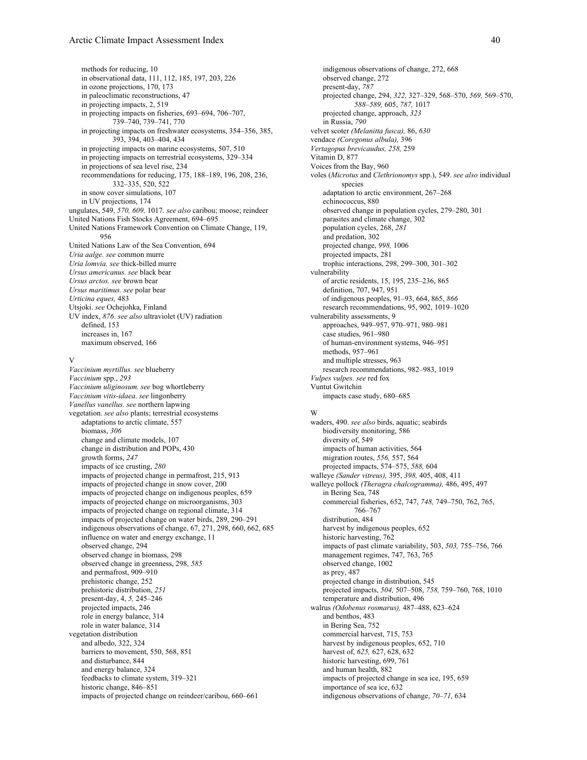methods for reducing, 10 in observational data, 111, 112, 185, 197, 203, 226 in ozone projections, 170, 173 in paleoclimatic reconstructions, 47 in projecting impacts, 2, 519 in projecting impacts on fisheries, 693–694, 706–707, 739–740, 739–741, 770 in projecting impacts on freshwater ecosystems, 354–356, 385, 393, 394, 403–404, 434 in projecting impacts on marine ecosystems, 507, 510 in projecting impacts on terrestrial ecosystems, 329–334 in projections of sea level rise, 234 recommendations for reducing, 175, 188–189, 196, 208, 236, 332–335, 520, 522 in snow cover simulations, 107 in UV projections, 174 ungulates, 549, *570, 609,* 1017. *see also* caribou; moose; reindeer United Nations Fish Stocks Agreement, 694–695 United Nations Framework Convention on Climate Change, 119, 956 United Nations Law of the Sea Convention, 694 *Uria aalge. see* common murre *Uria lomvia. see* thick-billed murre *Ursus americanus. see* black bear *Ursus arctos. see* brown bear *Ursus maritimus. see* polar bear *Urticina eques,* 483 Utsjoki. *see* Ochejohka, Finland UV index, *876*. *see also* ultraviolet (UV) radiation defined, 153 increases in, 167 maximum observed, 166

#### V

*Vaccinium myrtillus. see* blueberry *Vaccinium* spp., *293 Vaccinium uliginosum. see* bog whortleberry *Vaccinium vitis-idaea. see* lingonberry *Vanellus vanellus. see* northern lapwing vegetation. *see also* plants; terrestrial ecosystems adaptations to arctic climate, 557 biomass, *306* change and climate models, 107 change in distribution and POPs, 430 growth forms, *247* impacts of ice crusting, *280* impacts of projected change in permafrost, 215, 913 impacts of projected change in snow cover, 200 impacts of projected change on indigenous peoples, 659 impacts of projected change on microorganisms, 303 impacts of projected change on regional climate, 314 impacts of projected change on water birds, 289, 290–291 indigenous observations of change, 67, 271, 298, 660, 662, 685 influence on water and energy exchange, 11 observed change, 294 observed change in biomass, 298 observed change in greenness, 298, *585* and permafrost, 909–910 prehistoric change, 252 prehistoric distribution, *251* present-day, 4, *5,* 245–246 projected impacts, 246 role in energy balance, 314 role in water balance, 314 vegetation distribution and albedo, 322, 324 barriers to movement, 550, 568, 851 and disturbance, 844 and energy balance, 324 feedbacks to climate system, 319–321 historic change, 846–851 impacts of projected change on reindeer/caribou, 660–661

indigenous observations of change, 272, 668 observed change, 272 present-day, *787* projected change, 294, *322,* 327–329, 568–570, *569,* 569–570, *588–589,* 605, *787,* 1017 projected change, approach, *323* in Russia, *790* velvet scoter *(Melanitta fusca),* 86, *630* vendace *(Coregonus albula),* 396 *Vertagopus brevicaudus, 258,* 259 Vitamin D, 877 Voices from the Bay, 960 voles (*Microtus* and *Clethrionomys* spp.), 549. *see also* individual species adaptation to arctic environment, 267–268 echinococcus, 880 observed change in population cycles, 279–280, 301 parasites and climate change, 302 population cycles, 268, *281* and predation, 302 projected change, *998,* 1006 projected impacts, 281 trophic interactions, 298, 299–300, 301–302 vulnerability of arctic residents, 15, 195, 235–236, 865 definition, 707, 947, 951 of indigenous peoples, 91–93, 664, 865, *866* research recommendations, 95, 902, 1019–1020 vulnerability assessments, 9 approaches, 949–957, 970–971, 980–981 case studies, 961–980 of human-environment systems, 946–951 methods, 957–961 and multiple stresses, 963 research recommendations, 982–983, 1019 *Vulpes vulpes. see* red fox Vuntut Gwitchin impacts case study, 680–685

#### W

waders, 490. *see also* birds, aquatic; seabirds biodiversity monitoring, 586 diversity of, 549 impacts of human activities, 564 migration routes, *556,* 557, 564 projected impacts, 574–575, *588,* 604 walleye *(Sander vitreus),* 395, *398,* 405, 408, 411 walleye pollock *(Theragra chalcogramma),* 486, 495, 497 in Bering Sea, 748 commercial fisheries, 652, 747, *748,* 749–750, 762, 765, 766–767 distribution, 484 harvest by indigenous peoples, 652 historic harvesting, 762 impacts of past climate variability, 503, *503,* 755–756, 766 management regimes, 747, 763, 765 observed change, 1002 as prey, 487 projected change in distribution, 545 projected impacts, *504,* 507–508, *758,* 759–760, 768, 1010 temperature and distribution, 496 walrus *(Odobenus rosmarus),* 487–488, 623–624 and benthos, 483 in Bering Sea, 752 commercial harvest, 715, 753 harvest by indigenous peoples, 652, 710 harvest of, *625,* 627, 628, 632 historic harvesting, 699, 761 and human health, 882 impacts of projected change in sea ice, 195, 659 importance of sea ice, 632 indigenous observations of change, *70–71,* 634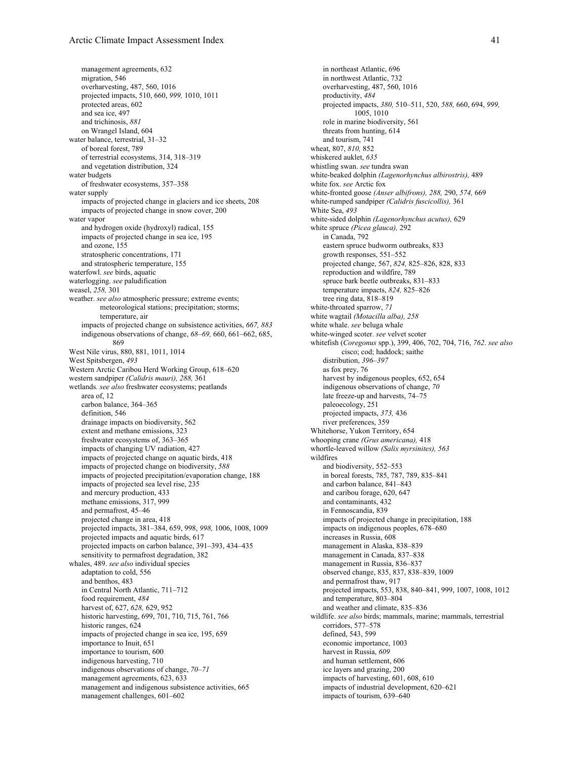management agreements, 632 migration, 546 overharvesting, 487, 560, 1016 projected impacts, 510, 660, *999,* 1010, 1011 protected areas, 602 and sea ice, 497 and trichinosis, *881* on Wrangel Island, 604 water balance, terrestrial, 31–32 of boreal forest, 789 of terrestrial ecosystems, 314, 318–319 and vegetation distribution, 324 water budgets of freshwater ecosystems, 357–358 water supply impacts of projected change in glaciers and ice sheets, 208 impacts of projected change in snow cover, 200 water vapor and hydrogen oxide (hydroxyl) radical, 155 impacts of projected change in sea ice, 195 and ozone, 155 stratospheric concentrations, 171 and stratospheric temperature, 155 waterfowl. *see* birds, aquatic waterlogging. *see* paludification weasel, *258,* 301 weather. *see also* atmospheric pressure; extreme events; meteorological stations; precipitation; storms; temperature, air impacts of projected change on subsistence activities, *667, 883* indigenous observations of change, *68–69,* 660, 661–662, 685, 869 West Nile virus, 880, 881, 1011, 1014 West Spitsbergen, *493* Western Arctic Caribou Herd Working Group, 618–620 western sandpiper *(Calidris mauri), 288,* 361 wetlands. *see also* freshwater ecosystems; peatlands area of, 12 carbon balance, 364–365 definition, 546 drainage impacts on biodiversity, 562 extent and methane emissions, 323 freshwater ecosystems of, 363–365 impacts of changing UV radiation, 427 impacts of projected change on aquatic birds, 418 impacts of projected change on biodiversity, *588* impacts of projected precipitation/evaporation change, 188 impacts of projected sea level rise, 235 and mercury production, 433 methane emissions, 317, 999 and permafrost, 45–46 projected change in area, 418 projected impacts, 381–384, 659, 998, *998,* 1006, 1008, 1009 projected impacts and aquatic birds, 617 projected impacts on carbon balance, 391–393, 434–435 sensitivity to permafrost degradation, 382 whales, 489. *see also* individual species adaptation to cold, 556 and benthos, 483 in Central North Atlantic, 711–712 food requirement, *484* harvest of, 627, *628,* 629, 952 historic harvesting, 699, 701, 710, 715, 761, 766 historic ranges, 624 impacts of projected change in sea ice, 195, 659 importance to Inuit, 651 importance to tourism, 600 indigenous harvesting, 710 indigenous observations of change, *70–71* management agreements, 623, 633 management and indigenous subsistence activities, 665 management challenges, 601–602

in northeast Atlantic, 696 in northwest Atlantic, 732 overharvesting, 487, 560, 1016 productivity, *484* projected impacts, *380,* 510–511, 520, *588,* 660, 694, *999,* 1005, 1010 role in marine biodiversity, 561 threats from hunting, 614 and tourism, 741 wheat, 807, *810,* 852 whiskered auklet, *635* whistling swan. *see* tundra swan white-beaked dolphin *(Lagenorhynchus albirostris),* 489 white fox. *see* Arctic fox white-fronted goose *(Anser albifrons), 288,* 290, *574,* 669 white-rumped sandpiper *(Calidris fuscicollis),* 361 White Sea, *493* white-sided dolphin *(Lagenorhynchus acutus),* 629 white spruce *(Picea glauca),* 292 in Canada, 792 eastern spruce budworm outbreaks, 833 growth responses, 551–552 projected change, 567, *824,* 825–826, 828, 833 reproduction and wildfire, 789 spruce bark beetle outbreaks, 831–833 temperature impacts, *824,* 825–826 tree ring data, 818–819 white-throated sparrow, *71* white wagtail *(Motacilla alba), 258* white whale. *see* beluga whale white-winged scoter. *see* velvet scoter whitefish (*Coregonus* spp.), 399, 406, 702, 704, 716, *762*. *see also* cisco; cod; haddock; saithe distribution, *396–397* as fox prey, 76 harvest by indigenous peoples, 652, 654 indigenous observations of change, *70* late freeze-up and harvests, 74–75 paleoecology, 251 projected impacts, *373,* 436 river preferences, 359 Whitehorse, Yukon Territory, 654 whooping crane *(Grus americana),* 418 whortle-leaved willow *(Salix myrsinites), 563* wildfires and biodiversity, 552–553 in boreal forests, 785, 787, 789, 835–841 and carbon balance, 841–843 and caribou forage, 620, 647 and contaminants, 432 in Fennoscandia, 839 impacts of projected change in precipitation, 188 impacts on indigenous peoples, 678–680 increases in Russia, 608 management in Alaska, 838–839 management in Canada, 837–838 management in Russia, 836–837 observed change, 835, 837, 838–839, 1009 and permafrost thaw, 917 projected impacts, 553, 838, 840–841, 999, 1007, 1008, 1012 and temperature, 803–804 and weather and climate, 835–836 wildlife. *see also* birds; mammals, marine; mammals, terrestrial corridors, 577–578 defined, 543, 599 economic importance, 1003 harvest in Russia, *609* and human settlement, 606 ice layers and grazing, 200 impacts of harvesting, 601, 608, 610 impacts of industrial development, 620–621 impacts of tourism, 639–640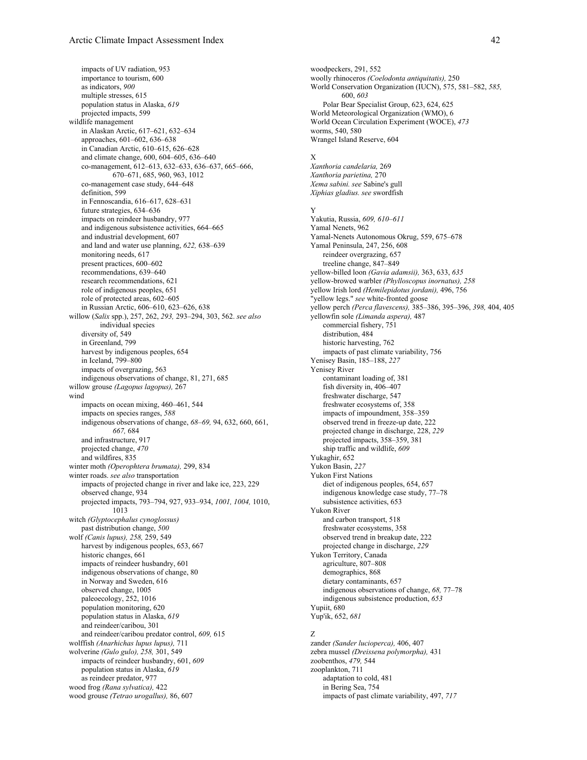impacts of UV radiation, 953 importance to tourism, 600 as indicators, *900* multiple stresses, 615 population status in Alaska, *619* projected impacts, 599 wildlife management in Alaskan Arctic, 617–621, 632–634 approaches, 601–602, 636–638 in Canadian Arctic, 610–615, 626–628 and climate change, 600, 604–605, 636–640 co-management, 612–613, 632–633, 636–637, 665–666, 670–671, 685, 960, 963, 1012 co-management case study, 644–648 definition, 599 in Fennoscandia, 616–617, 628–631 future strategies, 634–636 impacts on reindeer husbandry, 977 and indigenous subsistence activities, 664–665 and industrial development, 607 and land and water use planning, *622,* 638–639 monitoring needs, 617 present practices, 600–602 recommendations, 639–640 research recommendations, 621 role of indigenous peoples, 651 role of protected areas, 602–605 in Russian Arctic, 606–610, 623–626, 638 willow (*Salix* spp.), 257, 262, *293,* 293–294, 303, 562. *see also* individual species diversity of, 549 in Greenland, 799 harvest by indigenous peoples, 654 in Iceland, 799–800 impacts of overgrazing, 563 indigenous observations of change, 81, 271, 685 willow grouse *(Lagopus lagopus),* 267 wind impacts on ocean mixing, 460–461, 544 impacts on species ranges, *588* indigenous observations of change, *68–69,* 94, 632, 660, 661, *667,* 684 and infrastructure, 917 projected change, *470* and wildfires, 835 winter moth *(Operophtera brumata),* 299, 834 winter roads. *see also* transportation impacts of projected change in river and lake ice, 223, 229 observed change, 934 projected impacts, 793–794, 927, 933–934, *1001, 1004,* 1010, 1013 witch *(Glyptocephalus cynoglossus)* past distribution change, *500* wolf *(Canis lupus), 258,* 259, 549 harvest by indigenous peoples, 653, 667 historic changes, 661 impacts of reindeer husbandry, 601 indigenous observations of change, 80 in Norway and Sweden, 616 observed change, 1005 paleoecology, 252, 1016 population monitoring, 620 population status in Alaska, *619* and reindeer/caribou, 301 and reindeer/caribou predator control, *609,* 615 wolffish *(Anarhichas lupus lupus),* 711 wolverine *(Gulo gulo), 258,* 301, 549 impacts of reindeer husbandry, 601, *609* population status in Alaska, *619* as reindeer predator, 977 wood frog *(Rana sylvatica),* 422 wood grouse *(Tetrao urogallus),* 86, 607

woodpeckers, 291, 552 woolly rhinoceros *(Coelodonta antiquitatis),* 250 World Conservation Organization (IUCN), 575, 581–582, *585,* 600, *603* Polar Bear Specialist Group, 623, 624, 625 World Meteorological Organization (WMO), 6 World Ocean Circulation Experiment (WOCE), *473* worms, 540, 580 Wrangel Island Reserve, 604

#### X

*Xanthoria candelaria,* 269 *Xanthoria parietina,* 270 *Xema sabini. see* Sabine's gull *Xiphias gladius. see* swordfish

## Y

Yakutia, Russia, *609, 610–611* Yamal Nenets, 962 Yamal-Nenets Autonomous Okrug, 559, 675–678 Yamal Peninsula, 247, 256, 608 reindeer overgrazing, 657 treeline change, 847–849 yellow-billed loon *(Gavia adamsii),* 363, 633, *635* yellow-browed warbler *(Phylloscopus inornatus), 258* yellow Irish lord *(Hemilepidotus jordani),* 496, 756 "yellow legs." *see* white-fronted goose yellow perch *(Perca flavescens),* 385–386, 395–396, *398,* 404, 405 yellowfin sole *(Limanda aspera),* 487 commercial fishery, 751 distribution, 484 historic harvesting, 762 impacts of past climate variability, 756 Yenisey Basin, 185–188, *227* Yenisey River contaminant loading of, 381 fish diversity in, 406–407 freshwater discharge, 547 freshwater ecosystems of, 358 impacts of impoundment, 358–359 observed trend in freeze-up date, 222 projected change in discharge, 228, *229* projected impacts, 358–359, 381 ship traffic and wildlife, *609* Yukaghir, 652 Yukon Basin, *227* Yukon First Nations diet of indigenous peoples, 654, 657 indigenous knowledge case study, 77–78 subsistence activities, 653 Yukon River and carbon transport, 518 freshwater ecosystems, 358 observed trend in breakup date, 222 projected change in discharge, *229* Yukon Territory, Canada agriculture, 807–808 demographics, 868 dietary contaminants, 657 indigenous observations of change, *68,* 77–78 indigenous subsistence production, *653* Yupiit, 680 Yup'ik, 652, *681*

## Z

zander *(Sander lucioperca),* 406, 407 zebra mussel *(Dreissena polymorpha),* 431 zoobenthos, *479,* 544 zooplankton, 711 adaptation to cold, 481 in Bering Sea, 754 impacts of past climate variability, 497, *717*